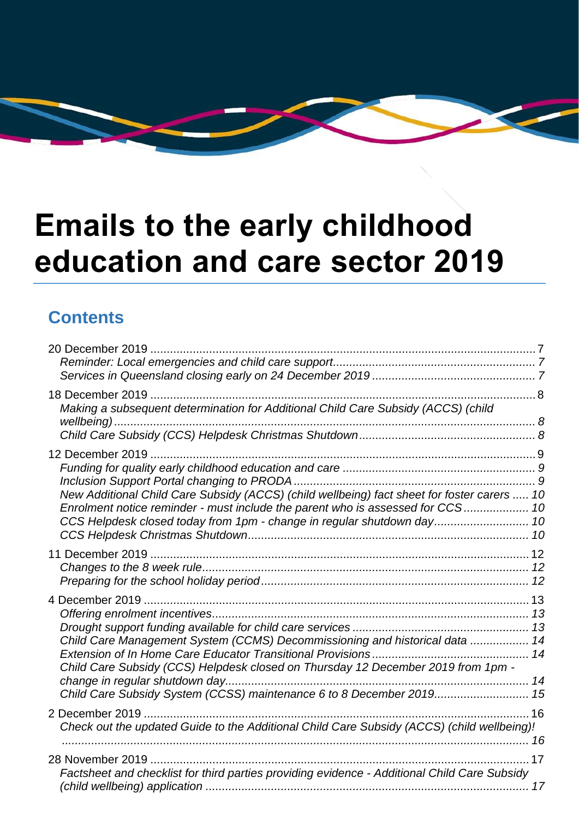# **Emails to the early childhood education and care sector 2019**

#### **Contents**

| Making a subsequent determination for Additional Child Care Subsidy (ACCS) (child                                                                                             |  |
|-------------------------------------------------------------------------------------------------------------------------------------------------------------------------------|--|
|                                                                                                                                                                               |  |
|                                                                                                                                                                               |  |
|                                                                                                                                                                               |  |
|                                                                                                                                                                               |  |
| New Additional Child Care Subsidy (ACCS) (child wellbeing) fact sheet for foster carers  10<br>Enrolment notice reminder - must include the parent who is assessed for CCS 10 |  |
| CCS Helpdesk closed today from 1pm - change in regular shutdown day 10                                                                                                        |  |
|                                                                                                                                                                               |  |
|                                                                                                                                                                               |  |
|                                                                                                                                                                               |  |
|                                                                                                                                                                               |  |
|                                                                                                                                                                               |  |
|                                                                                                                                                                               |  |
| Child Care Management System (CCMS) Decommissioning and historical data  14                                                                                                   |  |
| Child Care Subsidy (CCS) Helpdesk closed on Thursday 12 December 2019 from 1pm -                                                                                              |  |
|                                                                                                                                                                               |  |
| Child Care Subsidy System (CCSS) maintenance 6 to 8 December 2019 15                                                                                                          |  |
|                                                                                                                                                                               |  |
| Check out the updated Guide to the Additional Child Care Subsidy (ACCS) (child wellbeing)!                                                                                    |  |
|                                                                                                                                                                               |  |
|                                                                                                                                                                               |  |
| Factsheet and checklist for third parties providing evidence - Additional Child Care Subsidy                                                                                  |  |
|                                                                                                                                                                               |  |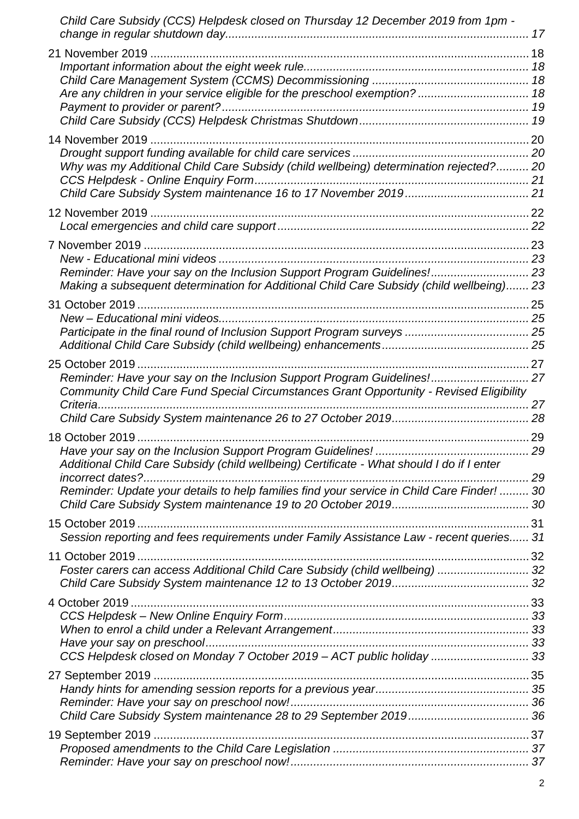| Child Care Subsidy (CCS) Helpdesk closed on Thursday 12 December 2019 from 1pm -           |      |
|--------------------------------------------------------------------------------------------|------|
|                                                                                            |      |
|                                                                                            |      |
|                                                                                            |      |
|                                                                                            |      |
|                                                                                            |      |
|                                                                                            |      |
|                                                                                            |      |
|                                                                                            |      |
| Why was my Additional Child Care Subsidy (child wellbeing) determination rejected? 20      |      |
|                                                                                            |      |
|                                                                                            |      |
|                                                                                            |      |
|                                                                                            |      |
|                                                                                            |      |
|                                                                                            |      |
| Reminder: Have your say on the Inclusion Support Program Guidelines! 23                    |      |
| Making a subsequent determination for Additional Child Care Subsidy (child wellbeing) 23   |      |
| 31 October 2019                                                                            |      |
|                                                                                            |      |
|                                                                                            |      |
|                                                                                            |      |
| 25 October 2019                                                                            |      |
| Reminder: Have your say on the Inclusion Support Program Guidelines! 27                    |      |
| Community Child Care Fund Special Circumstances Grant Opportunity - Revised Eligibility    |      |
| Criteria                                                                                   |      |
|                                                                                            |      |
|                                                                                            |      |
|                                                                                            | . 29 |
| Additional Child Care Subsidy (child wellbeing) Certificate - What should I do if I enter  |      |
| incorrect dates?                                                                           |      |
| Reminder: Update your details to help families find your service in Child Care Finder!  30 |      |
|                                                                                            |      |
|                                                                                            |      |
| Session reporting and fees requirements under Family Assistance Law - recent queries 31    |      |
|                                                                                            |      |
| Foster carers can access Additional Child Care Subsidy (child wellbeing)  32               |      |
|                                                                                            |      |
|                                                                                            |      |
|                                                                                            |      |
|                                                                                            |      |
|                                                                                            |      |
| CCS Helpdesk closed on Monday 7 October 2019 - ACT public holiday  33                      |      |
|                                                                                            |      |
|                                                                                            |      |
|                                                                                            |      |
|                                                                                            |      |
|                                                                                            |      |
|                                                                                            |      |
|                                                                                            |      |
|                                                                                            |      |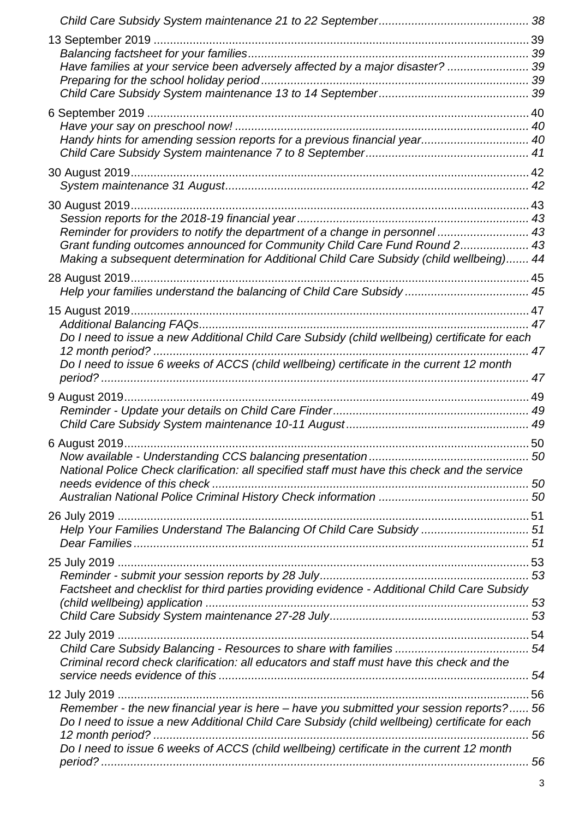| Have families at your service been adversely affected by a major disaster?  39                |    |
|-----------------------------------------------------------------------------------------------|----|
|                                                                                               |    |
|                                                                                               |    |
|                                                                                               |    |
| Handy hints for amending session reports for a previous financial year 40                     |    |
|                                                                                               |    |
|                                                                                               |    |
|                                                                                               |    |
| 30 August 2019                                                                                |    |
| Reminder for providers to notify the department of a change in personnel  43                  |    |
| Grant funding outcomes announced for Community Child Care Fund Round 2 43                     |    |
| Making a subsequent determination for Additional Child Care Subsidy (child wellbeing) 44      |    |
|                                                                                               |    |
| Help your families understand the balancing of Child Care Subsidy  45                         |    |
| 15 August 2019                                                                                |    |
| Do I need to issue a new Additional Child Care Subsidy (child wellbeing) certificate for each |    |
|                                                                                               |    |
| Do I need to issue 6 weeks of ACCS (child wellbeing) certificate in the current 12 month      |    |
|                                                                                               | 47 |
|                                                                                               |    |
|                                                                                               |    |
|                                                                                               |    |
|                                                                                               |    |
| National Police Check clarification: all specified staff must have this check and the service |    |
|                                                                                               |    |
|                                                                                               |    |
| Help Your Families Understand The Balancing Of Child Care Subsidy  51                         |    |
|                                                                                               |    |
|                                                                                               |    |
|                                                                                               |    |
| Factsheet and checklist for third parties providing evidence - Additional Child Care Subsidy  |    |
|                                                                                               |    |
|                                                                                               |    |
|                                                                                               |    |
| Criminal record check clarification: all educators and staff must have this check and the     |    |
|                                                                                               |    |
|                                                                                               |    |
| Remember - the new financial year is here - have you submitted your session reports? 56       |    |
| Do I need to issue a new Additional Child Care Subsidy (child wellbeing) certificate for each | 56 |
| Do I need to issue 6 weeks of ACCS (child wellbeing) certificate in the current 12 month      |    |
|                                                                                               |    |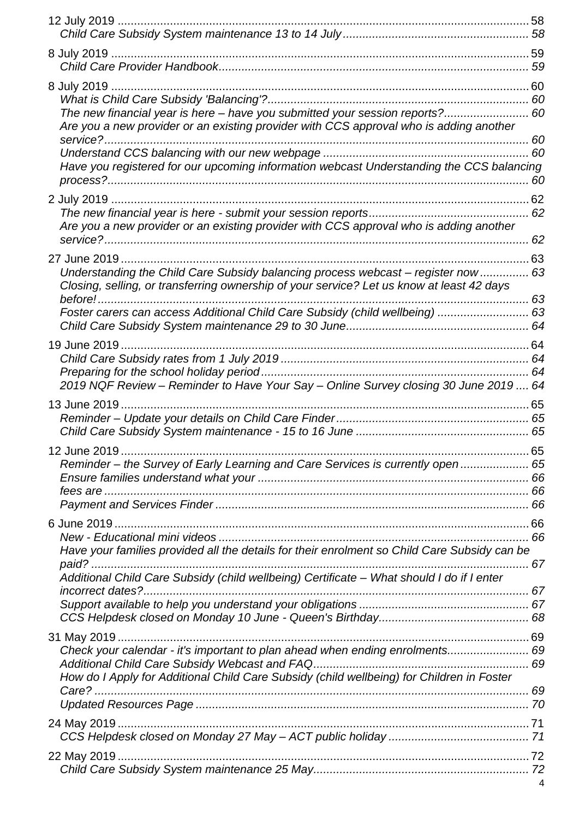| The new financial year is here - have you submitted your session reports? 60                       |    |
|----------------------------------------------------------------------------------------------------|----|
| Are you a new provider or an existing provider with CCS approval who is adding another<br>service? |    |
|                                                                                                    |    |
| Have you registered for our upcoming information webcast Understanding the CCS balancing           |    |
|                                                                                                    |    |
|                                                                                                    |    |
| Are you a new provider or an existing provider with CCS approval who is adding another             |    |
|                                                                                                    |    |
| Understanding the Child Care Subsidy balancing process webcast - register now  63                  |    |
| Closing, selling, or transferring ownership of your service? Let us know at least 42 days          |    |
| Foster carers can access Additional Child Care Subsidy (child wellbeing)  63                       |    |
|                                                                                                    |    |
|                                                                                                    |    |
|                                                                                                    |    |
|                                                                                                    |    |
| 2019 NQF Review - Reminder to Have Your Say - Online Survey closing 30 June 2019  64               |    |
| 13 June 2019                                                                                       |    |
|                                                                                                    |    |
|                                                                                                    |    |
| 12 June 2019                                                                                       | 65 |
| Reminder - the Survey of Early Learning and Care Services is currently open  65                    |    |
|                                                                                                    |    |
|                                                                                                    |    |
|                                                                                                    |    |
|                                                                                                    |    |
| Have your families provided all the details for their enrolment so Child Care Subsidy can be       |    |
| Additional Child Care Subsidy (child wellbeing) Certificate - What should I do if I enter          |    |
| incorrect dates?                                                                                   |    |
|                                                                                                    |    |
|                                                                                                    |    |
|                                                                                                    |    |
| Check your calendar - it's important to plan ahead when ending enrolments 69                       |    |
| How do I Apply for Additional Child Care Subsidy (child wellbeing) for Children in Foster          |    |
|                                                                                                    |    |
|                                                                                                    |    |
|                                                                                                    |    |
|                                                                                                    |    |
|                                                                                                    |    |
|                                                                                                    |    |
|                                                                                                    |    |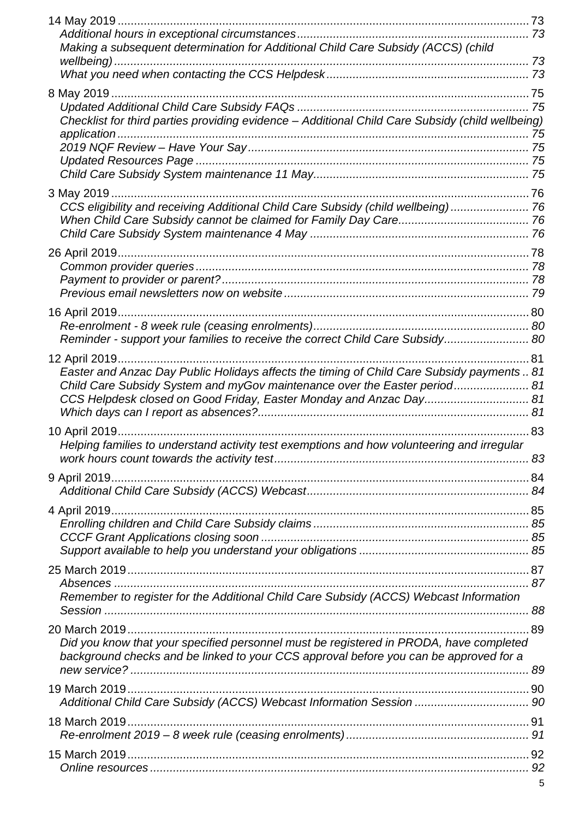| Making a subsequent determination for Additional Child Care Subsidy (ACCS) (child                                                               |      |
|-------------------------------------------------------------------------------------------------------------------------------------------------|------|
|                                                                                                                                                 |      |
|                                                                                                                                                 |      |
|                                                                                                                                                 |      |
|                                                                                                                                                 |      |
| Checklist for third parties providing evidence - Additional Child Care Subsidy (child wellbeing)<br>application                                 |      |
|                                                                                                                                                 |      |
|                                                                                                                                                 |      |
|                                                                                                                                                 |      |
|                                                                                                                                                 |      |
| CCS eligibility and receiving Additional Child Care Subsidy (child wellbeing) 76                                                                |      |
|                                                                                                                                                 |      |
|                                                                                                                                                 |      |
| 26 April 2019                                                                                                                                   |      |
|                                                                                                                                                 |      |
|                                                                                                                                                 |      |
|                                                                                                                                                 |      |
| 16 April 2019                                                                                                                                   |      |
| Reminder - support your families to receive the correct Child Care Subsidy 80                                                                   |      |
| 12 April 2019<br>81                                                                                                                             |      |
| Easter and Anzac Day Public Holidays affects the timing of Child Care Subsidy payments  81                                                      |      |
| Child Care Subsidy System and myGov maintenance over the Easter period 81<br>CCS Helpdesk closed on Good Friday, Easter Monday and Anzac Day 81 |      |
|                                                                                                                                                 |      |
|                                                                                                                                                 | . 83 |
| Helping families to understand activity test exemptions and how volunteering and irregular                                                      |      |
|                                                                                                                                                 |      |
|                                                                                                                                                 |      |
|                                                                                                                                                 |      |
|                                                                                                                                                 |      |
|                                                                                                                                                 |      |
|                                                                                                                                                 |      |
|                                                                                                                                                 |      |
|                                                                                                                                                 |      |
| Remember to register for the Additional Child Care Subsidy (ACCS) Webcast Information                                                           |      |
|                                                                                                                                                 |      |
|                                                                                                                                                 |      |
| Did you know that your specified personnel must be registered in PRODA, have completed                                                          |      |
| background checks and be linked to your CCS approval before you can be approved for a                                                           |      |
|                                                                                                                                                 |      |
| Additional Child Care Subsidy (ACCS) Webcast Information Session  90                                                                            |      |
|                                                                                                                                                 |      |
|                                                                                                                                                 |      |
|                                                                                                                                                 |      |
|                                                                                                                                                 |      |
|                                                                                                                                                 |      |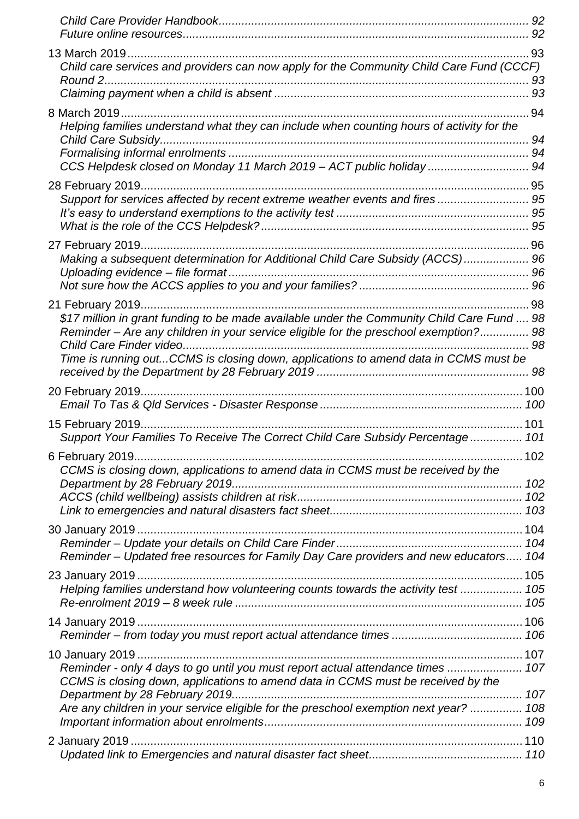| Child care services and providers can now apply for the Community Child Care Fund (CCCF)   |      |
|--------------------------------------------------------------------------------------------|------|
|                                                                                            |      |
| Helping families understand what they can include when counting hours of activity for the  | . 94 |
|                                                                                            | 94   |
| CCS Helpdesk closed on Monday 11 March 2019 - ACT public holiday 94                        |      |
|                                                                                            |      |
| Support for services affected by recent extreme weather events and fires  95               |      |
|                                                                                            |      |
|                                                                                            |      |
|                                                                                            |      |
| Making a subsequent determination for Additional Child Care Subsidy (ACCS) 96              |      |
|                                                                                            |      |
|                                                                                            |      |
| \$17 million in grant funding to be made available under the Community Child Care Fund  98 |      |
| Reminder - Are any children in your service eligible for the preschool exemption? 98       |      |
|                                                                                            |      |
| Time is running outCCMS is closing down, applications to amend data in CCMS must be        |      |
|                                                                                            |      |
|                                                                                            |      |
| Support Your Families To Receive The Correct Child Care Subsidy Percentage 101             |      |
|                                                                                            |      |
| CCMS is closing down, applications to amend data in CCMS must be received by the           |      |
|                                                                                            |      |
|                                                                                            |      |
|                                                                                            |      |
|                                                                                            |      |
| Reminder - Updated free resources for Family Day Care providers and new educators 104      |      |
|                                                                                            |      |
| Helping families understand how volunteering counts towards the activity test  105         |      |
|                                                                                            |      |
|                                                                                            |      |
|                                                                                            |      |
| Reminder - only 4 days to go until you must report actual attendance times  107            |      |
| CCMS is closing down, applications to amend data in CCMS must be received by the           |      |
|                                                                                            |      |
| Are any children in your service eligible for the preschool exemption next year?  108      |      |
|                                                                                            |      |
|                                                                                            |      |
|                                                                                            |      |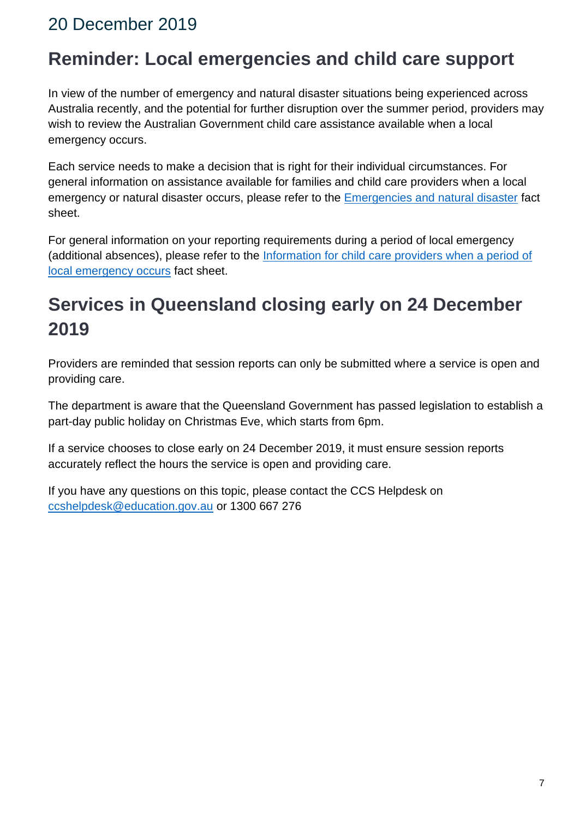#### <span id="page-6-1"></span><span id="page-6-0"></span>**Reminder: Local emergencies and child care support**

In view of the number of emergency and natural disaster situations being experienced across Australia recently, and the potential for further disruption over the summer period, providers may wish to review the Australian Government child care assistance available when a local emergency occurs.

Each service needs to make a decision that is right for their individual circumstances. For general information on assistance available for families and child care providers when a local emergency or natural disaster occurs, please refer to the [Emergencies and natural disaster](https://education.us17.list-manage.com/track/click?u=e11e7c8d748ec85b8de00986c&id=d67965826e&e=5f4b6423be) fact sheet.

For general information on your reporting requirements during a period of local emergency (additional absences), please refer to the Information for child care providers when a period of [local emergency occurs](https://education.us17.list-manage.com/track/click?u=e11e7c8d748ec85b8de00986c&id=dd3a4ebe02&e=5f4b6423be) fact sheet.

# <span id="page-6-2"></span>**Services in Queensland closing early on 24 December 2019**

Providers are reminded that session reports can only be submitted where a service is open and providing care.

The department is aware that the Queensland Government has passed legislation to establish a part-day public holiday on Christmas Eve, which starts from 6pm.

If a service chooses to close early on 24 December 2019, it must ensure session reports accurately reflect the hours the service is open and providing care.

If you have any questions on this topic, please contact the CCS Helpdesk on [ccshelpdesk@education.gov.au](mailto:ccshelpdesk@education.gov.au) or 1300 667 276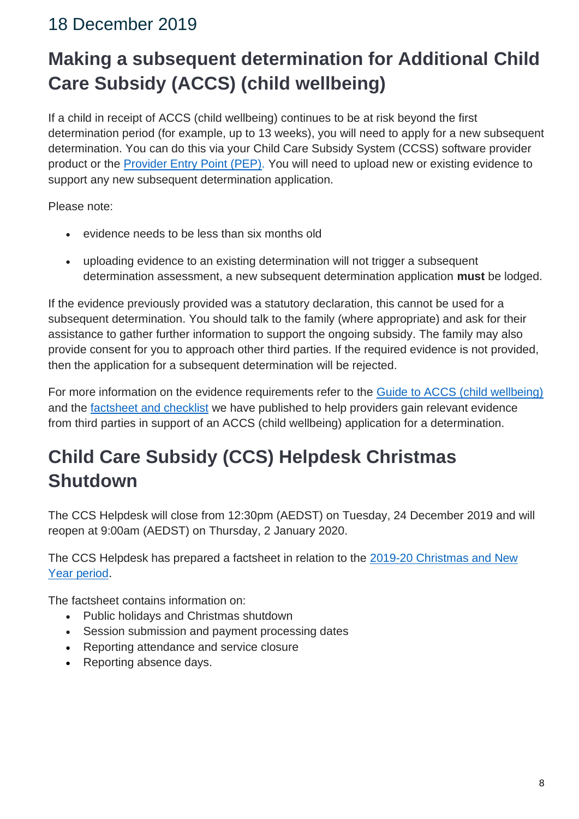# <span id="page-7-1"></span><span id="page-7-0"></span>**Making a subsequent determination for Additional Child Care Subsidy (ACCS) (child wellbeing)**

If a child in receipt of ACCS (child wellbeing) continues to be at risk beyond the first determination period (for example, up to 13 weeks), you will need to apply for a new subsequent determination. You can do this via your Child Care Subsidy System (CCSS) software provider product or the **Provider Entry Point (PEP)**. You will need to upload new or existing evidence to support any new subsequent determination application.

Please note:

- evidence needs to be less than six months old
- uploading evidence to an existing determination will not trigger a subsequent determination assessment, a new subsequent determination application **must** be lodged.

If the evidence previously provided was a statutory declaration, this cannot be used for a subsequent determination. You should talk to the family (where appropriate) and ask for their assistance to gather further information to support the ongoing subsidy. The family may also provide consent for you to approach other third parties. If the required evidence is not provided, then the application for a subsequent determination will be rejected.

For more information on the evidence requirements refer to the [Guide to ACCS \(child wellbeing\)](https://education.us17.list-manage.com/track/click?u=e11e7c8d748ec85b8de00986c&id=f9e15568ba&e=5f4b6423be) and the **factsheet and checklist** we have published to help providers gain relevant evidence from third parties in support of an ACCS (child wellbeing) application for a determination.

# <span id="page-7-2"></span>**Child Care Subsidy (CCS) Helpdesk Christmas Shutdown**

The CCS Helpdesk will close from 12:30pm (AEDST) on Tuesday, 24 December 2019 and will reopen at 9:00am (AEDST) on Thursday, 2 January 2020.

The CCS Helpdesk has prepared a factsheet in relation to the [2019-20 Christmas and New](https://education.us17.list-manage.com/track/click?u=e11e7c8d748ec85b8de00986c&id=4dd32f07da&e=5f4b6423be)  [Year period.](https://education.us17.list-manage.com/track/click?u=e11e7c8d748ec85b8de00986c&id=4dd32f07da&e=5f4b6423be)

The factsheet contains information on:

- Public holidays and Christmas shutdown
- Session submission and payment processing dates
- Reporting attendance and service closure
- Reporting absence days.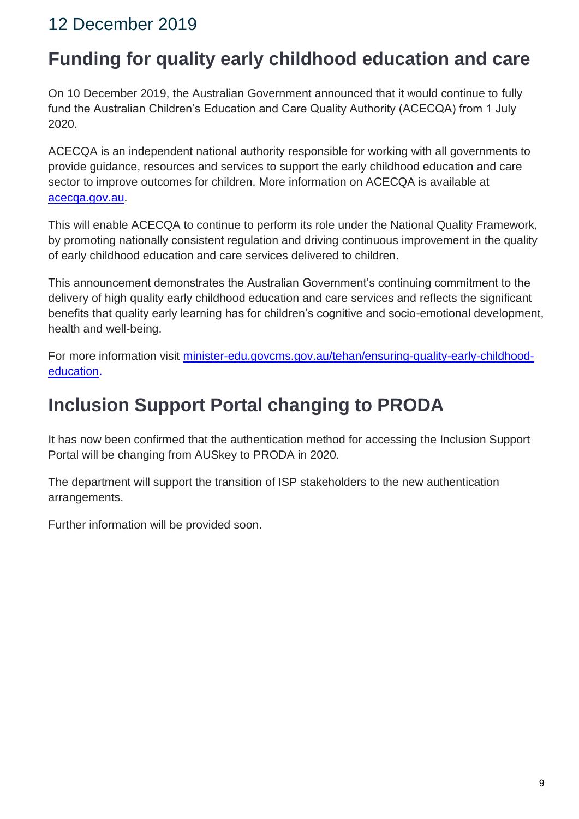### <span id="page-8-1"></span><span id="page-8-0"></span>**Funding for quality early childhood education and care**

On 10 December 2019, the Australian Government announced that it would continue to fully fund the Australian Children's Education and Care Quality Authority (ACECQA) from 1 July 2020.

ACECQA is an independent national authority responsible for working with all governments to provide guidance, resources and services to support the early childhood education and care sector to improve outcomes for children. More information on ACECQA is available at [acecqa.gov.au.](https://education.us17.list-manage.com/track/click?u=e11e7c8d748ec85b8de00986c&id=3960ff0770&e=5f4b6423be)

This will enable ACECQA to continue to perform its role under the National Quality Framework, by promoting nationally consistent regulation and driving continuous improvement in the quality of early childhood education and care services delivered to children.

This announcement demonstrates the Australian Government's continuing commitment to the delivery of high quality early childhood education and care services and reflects the significant benefits that quality early learning has for children's cognitive and socio-emotional development, health and well-being.

For more information visit [minister-edu.govcms.gov.au/tehan/ensuring-quality-early-childhood](https://education.us17.list-manage.com/track/click?u=e11e7c8d748ec85b8de00986c&id=b4e192fdca&e=5f4b6423be)[education.](https://education.us17.list-manage.com/track/click?u=e11e7c8d748ec85b8de00986c&id=b4e192fdca&e=5f4b6423be)

# <span id="page-8-2"></span>**Inclusion Support Portal changing to PRODA**

It has now been confirmed that the authentication method for accessing the Inclusion Support Portal will be changing from AUSkey to PRODA in 2020.

The department will support the transition of ISP stakeholders to the new authentication arrangements.

Further information will be provided soon.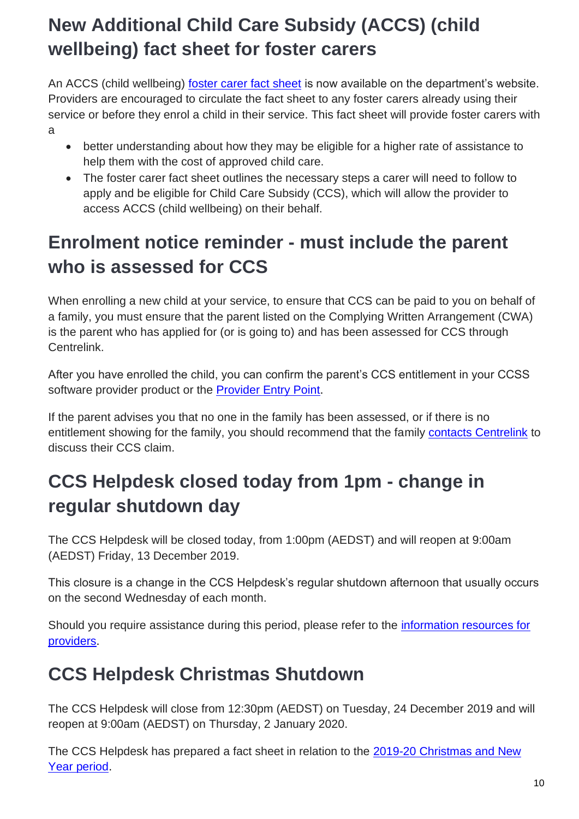# <span id="page-9-0"></span>**New Additional Child Care Subsidy (ACCS) (child wellbeing) fact sheet for foster carers**

An ACCS (child wellbeing) [foster carer fact sheet](https://education.us17.list-manage.com/track/click?u=e11e7c8d748ec85b8de00986c&id=7c096bd5c9&e=5f4b6423be) is now available on the department's website. Providers are encouraged to circulate the fact sheet to any foster carers already using their service or before they enrol a child in their service. This fact sheet will provide foster carers with a

- better understanding about how they may be eligible for a higher rate of assistance to help them with the cost of approved child care.
- The foster carer fact sheet outlines the necessary steps a carer will need to follow to apply and be eligible for Child Care Subsidy (CCS), which will allow the provider to access ACCS (child wellbeing) on their behalf.

# <span id="page-9-1"></span>**Enrolment notice reminder - must include the parent who is assessed for CCS**

When enrolling a new child at your service, to ensure that CCS can be paid to you on behalf of a family, you must ensure that the parent listed on the Complying Written Arrangement (CWA) is the parent who has applied for (or is going to) and has been assessed for CCS through Centrelink.

After you have enrolled the child, you can confirm the parent's CCS entitlement in your CCSS software provider product or the [Provider Entry Point.](https://education.us17.list-manage.com/track/click?u=e11e7c8d748ec85b8de00986c&id=bd49e27a34&e=5f4b6423be)

If the parent advises you that no one in the family has been assessed, or if there is no entitlement showing for the family, you should recommend that the family [contacts Centrelink](https://education.us17.list-manage.com/track/click?u=e11e7c8d748ec85b8de00986c&id=a03af29fbf&e=5f4b6423be) to discuss their CCS claim.

# <span id="page-9-2"></span>**CCS Helpdesk closed today from 1pm - change in regular shutdown day**

The CCS Helpdesk will be closed today, from 1:00pm (AEDST) and will reopen at 9:00am (AEDST) Friday, 13 December 2019.

This closure is a change in the CCS Helpdesk's regular shutdown afternoon that usually occurs on the second Wednesday of each month.

Should you require assistance during this period, please refer to the *information resources for* [providers.](https://education.us17.list-manage.com/track/click?u=e11e7c8d748ec85b8de00986c&id=54cd77a73b&e=5f4b6423be)

# <span id="page-9-3"></span>**CCS Helpdesk Christmas Shutdown**

The CCS Helpdesk will close from 12:30pm (AEDST) on Tuesday, 24 December 2019 and will reopen at 9:00am (AEDST) on Thursday, 2 January 2020.

The CCS Helpdesk has prepared a fact sheet in relation to the 2019-20 Christmas and New [Year period.](https://education.us17.list-manage.com/track/click?u=e11e7c8d748ec85b8de00986c&id=f95008720d&e=5f4b6423be)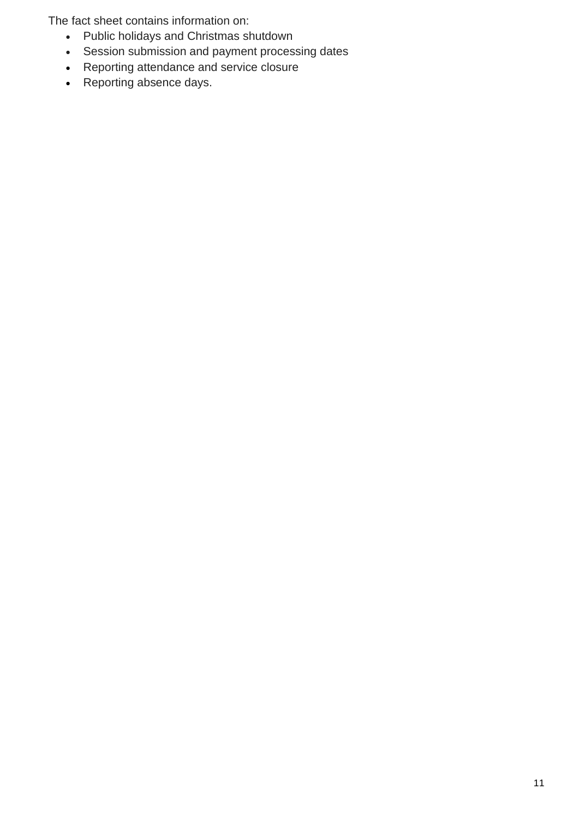The fact sheet contains information on:

- Public holidays and Christmas shutdown
- Session submission and payment processing dates
- Reporting attendance and service closure
- Reporting absence days.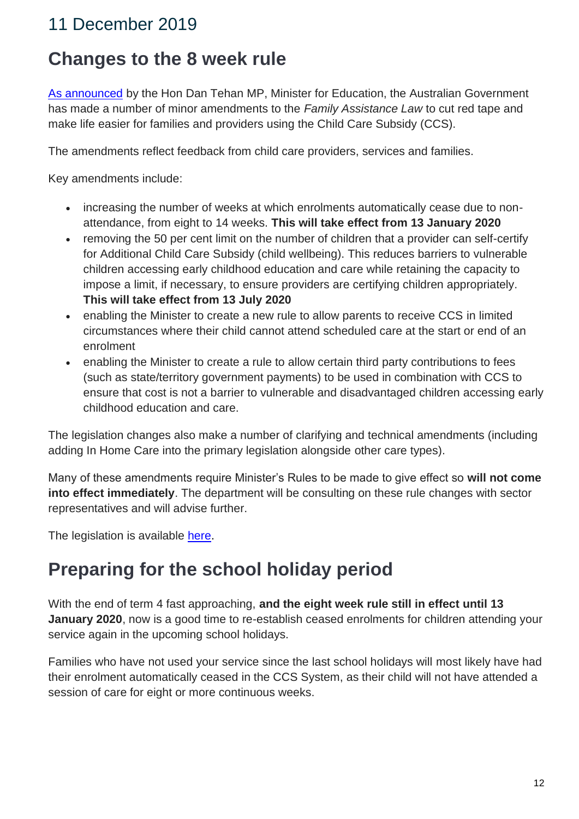#### <span id="page-11-1"></span><span id="page-11-0"></span>**Changes to the 8 week rule**

[As announced](https://education.us17.list-manage.com/track/click?u=e11e7c8d748ec85b8de00986c&id=3c663d2a16&e=5f4b6423be) by the Hon Dan Tehan MP, Minister for Education, the Australian Government has made a number of minor amendments to the *Family Assistance Law* to cut red tape and make life easier for families and providers using the Child Care Subsidy (CCS).

The amendments reflect feedback from child care providers, services and families.

Key amendments include:

- increasing the number of weeks at which enrolments automatically cease due to nonattendance, from eight to 14 weeks. **This will take effect from 13 January 2020**
- removing the 50 per cent limit on the number of children that a provider can self-certify for Additional Child Care Subsidy (child wellbeing). This reduces barriers to vulnerable children accessing early childhood education and care while retaining the capacity to impose a limit, if necessary, to ensure providers are certifying children appropriately. **This will take effect from 13 July 2020**
- enabling the Minister to create a new rule to allow parents to receive CCS in limited circumstances where their child cannot attend scheduled care at the start or end of an enrolment
- enabling the Minister to create a rule to allow certain third party contributions to fees (such as state/territory government payments) to be used in combination with CCS to ensure that cost is not a barrier to vulnerable and disadvantaged children accessing early childhood education and care.

The legislation changes also make a number of clarifying and technical amendments (including adding In Home Care into the primary legislation alongside other care types).

Many of these amendments require Minister's Rules to be made to give effect so **will not come into effect immediately**. The department will be consulting on these rule changes with sector representatives and will advise further.

The legislation is available [here.](https://education.us17.list-manage.com/track/click?u=e11e7c8d748ec85b8de00986c&id=133d62c647&e=5f4b6423be)

#### <span id="page-11-2"></span>**Preparing for the school holiday period**

With the end of term 4 fast approaching, **and the eight week rule still in effect until 13 January 2020**, now is a good time to re-establish ceased enrolments for children attending your service again in the upcoming school holidays.

Families who have not used your service since the last school holidays will most likely have had their enrolment automatically ceased in the CCS System, as their child will not have attended a session of care for eight or more continuous weeks.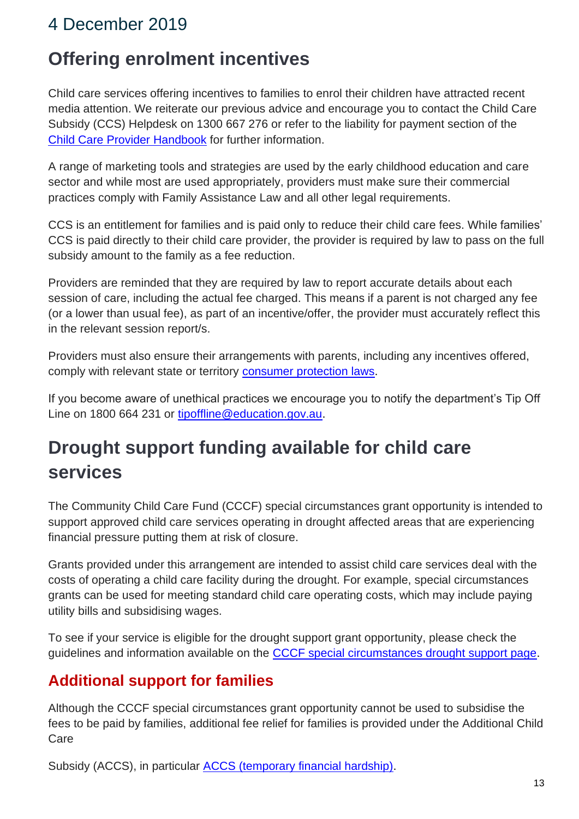#### <span id="page-12-1"></span><span id="page-12-0"></span>**Offering enrolment incentives**

Child care services offering incentives to families to enrol their children have attracted recent media attention. We reiterate our previous advice and encourage you to contact the Child Care Subsidy (CCS) Helpdesk on 1300 667 276 or refer to the liability for payment section of the [Child Care Provider Handbook](https://education.us17.list-manage.com/track/click?u=e11e7c8d748ec85b8de00986c&id=147f91c858&e=5f4b6423be) for further information.

A range of marketing tools and strategies are used by the early childhood education and care sector and while most are used appropriately, providers must make sure their commercial practices comply with Family Assistance Law and all other legal requirements.

CCS is an entitlement for families and is paid only to reduce their child care fees. While families' CCS is paid directly to their child care provider, the provider is required by law to pass on the full subsidy amount to the family as a fee reduction.

Providers are reminded that they are required by law to report accurate details about each session of care, including the actual fee charged. This means if a parent is not charged any fee (or a lower than usual fee), as part of an incentive/offer, the provider must accurately reflect this in the relevant session report/s.

Providers must also ensure their arrangements with parents, including any incentives offered, comply with relevant state or territory [consumer protection laws.](https://education.us17.list-manage.com/track/click?u=e11e7c8d748ec85b8de00986c&id=65741ad697&e=5f4b6423be)

If you become aware of unethical practices we encourage you to notify the department's Tip Off Line on 1800 664 231 or [tipoffline@education.gov.au.](mailto:tipoffline@education.gov.au)

# <span id="page-12-2"></span>**Drought support funding available for child care services**

The Community Child Care Fund (CCCF) special circumstances grant opportunity is intended to support approved child care services operating in drought affected areas that are experiencing financial pressure putting them at risk of closure.

Grants provided under this arrangement are intended to assist child care services deal with the costs of operating a child care facility during the drought. For example, special circumstances grants can be used for meeting standard child care operating costs, which may include paying utility bills and subsidising wages.

To see if your service is eligible for the drought support grant opportunity, please check the guidelines and information available on the [CCCF special circumstances drought support page.](https://education.us17.list-manage.com/track/click?u=e11e7c8d748ec85b8de00986c&id=d94a6c20c1&e=5f4b6423be)

#### **Additional support for families**

Although the CCCF special circumstances grant opportunity cannot be used to subsidise the fees to be paid by families, additional fee relief for families is provided under the Additional Child Care

Subsidy (ACCS), in particular **ACCS** (temporary financial hardship).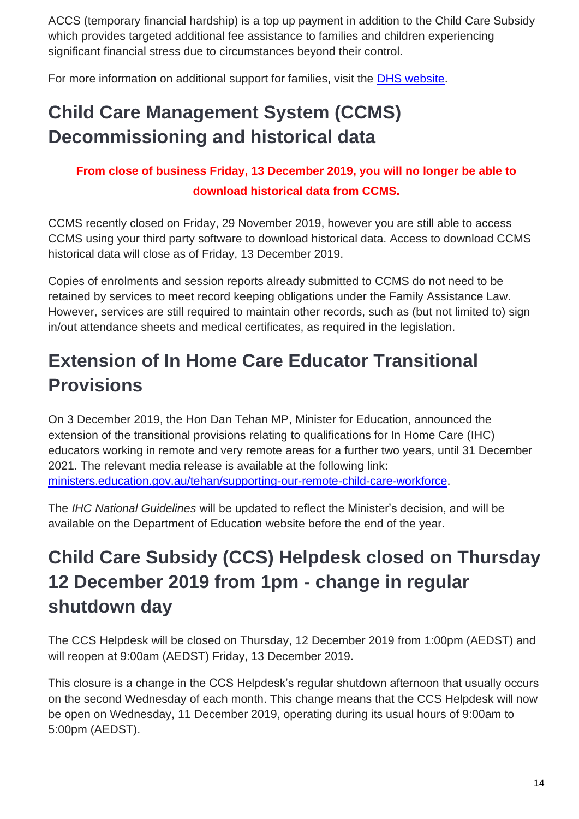ACCS (temporary financial hardship) is a top up payment in addition to the Child Care Subsidy which provides targeted additional fee assistance to families and children experiencing significant financial stress due to circumstances beyond their control.

For more information on additional support for families, visit the [DHS website.](https://education.us17.list-manage.com/track/click?u=e11e7c8d748ec85b8de00986c&id=0a956e62ab&e=5f4b6423be)

# <span id="page-13-0"></span>**Child Care Management System (CCMS) Decommissioning and historical data**

#### **From close of business Friday, 13 December 2019, you will no longer be able to download historical data from CCMS.**

CCMS recently closed on Friday, 29 November 2019, however you are still able to access CCMS using your third party software to download historical data. Access to download CCMS historical data will close as of Friday, 13 December 2019.

Copies of enrolments and session reports already submitted to CCMS do not need to be retained by services to meet record keeping obligations under the Family Assistance Law. However, services are still required to maintain other records, such as (but not limited to) sign in/out attendance sheets and medical certificates, as required in the legislation.

# <span id="page-13-1"></span>**Extension of In Home Care Educator Transitional Provisions**

On 3 December 2019, the Hon Dan Tehan MP, Minister for Education, announced the extension of the transitional provisions relating to qualifications for In Home Care (IHC) educators working in remote and very remote areas for a further two years, until 31 December 2021. The relevant media release is available at the following link: [ministers.education.gov.au/tehan/supporting-our-remote-child-care-workforce.](https://education.us17.list-manage.com/track/click?u=e11e7c8d748ec85b8de00986c&id=898d3abf84&e=5f4b6423be)

The *IHC National Guidelines* will be updated to reflect the Minister's decision, and will be available on the Department of Education website before the end of the year.

# <span id="page-13-2"></span>**Child Care Subsidy (CCS) Helpdesk closed on Thursday 12 December 2019 from 1pm - change in regular shutdown day**

The CCS Helpdesk will be closed on Thursday, 12 December 2019 from 1:00pm (AEDST) and will reopen at 9:00am (AEDST) Friday, 13 December 2019.

This closure is a change in the CCS Helpdesk's regular shutdown afternoon that usually occurs on the second Wednesday of each month. This change means that the CCS Helpdesk will now be open on Wednesday, 11 December 2019, operating during its usual hours of 9:00am to 5:00pm (AEDST).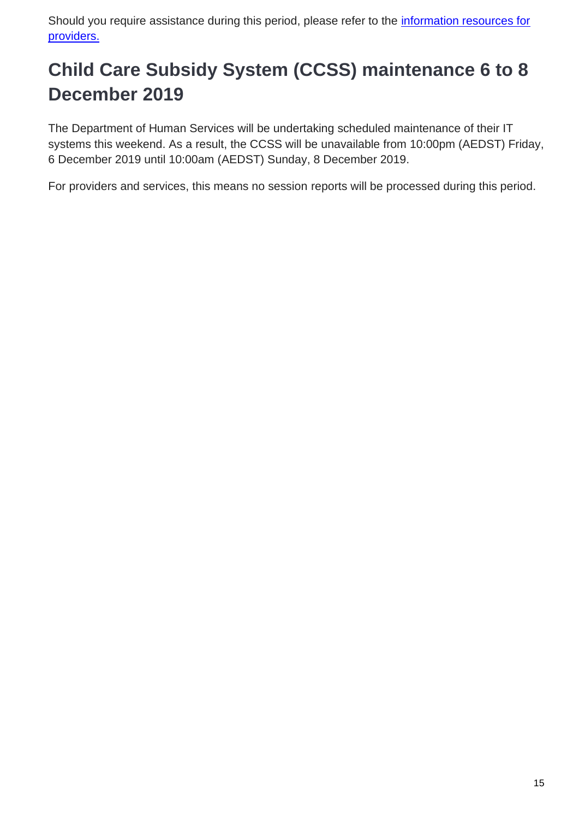Should you require assistance during this period, please refer to the *information resources for* [providers.](https://education.us17.list-manage.com/track/click?u=e11e7c8d748ec85b8de00986c&id=cf827eeed1&e=5f4b6423be)

# <span id="page-14-0"></span>**Child Care Subsidy System (CCSS) maintenance 6 to 8 December 2019**

The Department of Human Services will be undertaking scheduled maintenance of their IT systems this weekend. As a result, the CCSS will be unavailable from 10:00pm (AEDST) Friday, 6 December 2019 until 10:00am (AEDST) Sunday, 8 December 2019.

For providers and services, this means no session reports will be processed during this period.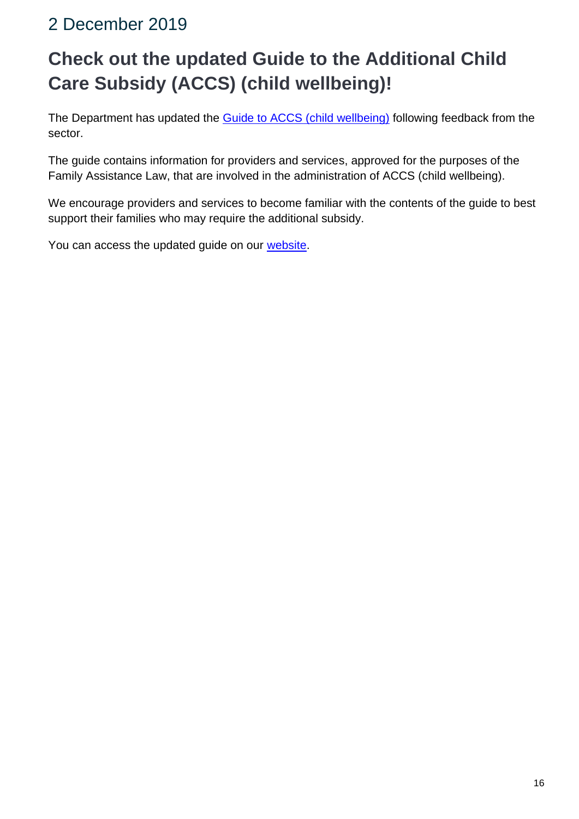# <span id="page-15-1"></span><span id="page-15-0"></span>**Check out the updated Guide to the Additional Child Care Subsidy (ACCS) (child wellbeing)!**

The Department has updated the [Guide to ACCS \(child wellbeing\)](https://education.us17.list-manage.com/track/click?u=e11e7c8d748ec85b8de00986c&id=e75da9a33f&e=5f4b6423be) following feedback from the sector.

The guide contains information for providers and services, approved for the purposes of the Family Assistance Law, that are involved in the administration of ACCS (child wellbeing).

We encourage providers and services to become familiar with the contents of the guide to best support their families who may require the additional subsidy.

You can access the updated guide on our [website.](https://education.us17.list-manage.com/track/click?u=e11e7c8d748ec85b8de00986c&id=f04c8e9d6b&e=5f4b6423be)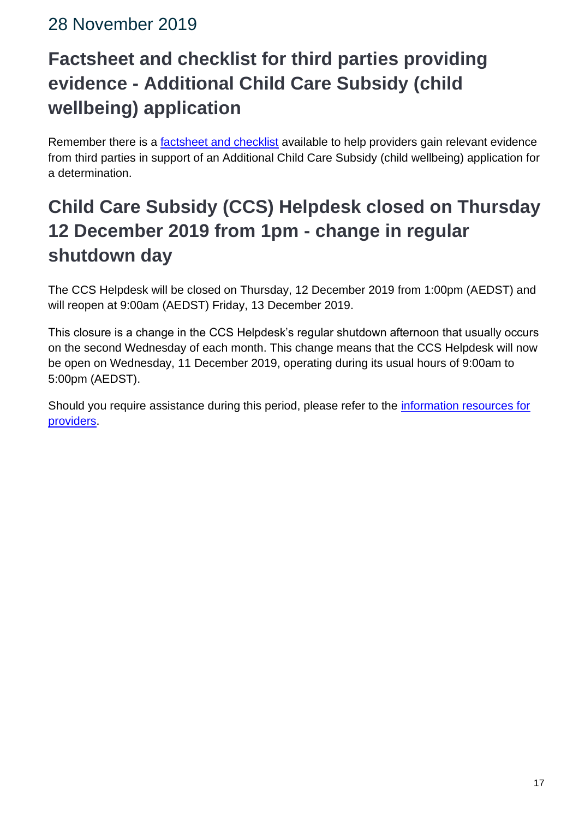#### <span id="page-16-0"></span>28 November 2019

# <span id="page-16-1"></span>**Factsheet and checklist for third parties providing evidence - Additional Child Care Subsidy (child wellbeing) application**

Remember there is a **factsheet and checklist** available to help providers gain relevant evidence from third parties in support of an Additional Child Care Subsidy (child wellbeing) application for a determination.

# <span id="page-16-2"></span>**Child Care Subsidy (CCS) Helpdesk closed on Thursday 12 December 2019 from 1pm - change in regular shutdown day**

The CCS Helpdesk will be closed on Thursday, 12 December 2019 from 1:00pm (AEDST) and will reopen at 9:00am (AEDST) Friday, 13 December 2019.

This closure is a change in the CCS Helpdesk's regular shutdown afternoon that usually occurs on the second Wednesday of each month. This change means that the CCS Helpdesk will now be open on Wednesday, 11 December 2019, operating during its usual hours of 9:00am to 5:00pm (AEDST).

Should you require assistance during this period, please refer to the *information resources for* [providers.](https://education.us17.list-manage.com/track/click?u=e11e7c8d748ec85b8de00986c&id=ed2a3c3513&e=5f4b6423be)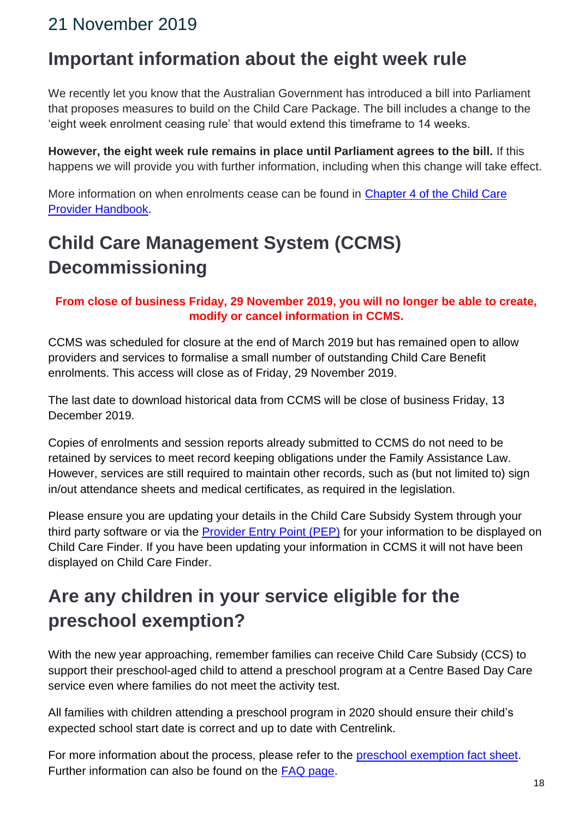#### <span id="page-17-0"></span>21 November 2019

### <span id="page-17-1"></span>**Important information about the eight week rule**

We recently let you know that the Australian Government has introduced a bill into Parliament that proposes measures to build on the Child Care Package. The bill includes a change to the 'eight week enrolment ceasing rule' that would extend this timeframe to 14 weeks.

**However, the eight week rule remains in place until Parliament agrees to the bill.** If this happens we will provide you with further information, including when this change will take effect.

More information on when enrolments cease can be found in [Chapter 4 of the Child Care](https://education.us17.list-manage.com/track/click?u=e11e7c8d748ec85b8de00986c&id=ff8bd0b98d&e=5f4b6423be)  [Provider Handbook.](https://education.us17.list-manage.com/track/click?u=e11e7c8d748ec85b8de00986c&id=ff8bd0b98d&e=5f4b6423be)

# <span id="page-17-2"></span>**Child Care Management System (CCMS) Decommissioning**

#### **From close of business Friday, 29 November 2019, you will no longer be able to create, modify or cancel information in CCMS.**

CCMS was scheduled for closure at the end of March 2019 but has remained open to allow providers and services to formalise a small number of outstanding Child Care Benefit enrolments. This access will close as of Friday, 29 November 2019.

The last date to download historical data from CCMS will be close of business Friday, 13 December 2019.

Copies of enrolments and session reports already submitted to CCMS do not need to be retained by services to meet record keeping obligations under the Family Assistance Law. However, services are still required to maintain other records, such as (but not limited to) sign in/out attendance sheets and medical certificates, as required in the legislation.

Please ensure you are updating your details in the Child Care Subsidy System through your third party software or via the [Provider Entry Point \(PEP\)](https://education.us17.list-manage.com/track/click?u=e11e7c8d748ec85b8de00986c&id=686b5d3a3b&e=5f4b6423be) for your information to be displayed on Child Care Finder. If you have been updating your information in CCMS it will not have been displayed on Child Care Finder.

# <span id="page-17-3"></span>**Are any children in your service eligible for the preschool exemption?**

With the new year approaching, remember families can receive Child Care Subsidy (CCS) to support their preschool-aged child to attend a preschool program at a Centre Based Day Care service even where families do not meet the activity test.

All families with children attending a preschool program in 2020 should ensure their child's expected school start date is correct and up to date with Centrelink.

For more information about the process, please refer to the [preschool exemption fact sheet.](https://education.us17.list-manage.com/track/click?u=e11e7c8d748ec85b8de00986c&id=4e79260aee&e=5f4b6423be) Further information can also be found on the [FAQ page.](https://education.us17.list-manage.com/track/click?u=e11e7c8d748ec85b8de00986c&id=8fd3ef72d5&e=5f4b6423be)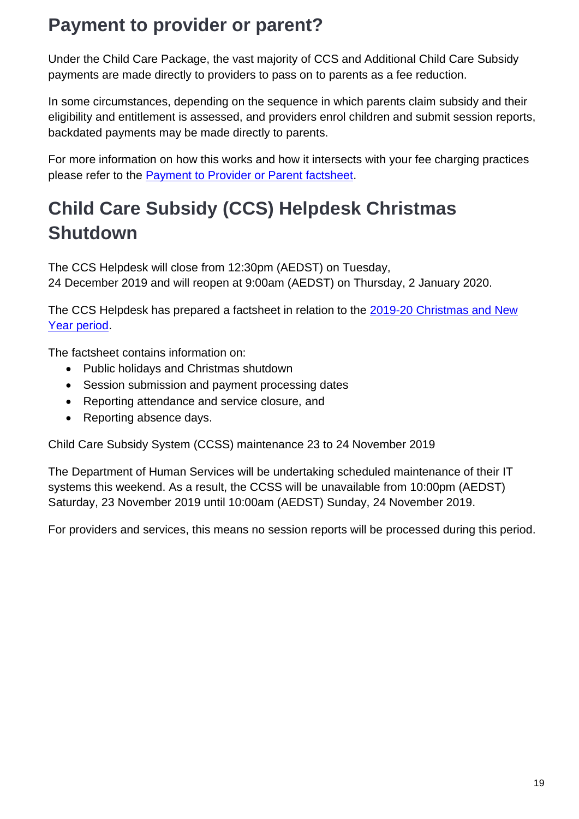### <span id="page-18-0"></span>**Payment to provider or parent?**

Under the Child Care Package, the vast majority of CCS and Additional Child Care Subsidy payments are made directly to providers to pass on to parents as a fee reduction.

In some circumstances, depending on the sequence in which parents claim subsidy and their eligibility and entitlement is assessed, and providers enrol children and submit session reports, backdated payments may be made directly to parents.

For more information on how this works and how it intersects with your fee charging practices please refer to the **Payment to Provider or Parent factsheet**.

# <span id="page-18-1"></span>**Child Care Subsidy (CCS) Helpdesk Christmas Shutdown**

The CCS Helpdesk will close from 12:30pm (AEDST) on Tuesday, 24 December 2019 and will reopen at 9:00am (AEDST) on Thursday, 2 January 2020.

The CCS Helpdesk has prepared a factsheet in relation to the 2019-20 Christmas and New [Year period.](https://education.us17.list-manage.com/track/click?u=e11e7c8d748ec85b8de00986c&id=e003a73857&e=5f4b6423be)

The factsheet contains information on:

- Public holidays and Christmas shutdown
- Session submission and payment processing dates
- Reporting attendance and service closure, and
- Reporting absence days.

Child Care Subsidy System (CCSS) maintenance 23 to 24 November 2019

The Department of Human Services will be undertaking scheduled maintenance of their IT systems this weekend. As a result, the CCSS will be unavailable from 10:00pm (AEDST) Saturday, 23 November 2019 until 10:00am (AEDST) Sunday, 24 November 2019.

For providers and services, this means no session reports will be processed during this period.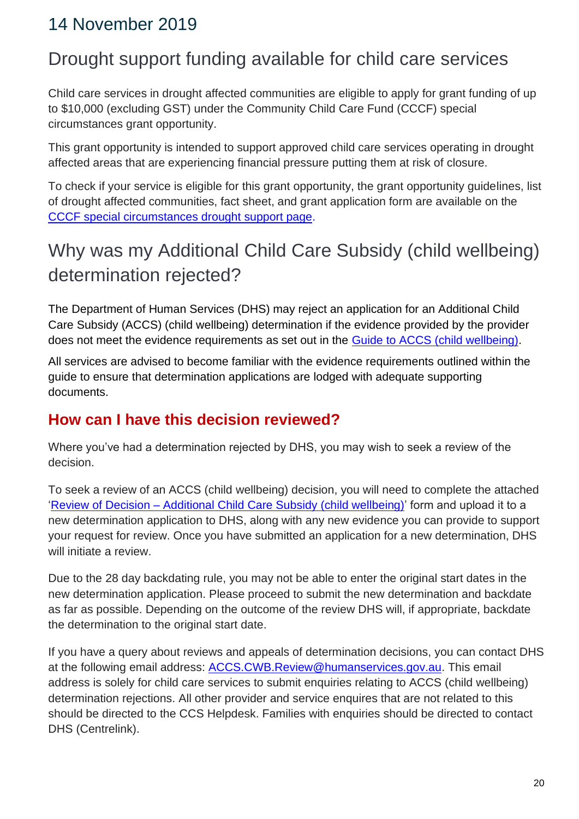#### <span id="page-19-0"></span>14 November 2019

### <span id="page-19-1"></span>Drought support funding available for child care services

Child care services in drought affected communities are eligible to apply for grant funding of up to \$10,000 (excluding GST) under the Community Child Care Fund (CCCF) special circumstances grant opportunity.

This grant opportunity is intended to support approved child care services operating in drought affected areas that are experiencing financial pressure putting them at risk of closure.

To check if your service is eligible for this grant opportunity, the grant opportunity guidelines, list of drought affected communities, fact sheet, and grant application form are available on the [CCCF special circumstances drought support page.](https://education.us17.list-manage.com/track/click?u=e11e7c8d748ec85b8de00986c&id=37914bc2cd&e=5f4b6423be)

# <span id="page-19-2"></span>Why was my Additional Child Care Subsidy (child wellbeing) determination rejected?

The Department of Human Services (DHS) may reject an application for an Additional Child Care Subsidy (ACCS) (child wellbeing) determination if the evidence provided by the provider does not meet the evidence requirements as set out in the **Guide to ACCS** (child wellbeing).

All services are advised to become familiar with the evidence requirements outlined within the guide to ensure that determination applications are lodged with adequate supporting documents.

#### **How can I have this decision reviewed?**

Where you've had a determination rejected by DHS, you may wish to seek a review of the decision.

To seek a review of an ACCS (child wellbeing) decision, you will need to complete the attached 'Review of Decision – [Additional Child Care Subsidy \(child wellbeing\)'](https://education.us17.list-manage.com/track/click?u=e11e7c8d748ec85b8de00986c&id=919f24c5b6&e=5f4b6423be) form and upload it to a new determination application to DHS, along with any new evidence you can provide to support your request for review. Once you have submitted an application for a new determination, DHS will initiate a review.

Due to the 28 day backdating rule, you may not be able to enter the original start dates in the new determination application. Please proceed to submit the new determination and backdate as far as possible. Depending on the outcome of the review DHS will, if appropriate, backdate the determination to the original start date.

If you have a query about reviews and appeals of determination decisions, you can contact DHS at the following email address: [ACCS.CWB.Review@humanservices.gov.au.](mailto:ACCS.CWB.Review@humanservices.gov.au) This email address is solely for child care services to submit enquiries relating to ACCS (child wellbeing) determination rejections. All other provider and service enquires that are not related to this should be directed to the CCS Helpdesk. Families with enquiries should be directed to contact DHS (Centrelink).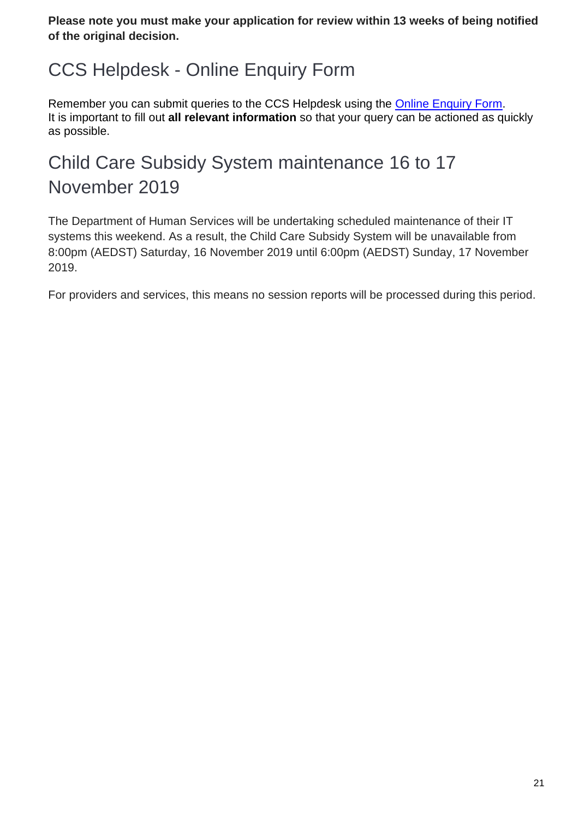**Please note you must make your application for review within 13 weeks of being notified of the original decision.**

# <span id="page-20-0"></span>CCS Helpdesk - Online Enquiry Form

Remember you can submit queries to the CCS Helpdesk using the [Online Enquiry Form.](https://education.us17.list-manage.com/track/click?u=e11e7c8d748ec85b8de00986c&id=c8b658e48d&e=5f4b6423be) It is important to fill out **all relevant information** so that your query can be actioned as quickly as possible.

# <span id="page-20-1"></span>Child Care Subsidy System maintenance 16 to 17 November 2019

The Department of Human Services will be undertaking scheduled maintenance of their IT systems this weekend. As a result, the Child Care Subsidy System will be unavailable from 8:00pm (AEDST) Saturday, 16 November 2019 until 6:00pm (AEDST) Sunday, 17 November 2019.

For providers and services, this means no session reports will be processed during this period.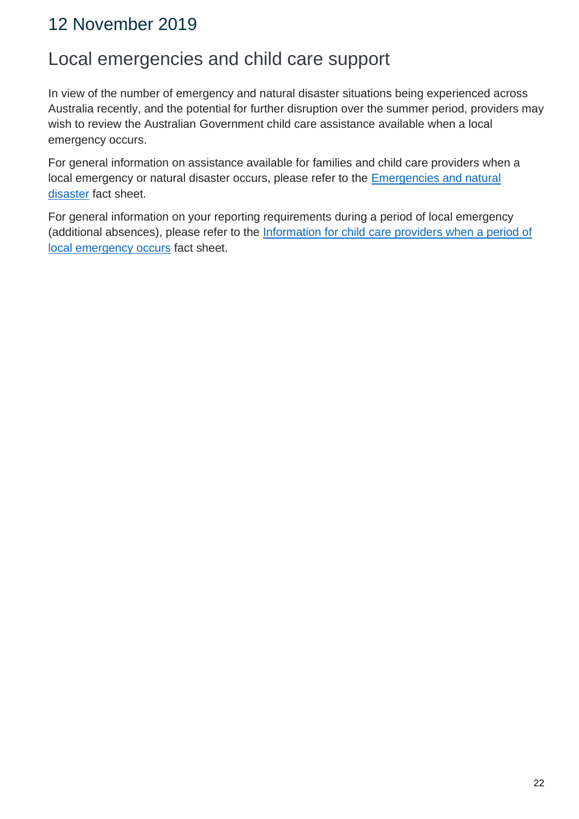#### <span id="page-21-0"></span>12 November 2019

#### <span id="page-21-1"></span>Local emergencies and child care support

In view of the number of emergency and natural disaster situations being experienced across Australia recently, and the potential for further disruption over the summer period, providers may wish to review the Australian Government child care assistance available when a local emergency occurs.

For general information on assistance available for families and child care providers when a local emergency or natural disaster occurs, please refer to the [Emergencies and natural](https://education.us17.list-manage.com/track/click?u=e11e7c8d748ec85b8de00986c&id=91c3a56091&e=5f4b6423be)  [disaster](https://education.us17.list-manage.com/track/click?u=e11e7c8d748ec85b8de00986c&id=91c3a56091&e=5f4b6423be) fact sheet.

For general information on your reporting requirements during a period of local emergency (additional absences), please refer to the Information for child care providers when a period of [local emergency occurs](https://education.us17.list-manage.com/track/click?u=e11e7c8d748ec85b8de00986c&id=3f262d8f65&e=5f4b6423be) fact sheet.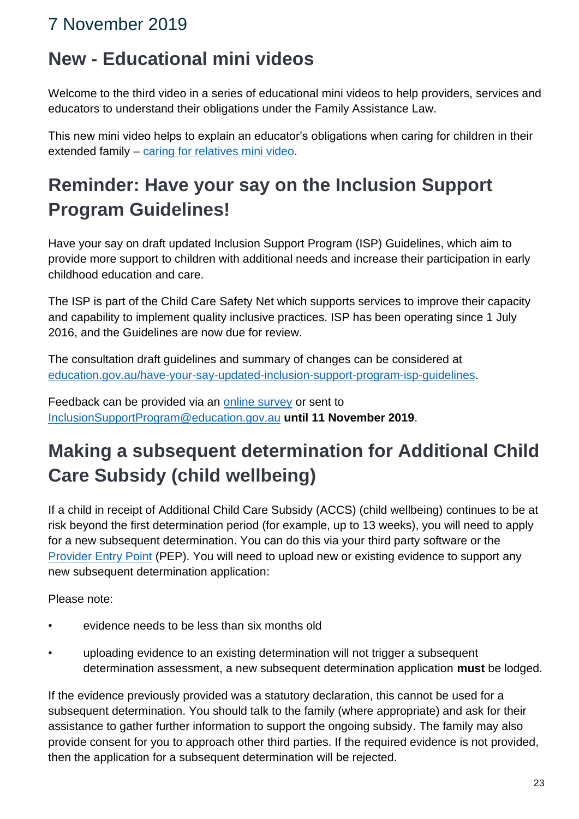### <span id="page-22-0"></span>7 November 2019

### <span id="page-22-1"></span>**New - Educational mini videos**

Welcome to the third video in a series of educational mini videos to help providers, services and educators to understand their obligations under the Family Assistance Law.

This new mini video helps to explain an educator's obligations when caring for children in their extended family – [caring for relatives mini video.](https://education.us17.list-manage.com/track/click?u=e11e7c8d748ec85b8de00986c&id=04e4921cf3&e=5f4b6423be)

# <span id="page-22-2"></span>**Reminder: Have your say on the Inclusion Support Program Guidelines!**

Have your say on draft updated Inclusion Support Program (ISP) Guidelines, which aim to provide more support to children with additional needs and increase their participation in early childhood education and care.

The ISP is part of the Child Care Safety Net which supports services to improve their capacity and capability to implement quality inclusive practices. ISP has been operating since 1 July 2016, and the Guidelines are now due for review.

The consultation draft guidelines and summary of changes can be considered at [education.gov.au/have-your-say-updated-inclusion-support-program-isp-guidelines.](https://education.us17.list-manage.com/track/click?u=e11e7c8d748ec85b8de00986c&id=08f88ead0d&e=5f4b6423be)

Feedback can be provided via an [online survey](https://education.us17.list-manage.com/track/click?u=e11e7c8d748ec85b8de00986c&id=b32e7b9eb7&e=5f4b6423be) or sent to [InclusionSupportProgram@education.gov.au](mailto:InclusionSupportProgram@education.gov.au) **until 11 November 2019**.

# <span id="page-22-3"></span>**Making a subsequent determination for Additional Child Care Subsidy (child wellbeing)**

If a child in receipt of Additional Child Care Subsidy (ACCS) (child wellbeing) continues to be at risk beyond the first determination period (for example, up to 13 weeks), you will need to apply for a new subsequent determination. You can do this via your third party software or the [Provider Entry Point](https://education.us17.list-manage.com/track/click?u=e11e7c8d748ec85b8de00986c&id=51c16a5bec&e=5f4b6423be) (PEP). You will need to upload new or existing evidence to support any new subsequent determination application:

Please note:

- evidence needs to be less than six months old
- uploading evidence to an existing determination will not trigger a subsequent determination assessment, a new subsequent determination application **must** be lodged.

If the evidence previously provided was a statutory declaration, this cannot be used for a subsequent determination. You should talk to the family (where appropriate) and ask for their assistance to gather further information to support the ongoing subsidy. The family may also provide consent for you to approach other third parties. If the required evidence is not provided, then the application for a subsequent determination will be rejected.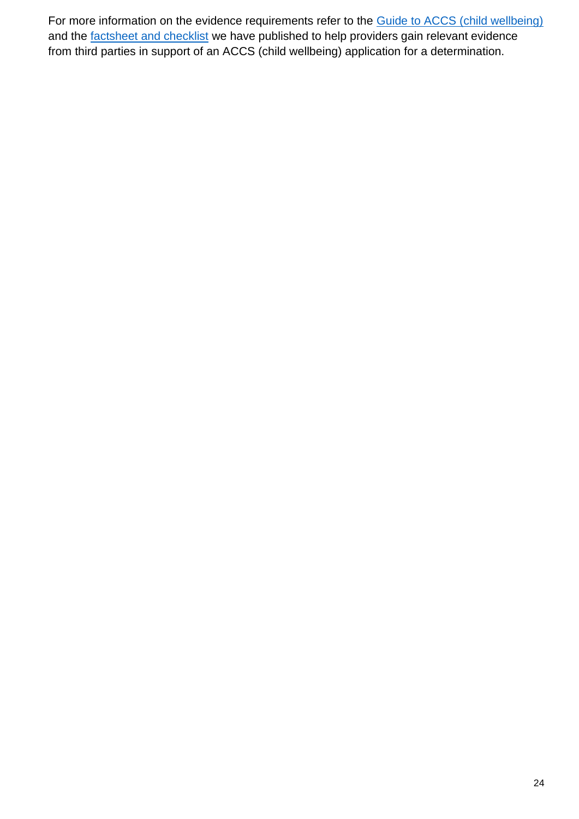For more information on the evidence requirements refer to the **Guide to ACCS** (child wellbeing) and the **factsheet and checklist** we have published to help providers gain relevant evidence from third parties in support of an ACCS (child wellbeing) application for a determination.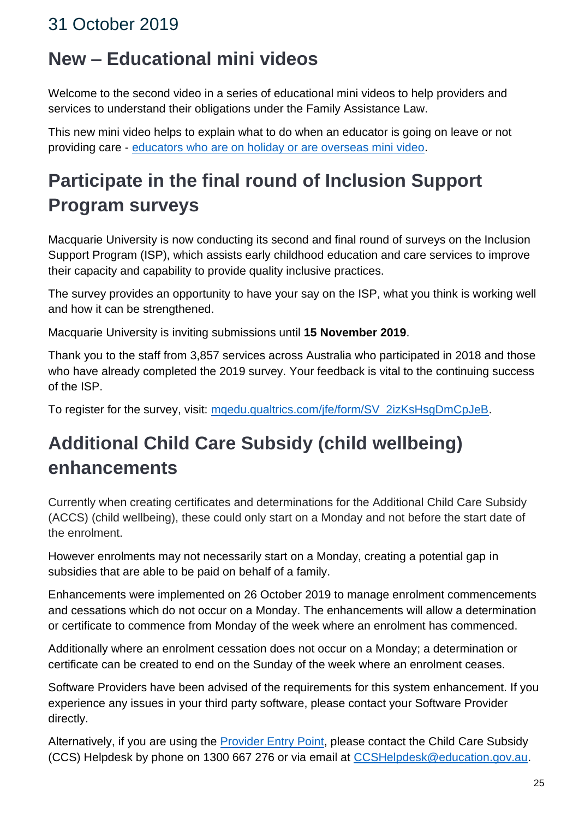### <span id="page-24-1"></span><span id="page-24-0"></span>**New – Educational mini videos**

Welcome to the second video in a series of educational mini videos to help providers and services to understand their obligations under the Family Assistance Law.

This new mini video helps to explain what to do when an educator is going on leave or not providing care - [educators who are on holiday or are overseas mini video.](https://education.us17.list-manage.com/track/click?u=e11e7c8d748ec85b8de00986c&id=54d20de885&e=5f4b6423be)

# <span id="page-24-2"></span>**Participate in the final round of Inclusion Support Program surveys**

Macquarie University is now conducting its second and final round of surveys on the Inclusion Support Program (ISP), which assists early childhood education and care services to improve their capacity and capability to provide quality inclusive practices.

The survey provides an opportunity to have your say on the ISP, what you think is working well and how it can be strengthened.

Macquarie University is inviting submissions until **15 November 2019**.

Thank you to the staff from 3,857 services across Australia who participated in 2018 and those who have already completed the 2019 survey. Your feedback is vital to the continuing success of the ISP.

To register for the survey, visit: [mqedu.qualtrics.com/jfe/form/SV\\_2izKsHsgDmCpJeB.](https://education.us17.list-manage.com/track/click?u=e11e7c8d748ec85b8de00986c&id=4ebe1929d0&e=5f4b6423be)

# <span id="page-24-3"></span>**Additional Child Care Subsidy (child wellbeing) enhancements**

Currently when creating certificates and determinations for the Additional Child Care Subsidy (ACCS) (child wellbeing), these could only start on a Monday and not before the start date of the enrolment.

However enrolments may not necessarily start on a Monday, creating a potential gap in subsidies that are able to be paid on behalf of a family.

Enhancements were implemented on 26 October 2019 to manage enrolment commencements and cessations which do not occur on a Monday. The enhancements will allow a determination or certificate to commence from Monday of the week where an enrolment has commenced.

Additionally where an enrolment cessation does not occur on a Monday; a determination or certificate can be created to end on the Sunday of the week where an enrolment ceases.

Software Providers have been advised of the requirements for this system enhancement. If you experience any issues in your third party software, please contact your Software Provider directly.

Alternatively, if you are using the [Provider Entry Point,](https://education.us17.list-manage.com/track/click?u=e11e7c8d748ec85b8de00986c&id=4ddf9b720c&e=5f4b6423be) please contact the Child Care Subsidy (CCS) Helpdesk by phone on 1300 667 276 or via email at [CCSHelpdesk@education.gov.au.](mailto:CCSHelpdesk@education.gov.au)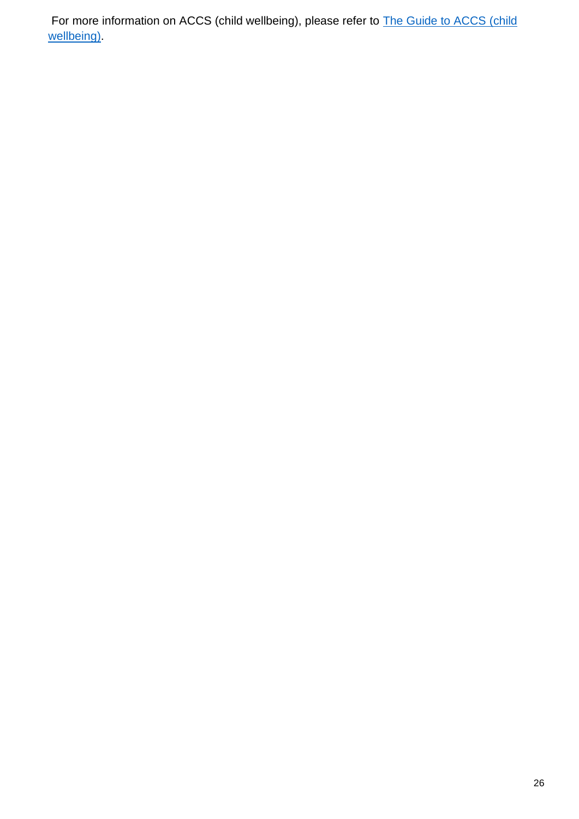For more information on ACCS (child wellbeing), please refer to **The Guide to ACCS** (child [wellbeing\).](https://education.us17.list-manage.com/track/click?u=e11e7c8d748ec85b8de00986c&id=d144a413ac&e=5f4b6423be)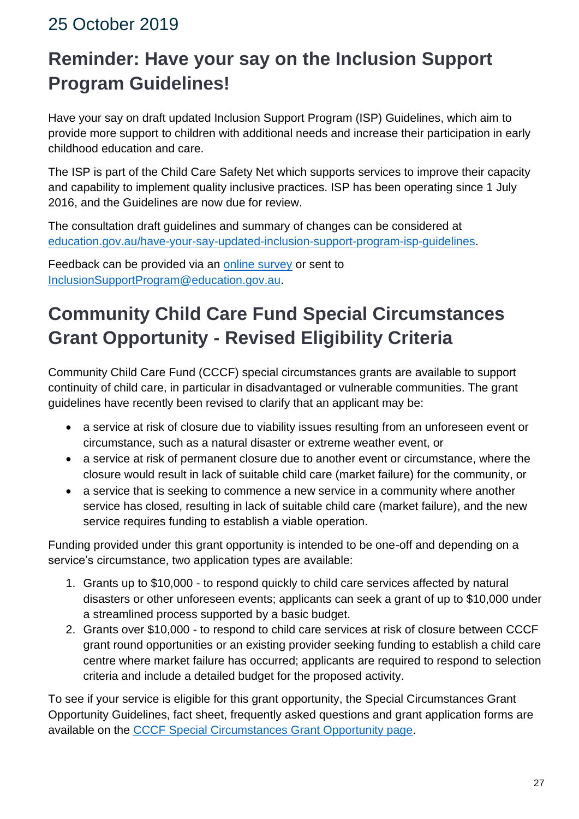# <span id="page-26-1"></span><span id="page-26-0"></span>**Reminder: Have your say on the Inclusion Support Program Guidelines!**

Have your say on draft updated Inclusion Support Program (ISP) Guidelines, which aim to provide more support to children with additional needs and increase their participation in early childhood education and care.

The ISP is part of the Child Care Safety Net which supports services to improve their capacity and capability to implement quality inclusive practices. ISP has been operating since 1 July 2016, and the Guidelines are now due for review.

The consultation draft guidelines and summary of changes can be considered at [education.gov.au/have-your-say-updated-inclusion-support-program-isp-guidelines.](https://education.us17.list-manage.com/track/click?u=e11e7c8d748ec85b8de00986c&id=ab228a99d2&e=5f4b6423be)

Feedback can be provided via an [online survey](https://education.us17.list-manage.com/track/click?u=e11e7c8d748ec85b8de00986c&id=e6ebf2c515&e=5f4b6423be) or sent to [InclusionSupportProgram@education.gov.au.](mailto:InclusionSupportProgram@education.gov.au)

# <span id="page-26-2"></span>**Community Child Care Fund Special Circumstances Grant Opportunity - Revised Eligibility Criteria**

Community Child Care Fund (CCCF) special circumstances grants are available to support continuity of child care, in particular in disadvantaged or vulnerable communities. The grant guidelines have recently been revised to clarify that an applicant may be:

- a service at risk of closure due to viability issues resulting from an unforeseen event or circumstance, such as a natural disaster or extreme weather event, or
- a service at risk of permanent closure due to another event or circumstance, where the closure would result in lack of suitable child care (market failure) for the community, or
- a service that is seeking to commence a new service in a community where another service has closed, resulting in lack of suitable child care (market failure), and the new service requires funding to establish a viable operation.

Funding provided under this grant opportunity is intended to be one-off and depending on a service's circumstance, two application types are available:

- 1. Grants up to \$10,000 to respond quickly to child care services affected by natural disasters or other unforeseen events; applicants can seek a grant of up to \$10,000 under a streamlined process supported by a basic budget.
- 2. Grants over \$10,000 to respond to child care services at risk of closure between CCCF grant round opportunities or an existing provider seeking funding to establish a child care centre where market failure has occurred; applicants are required to respond to selection criteria and include a detailed budget for the proposed activity.

To see if your service is eligible for this grant opportunity, the Special Circumstances Grant Opportunity Guidelines, fact sheet, frequently asked questions and grant application forms are available on the [CCCF Special Circumstances Grant Opportunity page.](https://education.us17.list-manage.com/track/click?u=e11e7c8d748ec85b8de00986c&id=4264a56a97&e=5f4b6423be)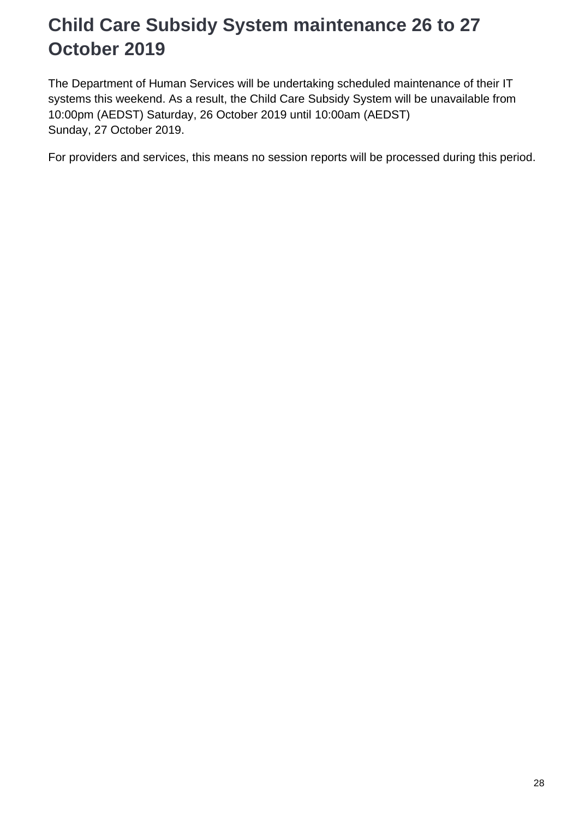# <span id="page-27-0"></span>**Child Care Subsidy System maintenance 26 to 27 October 2019**

The Department of Human Services will be undertaking scheduled maintenance of their IT systems this weekend. As a result, the Child Care Subsidy System will be unavailable from 10:00pm (AEDST) Saturday, 26 October 2019 until 10:00am (AEDST) Sunday, 27 October 2019.

For providers and services, this means no session reports will be processed during this period.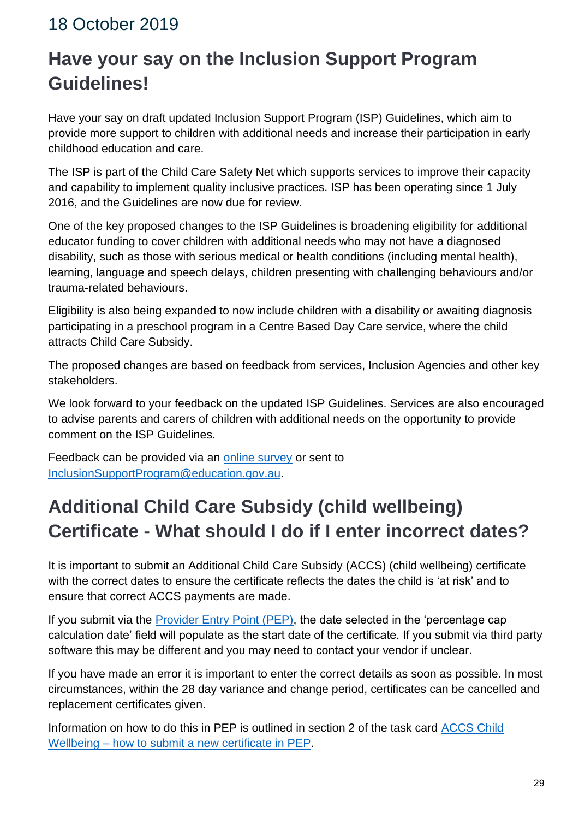# <span id="page-28-1"></span><span id="page-28-0"></span>**Have your say on the Inclusion Support Program Guidelines!**

Have your say on draft updated Inclusion Support Program (ISP) Guidelines, which aim to provide more support to children with additional needs and increase their participation in early childhood education and care.

The ISP is part of the Child Care Safety Net which supports services to improve their capacity and capability to implement quality inclusive practices. ISP has been operating since 1 July 2016, and the Guidelines are now due for review.

One of the key proposed changes to the ISP Guidelines is broadening eligibility for additional educator funding to cover children with additional needs who may not have a diagnosed disability, such as those with serious medical or health conditions (including mental health), learning, language and speech delays, children presenting with challenging behaviours and/or trauma-related behaviours.

Eligibility is also being expanded to now include children with a disability or awaiting diagnosis participating in a preschool program in a Centre Based Day Care service, where the child attracts Child Care Subsidy.

The proposed changes are based on feedback from services, Inclusion Agencies and other key stakeholders.

We look forward to your feedback on the updated ISP Guidelines. Services are also encouraged to advise parents and carers of children with additional needs on the opportunity to provide comment on the ISP Guidelines.

Feedback can be provided via an [online survey](https://education.us17.list-manage.com/track/click?u=e11e7c8d748ec85b8de00986c&id=4563b2cbfd&e=5f4b6423be) or sent to [InclusionSupportProgram@education.gov.au.](mailto:InclusionSupportProgram@education.gov.au)

# <span id="page-28-2"></span>**Additional Child Care Subsidy (child wellbeing) Certificate - What should I do if I enter incorrect dates?**

It is important to submit an Additional Child Care Subsidy (ACCS) (child wellbeing) certificate with the correct dates to ensure the certificate reflects the dates the child is 'at risk' and to ensure that correct ACCS payments are made.

If you submit via the [Provider Entry Point \(PEP\),](https://education.us17.list-manage.com/track/click?u=e11e7c8d748ec85b8de00986c&id=e7e9c411b3&e=5f4b6423be) the date selected in the 'percentage cap calculation date' field will populate as the start date of the certificate. If you submit via third party software this may be different and you may need to contact your vendor if unclear.

If you have made an error it is important to enter the correct details as soon as possible. In most circumstances, within the 28 day variance and change period, certificates can be cancelled and replacement certificates given.

Information on how to do this in PEP is outlined in section 2 of the task card [ACCS Child](https://education.us17.list-manage.com/track/click?u=e11e7c8d748ec85b8de00986c&id=83566de0db&e=5f4b6423be)  Wellbeing – [how to submit a new certificate in PEP.](https://education.us17.list-manage.com/track/click?u=e11e7c8d748ec85b8de00986c&id=83566de0db&e=5f4b6423be)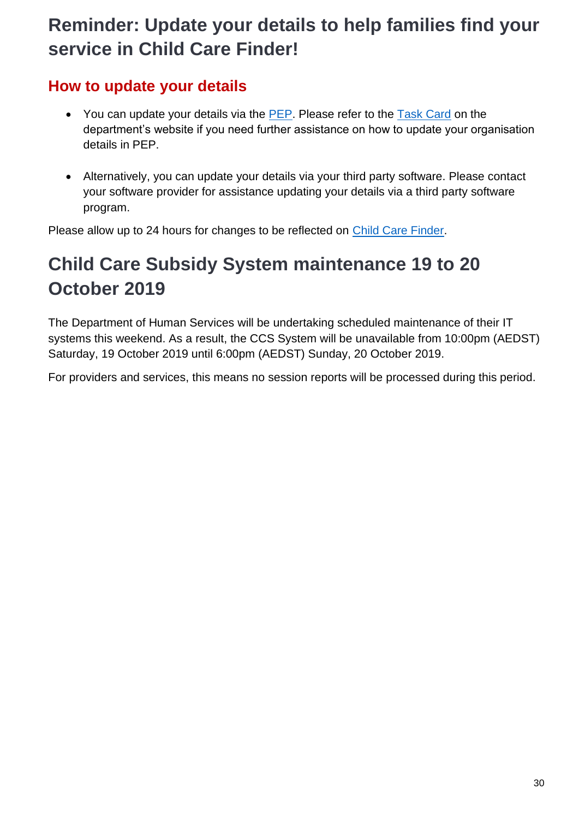### <span id="page-29-0"></span>**Reminder: Update your details to help families find your service in Child Care Finder!**

#### **How to update your details**

- You can update your details via the [PEP.](https://education.us17.list-manage.com/track/click?u=e11e7c8d748ec85b8de00986c&id=005ad11a68&e=5f4b6423be) Please refer to the [Task Card](https://education.us17.list-manage.com/track/click?u=e11e7c8d748ec85b8de00986c&id=2f2f8e8b00&e=5f4b6423be) on the department's website if you need further assistance on how to update your organisation details in PEP.
- Alternatively, you can update your details via your third party software. Please contact your software provider for assistance updating your details via a third party software program.

Please allow up to 24 hours for changes to be reflected on [Child Care Finder.](https://education.us17.list-manage.com/track/click?u=e11e7c8d748ec85b8de00986c&id=50391996d8&e=5f4b6423be)

# <span id="page-29-1"></span>**Child Care Subsidy System maintenance 19 to 20 October 2019**

The Department of Human Services will be undertaking scheduled maintenance of their IT systems this weekend. As a result, the CCS System will be unavailable from 10:00pm (AEDST) Saturday, 19 October 2019 until 6:00pm (AEDST) Sunday, 20 October 2019.

For providers and services, this means no session reports will be processed during this period.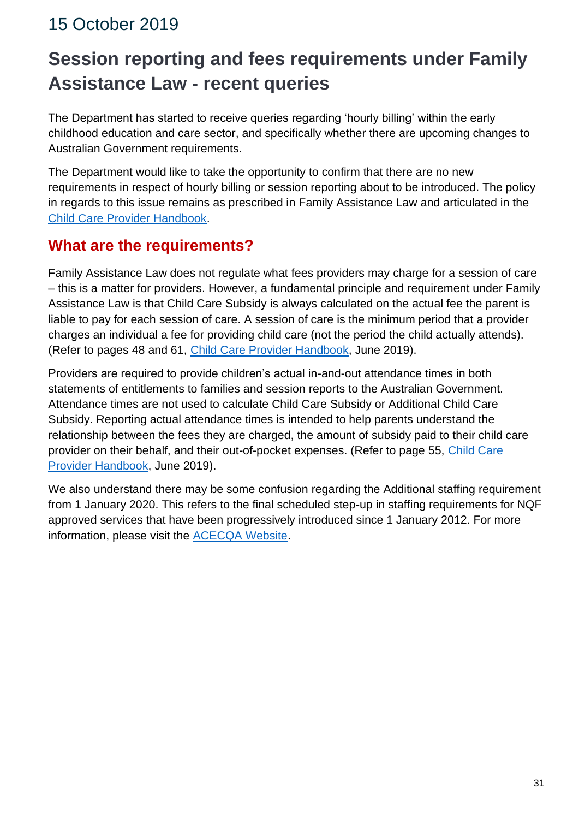# <span id="page-30-1"></span><span id="page-30-0"></span>**Session reporting and fees requirements under Family Assistance Law - recent queries**

The Department has started to receive queries regarding 'hourly billing' within the early childhood education and care sector, and specifically whether there are upcoming changes to Australian Government requirements.

The Department would like to take the opportunity to confirm that there are no new requirements in respect of hourly billing or session reporting about to be introduced. The policy in regards to this issue remains as prescribed in Family Assistance Law and articulated in the [Child Care Provider Handbook.](https://education.us17.list-manage.com/track/click?u=e11e7c8d748ec85b8de00986c&id=ad50455557&e=5f4b6423be)

#### **What are the requirements?**

Family Assistance Law does not regulate what fees providers may charge for a session of care – this is a matter for providers. However, a fundamental principle and requirement under Family Assistance Law is that Child Care Subsidy is always calculated on the actual fee the parent is liable to pay for each session of care. A session of care is the minimum period that a provider charges an individual a fee for providing child care (not the period the child actually attends). (Refer to pages 48 and 61, [Child Care Provider Handbook,](https://education.us17.list-manage.com/track/click?u=e11e7c8d748ec85b8de00986c&id=efdc5ba042&e=5f4b6423be) June 2019).

Providers are required to provide children's actual in-and-out attendance times in both statements of entitlements to families and session reports to the Australian Government. Attendance times are not used to calculate Child Care Subsidy or Additional Child Care Subsidy. Reporting actual attendance times is intended to help parents understand the relationship between the fees they are charged, the amount of subsidy paid to their child care provider on their behalf, and their out-of-pocket expenses. (Refer to page 55, [Child Care](https://education.us17.list-manage.com/track/click?u=e11e7c8d748ec85b8de00986c&id=ef49a3189d&e=5f4b6423be)  [Provider Handbook,](https://education.us17.list-manage.com/track/click?u=e11e7c8d748ec85b8de00986c&id=ef49a3189d&e=5f4b6423be) June 2019).

We also understand there may be some confusion regarding the Additional staffing requirement from 1 January 2020. This refers to the final scheduled step-up in staffing requirements for NQF approved services that have been progressively introduced since 1 January 2012. For more information, please visit the [ACECQA Website.](https://education.us17.list-manage.com/track/click?u=e11e7c8d748ec85b8de00986c&id=2ed914fbb2&e=5f4b6423be)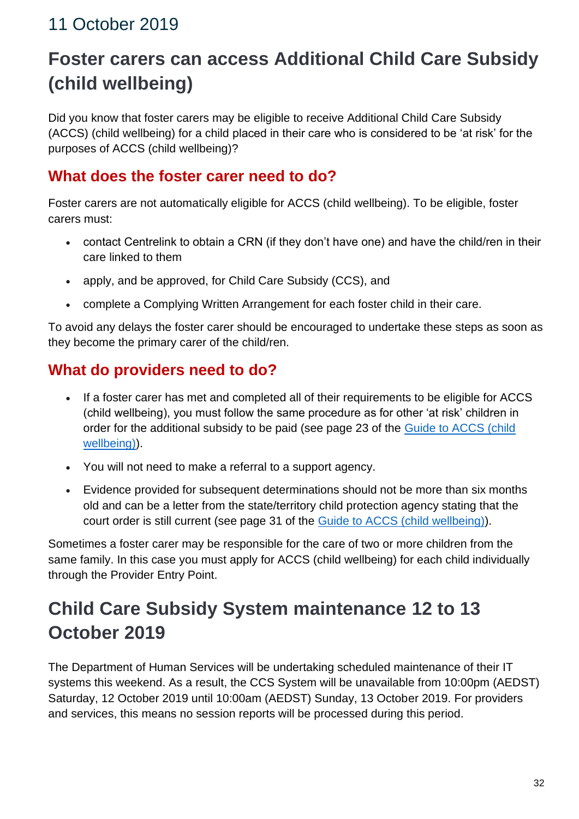# <span id="page-31-1"></span><span id="page-31-0"></span>**Foster carers can access Additional Child Care Subsidy (child wellbeing)**

Did you know that foster carers may be eligible to receive Additional Child Care Subsidy (ACCS) (child wellbeing) for a child placed in their care who is considered to be 'at risk' for the purposes of ACCS (child wellbeing)?

#### **What does the foster carer need to do?**

Foster carers are not automatically eligible for ACCS (child wellbeing). To be eligible, foster carers must:

- contact Centrelink to obtain a CRN (if they don't have one) and have the child/ren in their care linked to them
- apply, and be approved, for Child Care Subsidy (CCS), and
- complete a Complying Written Arrangement for each foster child in their care.

To avoid any delays the foster carer should be encouraged to undertake these steps as soon as they become the primary carer of the child/ren.

#### **What do providers need to do?**

- If a foster carer has met and completed all of their requirements to be eligible for ACCS (child wellbeing), you must follow the same procedure as for other 'at risk' children in order for the additional subsidy to be paid (see page 23 of the [Guide to ACCS \(child](https://education.us17.list-manage.com/track/click?u=e11e7c8d748ec85b8de00986c&id=71e1921b6c&e=5f4b6423be)  [wellbeing\)\)](https://education.us17.list-manage.com/track/click?u=e11e7c8d748ec85b8de00986c&id=71e1921b6c&e=5f4b6423be).
- You will not need to make a referral to a support agency.
- Evidence provided for subsequent determinations should not be more than six months old and can be a letter from the state/territory child protection agency stating that the court order is still current (see page 31 of the [Guide to ACCS \(child wellbeing\)\)](https://education.us17.list-manage.com/track/click?u=e11e7c8d748ec85b8de00986c&id=5395427941&e=5f4b6423be).

Sometimes a foster carer may be responsible for the care of two or more children from the same family. In this case you must apply for ACCS (child wellbeing) for each child individually through the Provider Entry Point.

# <span id="page-31-2"></span>**Child Care Subsidy System maintenance 12 to 13 October 2019**

The Department of Human Services will be undertaking scheduled maintenance of their IT systems this weekend. As a result, the CCS System will be unavailable from 10:00pm (AEDST) Saturday, 12 October 2019 until 10:00am (AEDST) Sunday, 13 October 2019. For providers and services, this means no session reports will be processed during this period.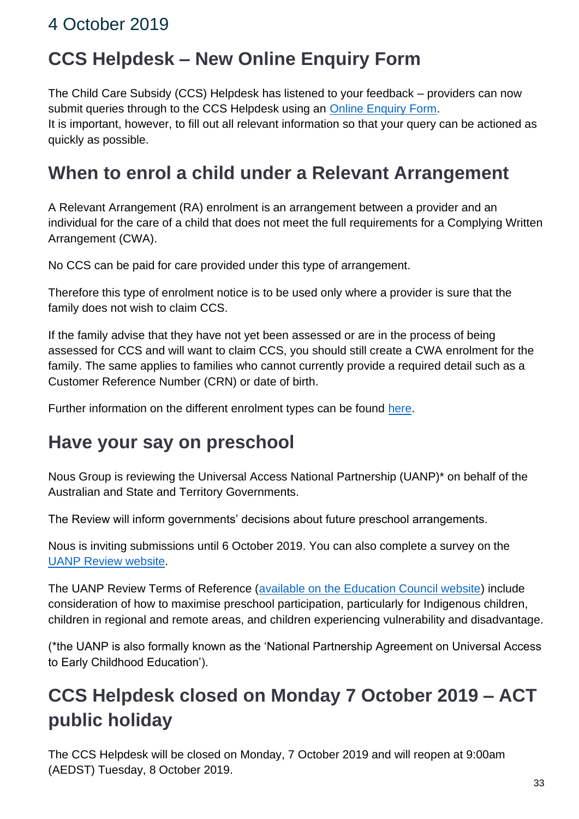# <span id="page-32-1"></span><span id="page-32-0"></span>**CCS Helpdesk – New Online Enquiry Form**

The Child Care Subsidy (CCS) Helpdesk has listened to your feedback – providers can now submit queries through to the CCS Helpdesk using an [Online Enquiry Form.](https://education.us17.list-manage.com/track/click?u=e11e7c8d748ec85b8de00986c&id=55c6cab98c&e=5f4b6423be) It is important, however, to fill out all relevant information so that your query can be actioned as quickly as possible.

### <span id="page-32-2"></span>**When to enrol a child under a Relevant Arrangement**

A Relevant Arrangement (RA) enrolment is an arrangement between a provider and an individual for the care of a child that does not meet the full requirements for a Complying Written Arrangement (CWA).

No CCS can be paid for care provided under this type of arrangement.

Therefore this type of enrolment notice is to be used only where a provider is sure that the family does not wish to claim CCS.

If the family advise that they have not yet been assessed or are in the process of being assessed for CCS and will want to claim CCS, you should still create a CWA enrolment for the family. The same applies to families who cannot currently provide a required detail such as a Customer Reference Number (CRN) or date of birth.

Further information on the different enrolment types can be found [here.](https://education.us17.list-manage.com/track/click?u=e11e7c8d748ec85b8de00986c&id=f045fe2284&e=5f4b6423be)

#### <span id="page-32-3"></span>**Have your say on preschool**

Nous Group is reviewing the Universal Access National Partnership (UANP)\* on behalf of the Australian and State and Territory Governments.

The Review will inform governments' decisions about future preschool arrangements.

Nous is inviting submissions until 6 October 2019. You can also complete a survey on the [UANP Review website.](https://education.us17.list-manage.com/track/click?u=e11e7c8d748ec85b8de00986c&id=eceee7dfa7&e=5f4b6423be)

The UANP Review Terms of Reference [\(available on the Education Council website\)](https://education.us17.list-manage.com/track/click?u=e11e7c8d748ec85b8de00986c&id=2afa5b8f32&e=5f4b6423be) include consideration of how to maximise preschool participation, particularly for Indigenous children, children in regional and remote areas, and children experiencing vulnerability and disadvantage.

(\*the UANP is also formally known as the 'National Partnership Agreement on Universal Access to Early Childhood Education').

# <span id="page-32-4"></span>**CCS Helpdesk closed on Monday 7 October 2019 – ACT public holiday**

The CCS Helpdesk will be closed on Monday, 7 October 2019 and will reopen at 9:00am (AEDST) Tuesday, 8 October 2019.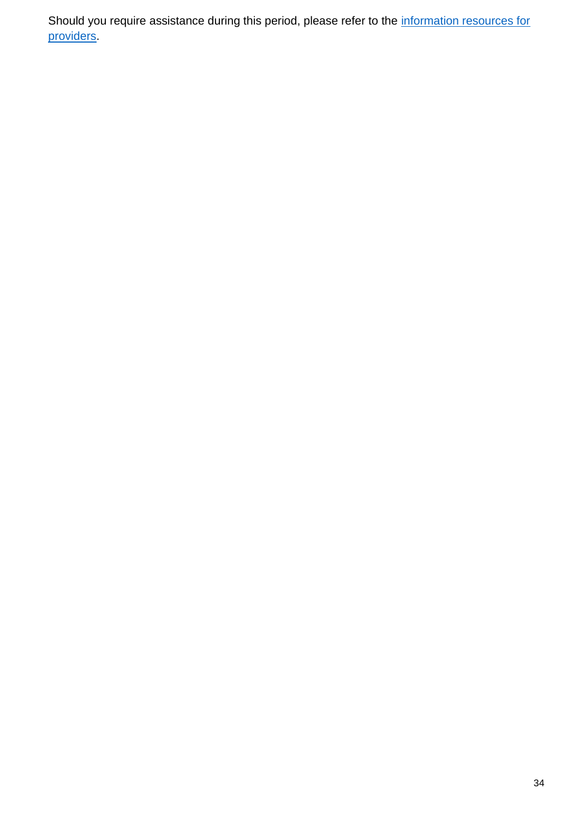Should you require assistance during this period, please refer to the information resources for [providers.](https://education.us17.list-manage.com/track/click?u=e11e7c8d748ec85b8de00986c&id=e0b1667aa2&e=5f4b6423be)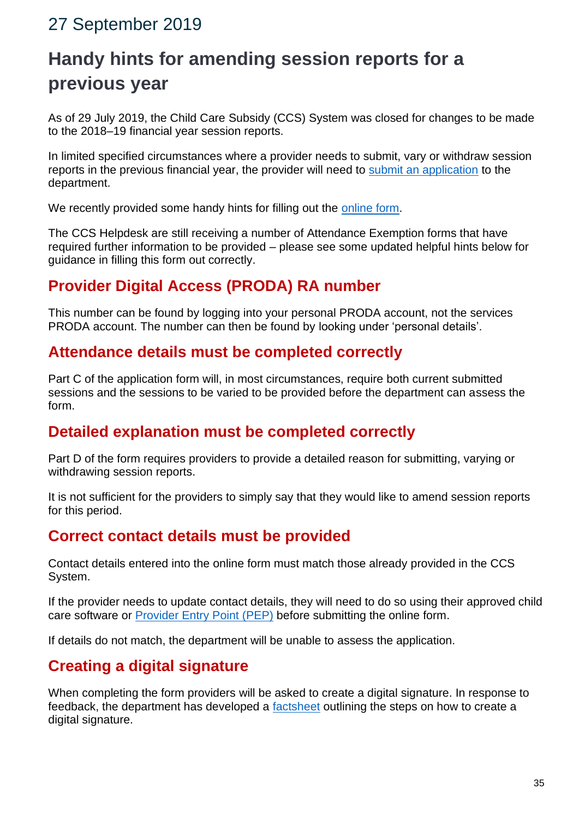#### <span id="page-34-0"></span>27 September 2019

# <span id="page-34-1"></span>**Handy hints for amending session reports for a previous year**

As of 29 July 2019, the Child Care Subsidy (CCS) System was closed for changes to be made to the 2018–19 financial year session reports.

In limited specified circumstances where a provider needs to submit, vary or withdraw session reports in the previous financial year, the provider will need to [submit an application](https://education.us17.list-manage.com/track/click?u=e11e7c8d748ec85b8de00986c&id=d518b94398&e=5f4b6423be) to the department.

We recently provided some handy hints for filling out the [online form.](https://education.us17.list-manage.com/track/click?u=e11e7c8d748ec85b8de00986c&id=7f8366ee83&e=5f4b6423be)

The CCS Helpdesk are still receiving a number of Attendance Exemption forms that have required further information to be provided – please see some updated helpful hints below for guidance in filling this form out correctly.

#### **Provider Digital Access (PRODA) RA number**

This number can be found by logging into your personal PRODA account, not the services PRODA account. The number can then be found by looking under 'personal details'.

#### **Attendance details must be completed correctly**

Part C of the application form will, in most circumstances, require both current submitted sessions and the sessions to be varied to be provided before the department can assess the form.

#### **Detailed explanation must be completed correctly**

Part D of the form requires providers to provide a detailed reason for submitting, varying or withdrawing session reports.

It is not sufficient for the providers to simply say that they would like to amend session reports for this period.

#### **Correct contact details must be provided**

Contact details entered into the online form must match those already provided in the CCS System.

If the provider needs to update contact details, they will need to do so using their approved child care software or [Provider Entry Point \(PEP\)](https://education.us17.list-manage.com/track/click?u=e11e7c8d748ec85b8de00986c&id=049b33aa03&e=5f4b6423be) before submitting the online form.

If details do not match, the department will be unable to assess the application.

#### **Creating a digital signature**

When completing the form providers will be asked to create a digital signature. In response to feedback, the department has developed a [factsheet](https://education.us17.list-manage.com/track/click?u=e11e7c8d748ec85b8de00986c&id=969e01a68d&e=5f4b6423be) outlining the steps on how to create a digital signature.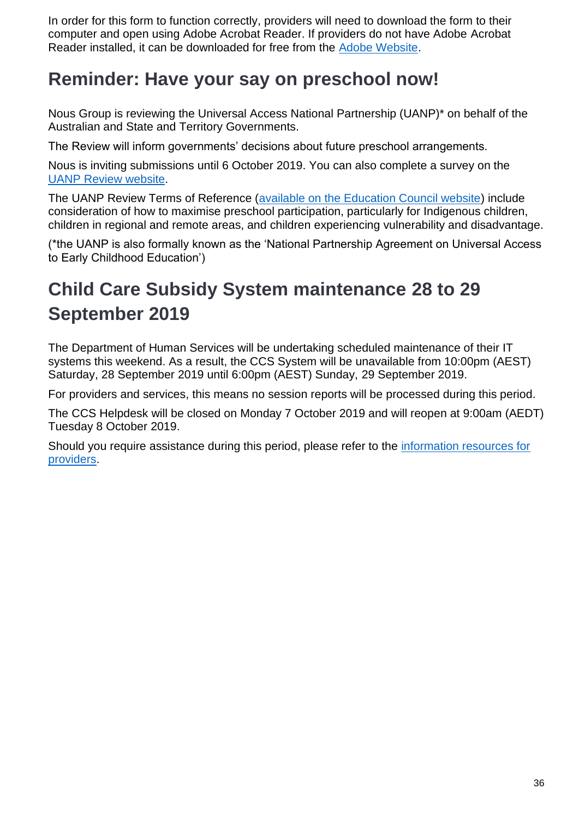In order for this form to function correctly, providers will need to download the form to their computer and open using Adobe Acrobat Reader. If providers do not have Adobe Acrobat Reader installed, it can be downloaded for free from the [Adobe Website.](https://education.us17.list-manage.com/track/click?u=e11e7c8d748ec85b8de00986c&id=bfbcce3db5&e=5f4b6423be)

### <span id="page-35-0"></span>**Reminder: Have your say on preschool now!**

Nous Group is reviewing the Universal Access National Partnership (UANP)\* on behalf of the Australian and State and Territory Governments.

The Review will inform governments' decisions about future preschool arrangements.

Nous is inviting submissions until 6 October 2019. You can also complete a survey on the [UANP Review website.](https://education.us17.list-manage.com/track/click?u=e11e7c8d748ec85b8de00986c&id=e28d8f939b&e=5f4b6423be)

The UANP Review Terms of Reference [\(available on the Education Council website\)](https://education.us17.list-manage.com/track/click?u=e11e7c8d748ec85b8de00986c&id=473c624ff4&e=5f4b6423be) include consideration of how to maximise preschool participation, particularly for Indigenous children, children in regional and remote areas, and children experiencing vulnerability and disadvantage.

(\*the UANP is also formally known as the 'National Partnership Agreement on Universal Access to Early Childhood Education')

# <span id="page-35-1"></span>**Child Care Subsidy System maintenance 28 to 29 September 2019**

The Department of Human Services will be undertaking scheduled maintenance of their IT systems this weekend. As a result, the CCS System will be unavailable from 10:00pm (AEST) Saturday, 28 September 2019 until 6:00pm (AEST) Sunday, 29 September 2019.

For providers and services, this means no session reports will be processed during this period.

The CCS Helpdesk will be closed on Monday 7 October 2019 and will reopen at 9:00am (AEDT) Tuesday 8 October 2019.

Should you require assistance during this period, please refer to the information resources for [providers.](https://education.us17.list-manage.com/track/click?u=e11e7c8d748ec85b8de00986c&id=17e9675b69&e=5f4b6423be)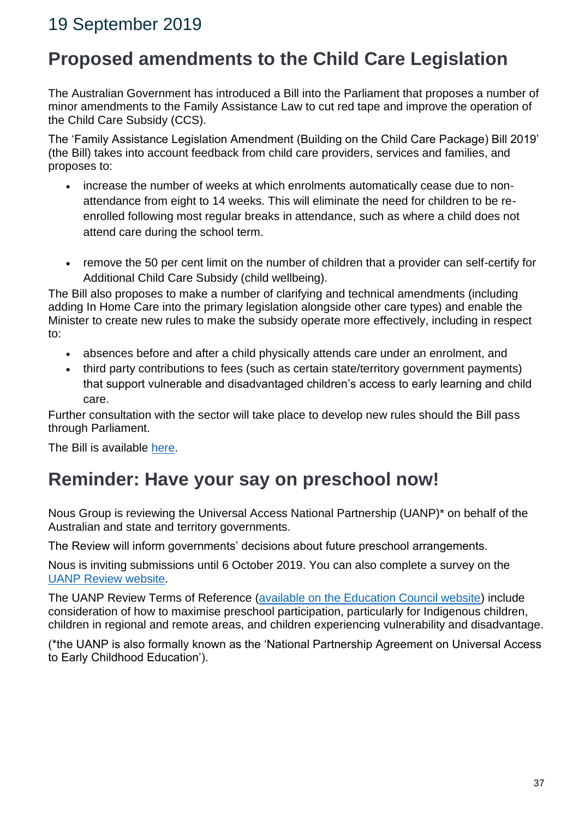### 19 September 2019

### **Proposed amendments to the Child Care Legislation**

The Australian Government has introduced a Bill into the Parliament that proposes a number of minor amendments to the Family Assistance Law to cut red tape and improve the operation of the Child Care Subsidy (CCS).

The 'Family Assistance Legislation Amendment (Building on the Child Care Package) Bill 2019' (the Bill) takes into account feedback from child care providers, services and families, and proposes to:

- increase the number of weeks at which enrolments automatically cease due to nonattendance from eight to 14 weeks. This will eliminate the need for children to be reenrolled following most regular breaks in attendance, such as where a child does not attend care during the school term.
- remove the 50 per cent limit on the number of children that a provider can self-certify for Additional Child Care Subsidy (child wellbeing).

The Bill also proposes to make a number of clarifying and technical amendments (including adding In Home Care into the primary legislation alongside other care types) and enable the Minister to create new rules to make the subsidy operate more effectively, including in respect to:

- absences before and after a child physically attends care under an enrolment, and
- third party contributions to fees (such as certain state/territory government payments) that support vulnerable and disadvantaged children's access to early learning and child care.

Further consultation with the sector will take place to develop new rules should the Bill pass through Parliament.

The Bill is available [here.](https://education.us17.list-manage.com/track/click?u=e11e7c8d748ec85b8de00986c&id=a0b15ac9c5&e=5f4b6423be)

### **Reminder: Have your say on preschool now!**

Nous Group is reviewing the Universal Access National Partnership (UANP)\* on behalf of the Australian and state and territory governments.

The Review will inform governments' decisions about future preschool arrangements.

Nous is inviting submissions until 6 October 2019. You can also complete a survey on the [UANP Review website.](https://education.us17.list-manage.com/track/click?u=e11e7c8d748ec85b8de00986c&id=0e6f775b53&e=5f4b6423be)

The UANP Review Terms of Reference [\(available on the Education Council website\)](https://education.us17.list-manage.com/track/click?u=e11e7c8d748ec85b8de00986c&id=c6da113a0c&e=5f4b6423be) include consideration of how to maximise preschool participation, particularly for Indigenous children, children in regional and remote areas, and children experiencing vulnerability and disadvantage.

(\*the UANP is also formally known as the 'National Partnership Agreement on Universal Access to Early Childhood Education').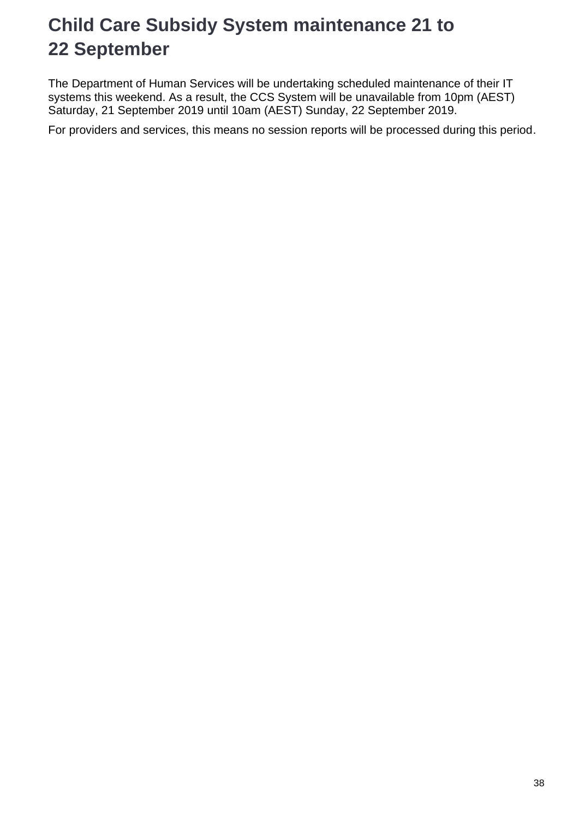# **Child Care Subsidy System maintenance 21 to 22 September**

The Department of Human Services will be undertaking scheduled maintenance of their IT systems this weekend. As a result, the CCS System will be unavailable from 10pm (AEST) Saturday, 21 September 2019 until 10am (AEST) Sunday, 22 September 2019.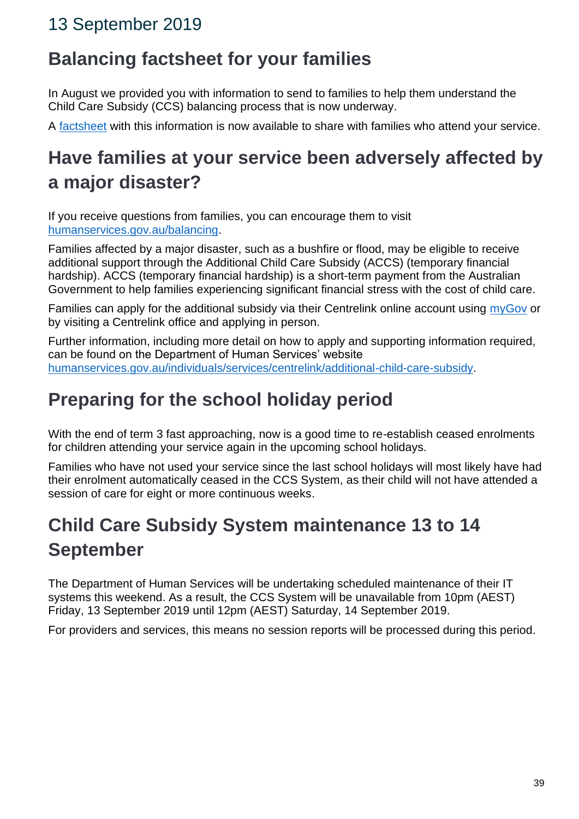### 13 September 2019

## **Balancing factsheet for your families**

In August we provided you with information to send to families to help them understand the Child Care Subsidy (CCS) balancing process that is now underway.

A [factsheet](https://education.us17.list-manage.com/track/click?u=e11e7c8d748ec85b8de00986c&id=1b69a592a0&e=5f4b6423be) with this information is now available to share with families who attend your service.

# **Have families at your service been adversely affected by a major disaster?**

If you receive questions from families, you can encourage them to visit [humanservices.gov.au/balancing.](https://education.us17.list-manage.com/track/click?u=e11e7c8d748ec85b8de00986c&id=12453d4c6e&e=5f4b6423be)

Families affected by a major disaster, such as a bushfire or flood, may be eligible to receive additional support through the Additional Child Care Subsidy (ACCS) (temporary financial hardship). ACCS (temporary financial hardship) is a short-term payment from the Australian Government to help families experiencing significant financial stress with the cost of child care.

Families can apply for the additional subsidy via their Centrelink online account using [myGov](https://education.us17.list-manage.com/track/click?u=e11e7c8d748ec85b8de00986c&id=2e1e2dc357&e=5f4b6423be) or by visiting a Centrelink office and applying in person.

Further information, including more detail on how to apply and supporting information required, can be found on the Department of Human Services' website [humanservices.gov.au/individuals/services/centrelink/additional-child-care-subsidy.](https://education.us17.list-manage.com/track/click?u=e11e7c8d748ec85b8de00986c&id=24e3851ba3&e=5f4b6423be)

## **Preparing for the school holiday period**

With the end of term 3 fast approaching, now is a good time to re-establish ceased enrolments for children attending your service again in the upcoming school holidays.

Families who have not used your service since the last school holidays will most likely have had their enrolment automatically ceased in the CCS System, as their child will not have attended a session of care for eight or more continuous weeks.

# **Child Care Subsidy System maintenance 13 to 14 September**

The Department of Human Services will be undertaking scheduled maintenance of their IT systems this weekend. As a result, the CCS System will be unavailable from 10pm (AEST) Friday, 13 September 2019 until 12pm (AEST) Saturday, 14 September 2019.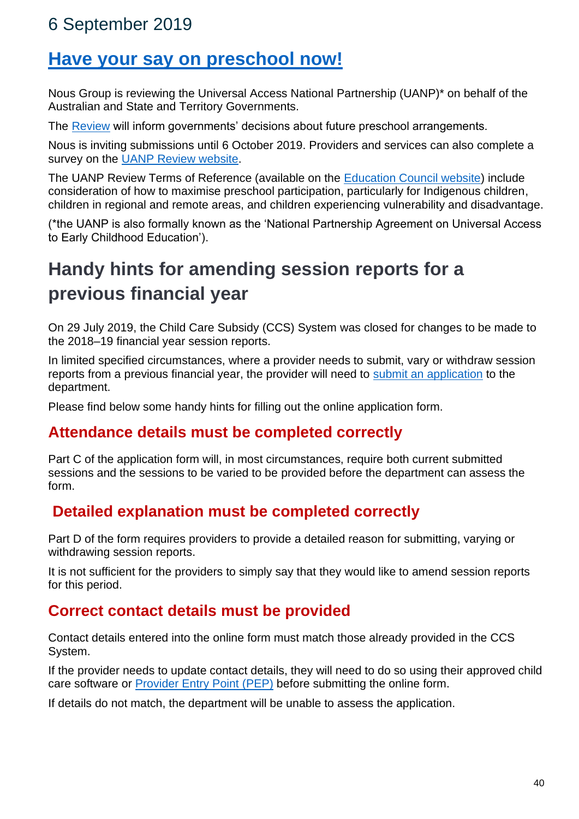### 6 September 2019

### **[Have your say on preschool now!](https://education.us17.list-manage.com/track/click?u=e11e7c8d748ec85b8de00986c&id=1ac222be77&e=5f4b6423be)**

Nous Group is reviewing the Universal Access National Partnership (UANP)\* on behalf of the Australian and State and Territory Governments.

The [Review](https://education.us17.list-manage.com/track/click?u=e11e7c8d748ec85b8de00986c&id=f84ce4a2df&e=5f4b6423be) will inform governments' decisions about future preschool arrangements.

Nous is inviting submissions until 6 October 2019. Providers and services can also complete a survey on the [UANP Review website.](https://education.us17.list-manage.com/track/click?u=e11e7c8d748ec85b8de00986c&id=64984c7b1b&e=5f4b6423be)

The UANP Review Terms of Reference (available on the [Education Council website\)](https://education.us17.list-manage.com/track/click?u=e11e7c8d748ec85b8de00986c&id=f5d5d663a3&e=5f4b6423be) include consideration of how to maximise preschool participation, particularly for Indigenous children, children in regional and remote areas, and children experiencing vulnerability and disadvantage.

(\*the UANP is also formally known as the 'National Partnership Agreement on Universal Access to Early Childhood Education').

# **Handy hints for amending session reports for a previous financial year**

On 29 July 2019, the Child Care Subsidy (CCS) System was closed for changes to be made to the 2018–19 financial year session reports.

In limited specified circumstances, where a provider needs to submit, vary or withdraw session reports from a previous financial year, the provider will need to [submit an application](https://education.us17.list-manage.com/track/click?u=e11e7c8d748ec85b8de00986c&id=68830a20aa&e=5f4b6423be) to the department.

Please find below some handy hints for filling out the online application form.

### **Attendance details must be completed correctly**

Part C of the application form will, in most circumstances, require both current submitted sessions and the sessions to be varied to be provided before the department can assess the form.

### **Detailed explanation must be completed correctly**

Part D of the form requires providers to provide a detailed reason for submitting, varying or withdrawing session reports.

It is not sufficient for the providers to simply say that they would like to amend session reports for this period.

### **Correct contact details must be provided**

Contact details entered into the online form must match those already provided in the CCS System.

If the provider needs to update contact details, they will need to do so using their approved child care software or [Provider Entry Point \(PEP\)](https://education.us17.list-manage.com/track/click?u=e11e7c8d748ec85b8de00986c&id=c8ebce871e&e=5f4b6423be) before submitting the online form.

If details do not match, the department will be unable to assess the application.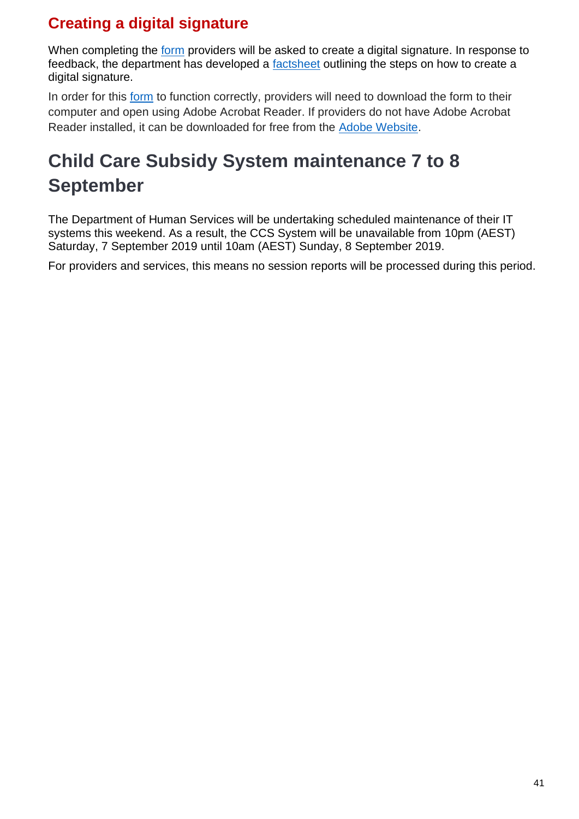### **Creating a digital signature**

When completing the [form](https://education.us17.list-manage.com/track/click?u=e11e7c8d748ec85b8de00986c&id=e3322a1dfb&e=5f4b6423be) providers will be asked to create a digital signature. In response to feedback, the department has developed a [factsheet](https://education.us17.list-manage.com/track/click?u=e11e7c8d748ec85b8de00986c&id=34a91e866a&e=5f4b6423be) outlining the steps on how to create a digital signature.

In order for this [form](https://education.us17.list-manage.com/track/click?u=e11e7c8d748ec85b8de00986c&id=9de3031299&e=5f4b6423be) to function correctly, providers will need to download the form to their computer and open using Adobe Acrobat Reader. If providers do not have Adobe Acrobat Reader installed, it can be downloaded for free from the [Adobe Website.](https://education.us17.list-manage.com/track/click?u=e11e7c8d748ec85b8de00986c&id=702844594f&e=5f4b6423be)

# **Child Care Subsidy System maintenance 7 to 8 September**

The Department of Human Services will be undertaking scheduled maintenance of their IT systems this weekend. As a result, the CCS System will be unavailable from 10pm (AEST) Saturday, 7 September 2019 until 10am (AEST) Sunday, 8 September 2019.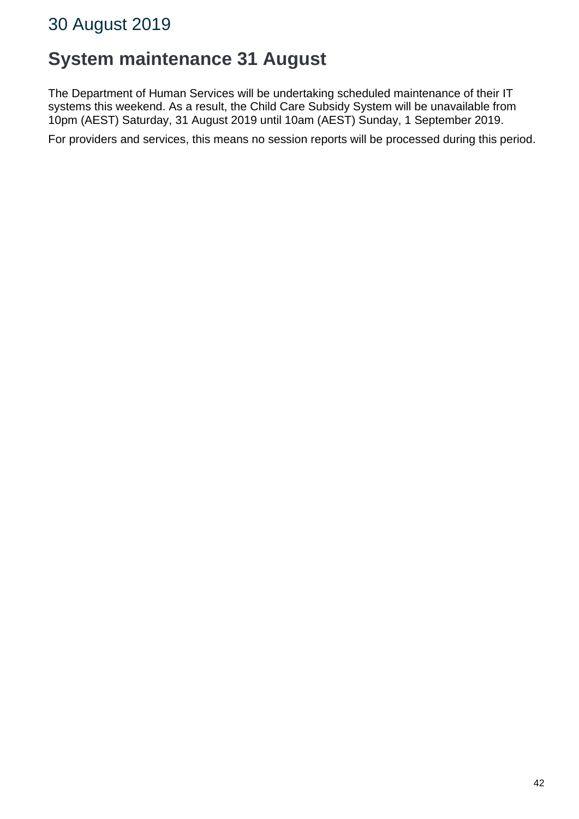### 30 August 2019

### **System maintenance 31 August**

The Department of Human Services will be undertaking scheduled maintenance of their IT systems this weekend. As a result, the Child Care Subsidy System will be unavailable from 10pm (AEST) Saturday, 31 August 2019 until 10am (AEST) Sunday, 1 September 2019.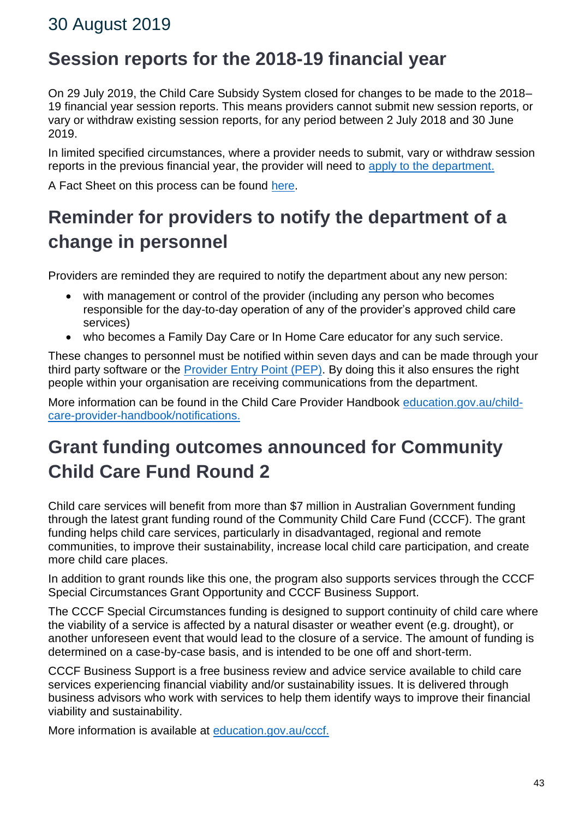### 30 August 2019

### **Session reports for the 2018-19 financial year**

On 29 July 2019, the Child Care Subsidy System closed for changes to be made to the 2018– 19 financial year session reports. This means providers cannot submit new session reports, or vary or withdraw existing session reports, for any period between 2 July 2018 and 30 June 2019.

In limited specified circumstances, where a provider needs to submit, vary or withdraw session reports in the previous financial year, the provider will need to [apply to the department.](https://education.us17.list-manage.com/track/click?u=e11e7c8d748ec85b8de00986c&id=d77af3b3da&e=5f4b6423be)

A Fact Sheet on this process can be found [here.](https://education.us17.list-manage.com/track/click?u=e11e7c8d748ec85b8de00986c&id=09c8dc9efe&e=5f4b6423be)

# **Reminder for providers to notify the department of a change in personnel**

Providers are reminded they are required to notify the department about any new person:

- with management or control of the provider (including any person who becomes responsible for the day-to-day operation of any of the provider's approved child care services)
- who becomes a Family Day Care or In Home Care educator for any such service.

These changes to personnel must be notified within seven days and can be made through your third party software or the [Provider Entry Point \(PEP\).](https://education.us17.list-manage.com/track/click?u=e11e7c8d748ec85b8de00986c&id=e17f502a87&e=5f4b6423be) By doing this it also ensures the right people within your organisation are receiving communications from the department.

More information can be found in the Child Care Provider Handbook [education.gov.au/child](https://education.us17.list-manage.com/track/click?u=e11e7c8d748ec85b8de00986c&id=1ba5df9b15&e=5f4b6423be)[care-provider-handbook/notifications.](https://education.us17.list-manage.com/track/click?u=e11e7c8d748ec85b8de00986c&id=1ba5df9b15&e=5f4b6423be)

# **Grant funding outcomes announced for Community Child Care Fund Round 2**

Child care services will benefit from more than \$7 million in Australian Government funding through the latest grant funding round of the Community Child Care Fund (CCCF). The grant funding helps child care services, particularly in disadvantaged, regional and remote communities, to improve their sustainability, increase local child care participation, and create more child care places.

In addition to grant rounds like this one, the program also supports services through the CCCF Special Circumstances Grant Opportunity and CCCF Business Support.

The CCCF Special Circumstances funding is designed to support continuity of child care where the viability of a service is affected by a natural disaster or weather event (e.g. drought), or another unforeseen event that would lead to the closure of a service. The amount of funding is determined on a case-by-case basis, and is intended to be one off and short-term.

CCCF Business Support is a free business review and advice service available to child care services experiencing financial viability and/or sustainability issues. It is delivered through business advisors who work with services to help them identify ways to improve their financial viability and sustainability.

More information is available at [education.gov.au/cccf.](https://education.us17.list-manage.com/track/click?u=e11e7c8d748ec85b8de00986c&id=b9c0dc7474&e=5f4b6423be)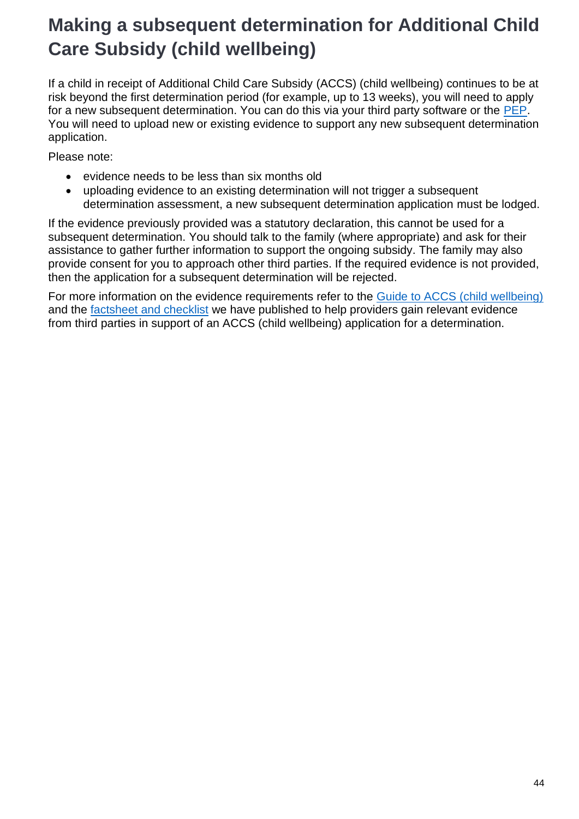# **Making a subsequent determination for Additional Child Care Subsidy (child wellbeing)**

If a child in receipt of Additional Child Care Subsidy (ACCS) (child wellbeing) continues to be at risk beyond the first determination period (for example, up to 13 weeks), you will need to apply for a new subsequent determination. You can do this via your third party software or the [PEP.](https://education.us17.list-manage.com/track/click?u=e11e7c8d748ec85b8de00986c&id=867adf921c&e=5f4b6423be) You will need to upload new or existing evidence to support any new subsequent determination application.

Please note:

- evidence needs to be less than six months old
- uploading evidence to an existing determination will not trigger a subsequent determination assessment, a new subsequent determination application must be lodged.

If the evidence previously provided was a statutory declaration, this cannot be used for a subsequent determination. You should talk to the family (where appropriate) and ask for their assistance to gather further information to support the ongoing subsidy. The family may also provide consent for you to approach other third parties. If the required evidence is not provided, then the application for a subsequent determination will be rejected.

For more information on the evidence requirements refer to the [Guide to ACCS \(child wellbeing\)](https://education.us17.list-manage.com/track/click?u=e11e7c8d748ec85b8de00986c&id=03e034ad24&e=5f4b6423be) and the [factsheet and checklist](https://education.us17.list-manage.com/track/click?u=e11e7c8d748ec85b8de00986c&id=d6e7a70ed2&e=5f4b6423be) we have published to help providers gain relevant evidence from third parties in support of an ACCS (child wellbeing) application for a determination.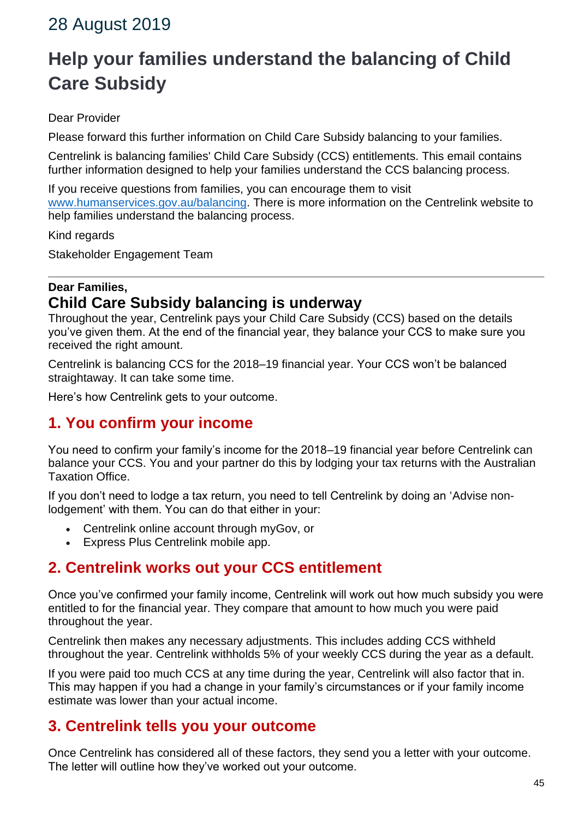### 28 August 2019

# **Help your families understand the balancing of Child Care Subsidy**

#### Dear Provider

Please forward this further information on Child Care Subsidy balancing to your families.

Centrelink is balancing families' Child Care Subsidy (CCS) entitlements. This email contains further information designed to help your families understand the CCS balancing process.

If you receive questions from families, you can encourage them to visit [www.humanservices.gov.au/balancing.](https://education.us17.list-manage.com/track/click?u=e11e7c8d748ec85b8de00986c&id=2c3adf43ae&e=5f4b6423be) There is more information on the Centrelink website to help families understand the balancing process.

Kind regards

Stakeholder Engagement Team

### **Dear Families, Child Care Subsidy balancing is underway**

Throughout the year, Centrelink pays your Child Care Subsidy (CCS) based on the details you've given them. At the end of the financial year, they balance your CCS to make sure you received the right amount.

Centrelink is balancing CCS for the 2018–19 financial year. Your CCS won't be balanced straightaway. It can take some time.

Here's how Centrelink gets to your outcome.

### **1. You confirm your income**

You need to confirm your family's income for the 2018–19 financial year before Centrelink can balance your CCS. You and your partner do this by lodging your tax returns with the Australian Taxation Office.

If you don't need to lodge a tax return, you need to tell Centrelink by doing an 'Advise nonlodgement' with them. You can do that either in your:

- Centrelink online account through myGov, or
- Express Plus Centrelink mobile app.

### **2. Centrelink works out your CCS entitlement**

Once you've confirmed your family income, Centrelink will work out how much subsidy you were entitled to for the financial year. They compare that amount to how much you were paid throughout the year.

Centrelink then makes any necessary adjustments. This includes adding CCS withheld throughout the year. Centrelink withholds 5% of your weekly CCS during the year as a default.

If you were paid too much CCS at any time during the year, Centrelink will also factor that in. This may happen if you had a change in your family's circumstances or if your family income estimate was lower than your actual income.

### **3. Centrelink tells you your outcome**

Once Centrelink has considered all of these factors, they send you a letter with your outcome. The letter will outline how they've worked out your outcome.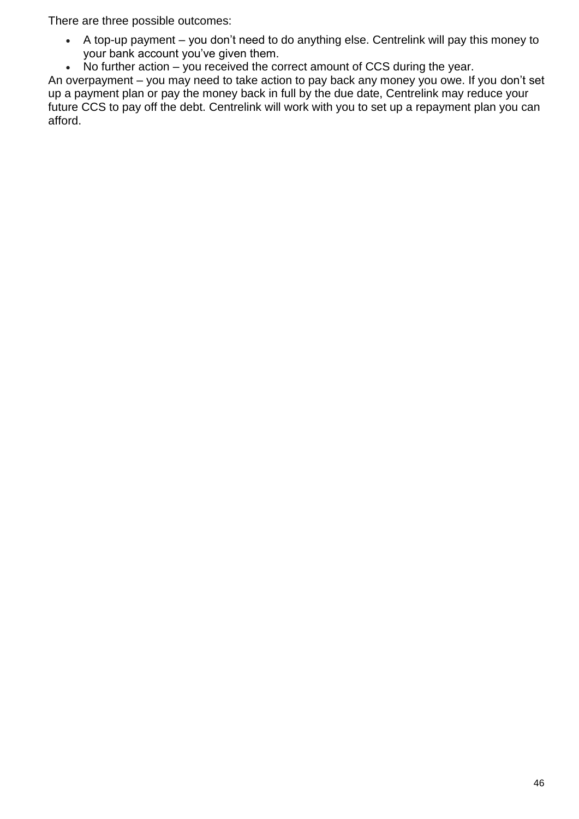There are three possible outcomes:

- A top-up payment you don't need to do anything else. Centrelink will pay this money to your bank account you've given them.
- No further action you received the correct amount of CCS during the year.

An overpayment – you may need to take action to pay back any money you owe. If you don't set up a payment plan or pay the money back in full by the due date, Centrelink may reduce your future CCS to pay off the debt. Centrelink will work with you to set up a repayment plan you can afford.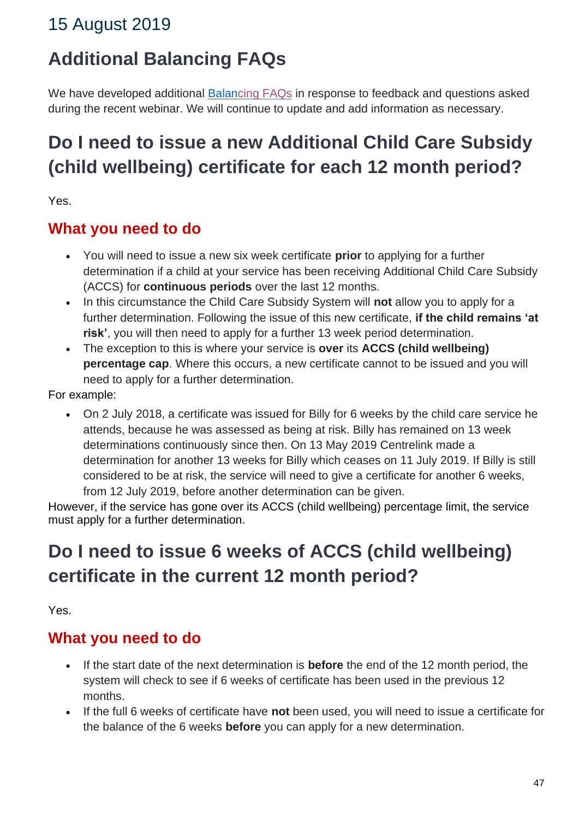## 15 August 2019

## **Additional Balancing FAQs**

We have developed additional [Balan](https://education.us17.list-manage.com/track/click?u=e11e7c8d748ec85b8de00986c&id=9d2cfffdc4&e=5f4b6423be)[cing FAQs](https://education.us17.list-manage.com/track/click?u=e11e7c8d748ec85b8de00986c&id=50e94a9f7a&e=5f4b6423be) in response to feedback and questions asked during the recent webinar. We will continue to update and add information as necessary.

# **Do I need to issue a new Additional Child Care Subsidy (child wellbeing) certificate for each 12 month period?**

Yes.

### **What you need to do**

- You will need to issue a new six week certificate **prior** to applying for a further determination if a child at your service has been receiving Additional Child Care Subsidy (ACCS) for **continuous periods** over the last 12 months.
- In this circumstance the Child Care Subsidy System will **not** allow you to apply for a further determination. Following the issue of this new certificate, **if the child remains 'at risk'**, you will then need to apply for a further 13 week period determination.
- The exception to this is where your service is **over** its **ACCS (child wellbeing) percentage cap**. Where this occurs, a new certificate cannot to be issued and you will need to apply for a further determination.

For example:

• On 2 July 2018, a certificate was issued for Billy for 6 weeks by the child care service he attends, because he was assessed as being at risk. Billy has remained on 13 week determinations continuously since then. On 13 May 2019 Centrelink made a determination for another 13 weeks for Billy which ceases on 11 July 2019. If Billy is still considered to be at risk, the service will need to give a certificate for another 6 weeks, from 12 July 2019, before another determination can be given.

However, if the service has gone over its ACCS (child wellbeing) percentage limit, the service must apply for a further determination.

# **Do I need to issue 6 weeks of ACCS (child wellbeing) certificate in the current 12 month period?**

Yes.

### **What you need to do**

- If the start date of the next determination is **before** the end of the 12 month period, the system will check to see if 6 weeks of certificate has been used in the previous 12 months.
- If the full 6 weeks of certificate have **not** been used, you will need to issue a certificate for the balance of the 6 weeks **before** you can apply for a new determination.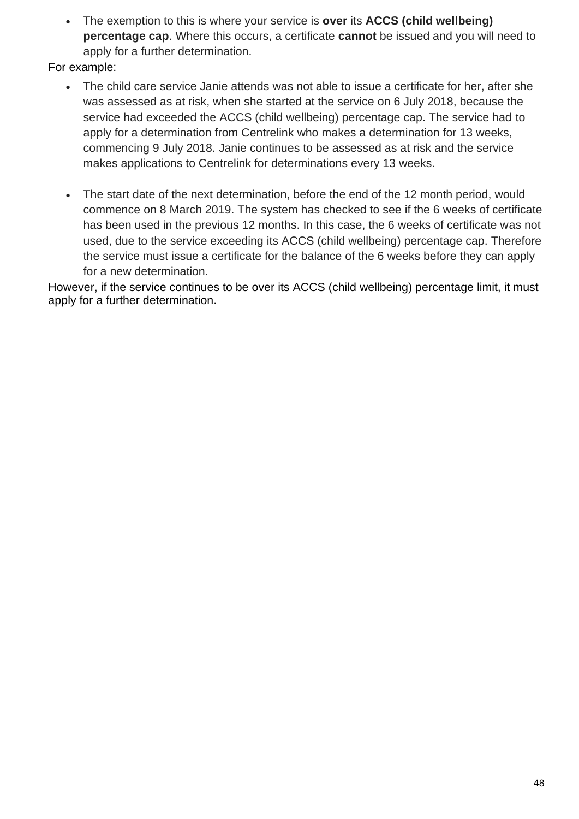• The exemption to this is where your service is **over** its **ACCS (child wellbeing) percentage cap**. Where this occurs, a certificate **cannot** be issued and you will need to apply for a further determination.

For example:

- The child care service Janie attends was not able to issue a certificate for her, after she was assessed as at risk, when she started at the service on 6 July 2018, because the service had exceeded the ACCS (child wellbeing) percentage cap. The service had to apply for a determination from Centrelink who makes a determination for 13 weeks, commencing 9 July 2018. Janie continues to be assessed as at risk and the service makes applications to Centrelink for determinations every 13 weeks.
- The start date of the next determination, before the end of the 12 month period, would commence on 8 March 2019. The system has checked to see if the 6 weeks of certificate has been used in the previous 12 months. In this case, the 6 weeks of certificate was not used, due to the service exceeding its ACCS (child wellbeing) percentage cap. Therefore the service must issue a certificate for the balance of the 6 weeks before they can apply for a new determination.

However, if the service continues to be over its ACCS (child wellbeing) percentage limit, it must apply for a further determination.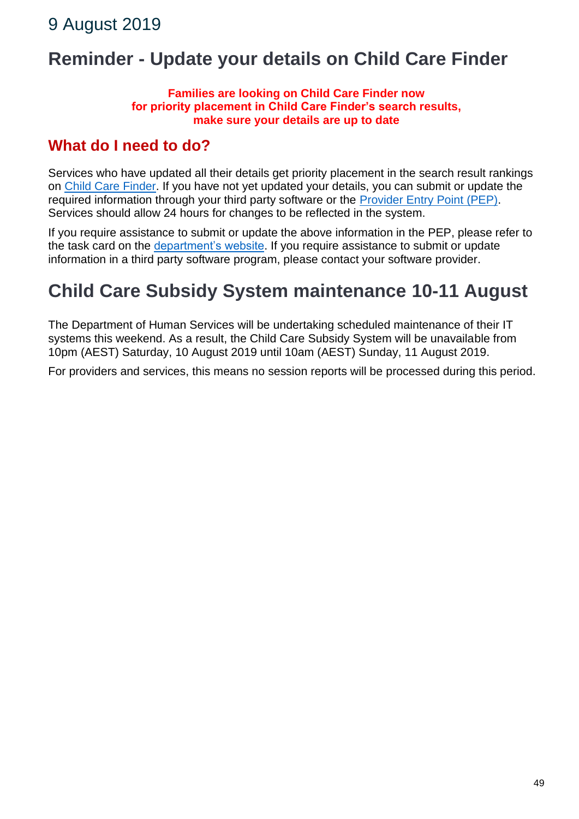## **Reminder - Update your details on Child Care Finder**

#### **Families are looking on Child Care Finder now for priority placement in Child Care Finder's search results, make sure your details are up to date**

### **What do I need to do?**

Services who have updated all their details get priority placement in the search result rankings on [Child Care Finder.](https://education.us17.list-manage.com/track/click?u=e11e7c8d748ec85b8de00986c&id=e3a4661a9a&e=5f4b6423be) If you have not yet updated your details, you can submit or update the required information through your third party software or the [Provider Entry Point \(PEP\).](https://education.us17.list-manage.com/track/click?u=e11e7c8d748ec85b8de00986c&id=cc562842a0&e=5f4b6423be) Services should allow 24 hours for changes to be reflected in the system.

If you require assistance to submit or update the above information in the PEP, please refer to the task card on the *department's website*. If you require assistance to submit or update information in a third party software program, please contact your software provider.

## **Child Care Subsidy System maintenance 10-11 August**

The Department of Human Services will be undertaking scheduled maintenance of their IT systems this weekend. As a result, the Child Care Subsidy System will be unavailable from 10pm (AEST) Saturday, 10 August 2019 until 10am (AEST) Sunday, 11 August 2019.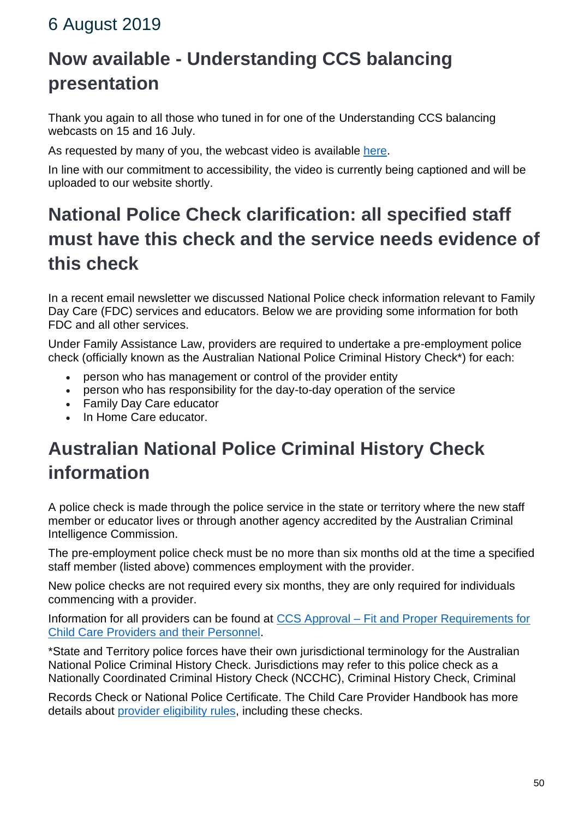### 6 August 2019

# **Now available - Understanding CCS balancing presentation**

Thank you again to all those who tuned in for one of the Understanding CCS balancing webcasts on 15 and 16 July.

As requested by many of you, the webcast video is available [here.](https://education.us17.list-manage.com/track/click?u=e11e7c8d748ec85b8de00986c&id=793d5e8dac&e=5f4b6423be)

In line with our commitment to accessibility, the video is currently being captioned and will be uploaded to our website shortly.

# **National Police Check clarification: all specified staff must have this check and the service needs evidence of this check**

In a recent email newsletter we discussed National Police check information relevant to Family Day Care (FDC) services and educators. Below we are providing some information for both FDC and all other services.

Under Family Assistance Law, providers are required to undertake a pre-employment police check (officially known as the Australian National Police Criminal History Check\*) for each:

- person who has management or control of the provider entity
- person who has responsibility for the day-to-day operation of the service
- Family Day Care educator
- In Home Care educator.

# **Australian National Police Criminal History Check information**

A police check is made through the police service in the state or territory where the new staff member or educator lives or through another agency accredited by the Australian Criminal Intelligence Commission.

The pre-employment police check must be no more than six months old at the time a specified staff member (listed above) commences employment with the provider.

New police checks are not required every six months, they are only required for individuals commencing with a provider.

Information for all providers can be found at CCS Approval – [Fit and Proper Requirements for](https://education.us17.list-manage.com/track/click?u=e11e7c8d748ec85b8de00986c&id=45c859f71c&e=5f4b6423be)  [Child Care Providers and their Personnel.](https://education.us17.list-manage.com/track/click?u=e11e7c8d748ec85b8de00986c&id=45c859f71c&e=5f4b6423be)

\*State and Territory police forces have their own jurisdictional terminology for the Australian National Police Criminal History Check. Jurisdictions may refer to this police check as a Nationally Coordinated Criminal History Check (NCCHC), Criminal History Check, Criminal

Records Check or National Police Certificate. The Child Care Provider Handbook has more details about [provider eligibility rules,](https://education.us17.list-manage.com/track/click?u=e11e7c8d748ec85b8de00986c&id=15a3676145&e=5f4b6423be) including these checks.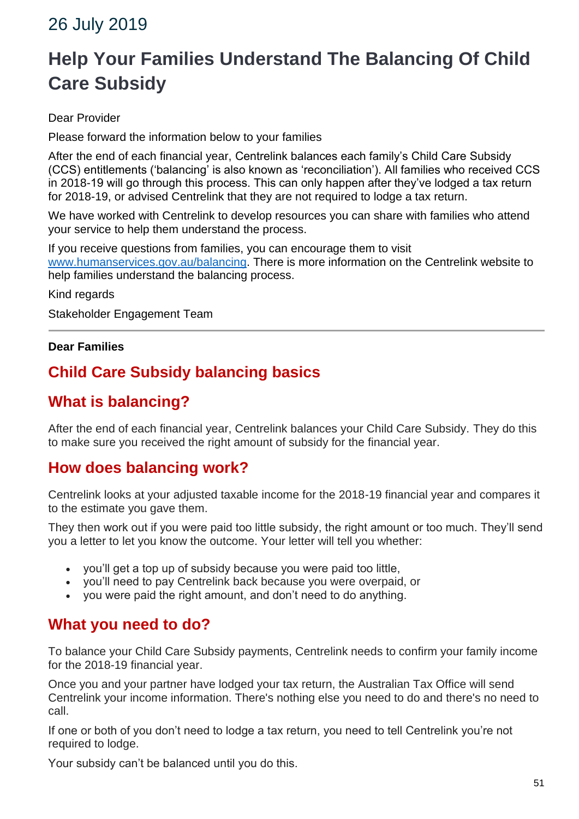### 26 July 2019

# **Help Your Families Understand The Balancing Of Child Care Subsidy**

#### Dear Provider

Please forward the information below to your families

After the end of each financial year, Centrelink balances each family's Child Care Subsidy (CCS) entitlements ('balancing' is also known as 'reconciliation'). All families who received CCS in 2018-19 will go through this process. This can only happen after they've lodged a tax return for 2018-19, or advised Centrelink that they are not required to lodge a tax return.

We have worked with Centrelink to develop resources you can share with families who attend your service to help them understand the process.

If you receive questions from families, you can encourage them to visit [www.humanservices.gov.au/balancing.](https://education.us17.list-manage.com/track/click?u=e11e7c8d748ec85b8de00986c&id=ce38810d9d&e=4a9199875d) There is more information on the Centrelink website to help families understand the balancing process.

Kind regards

Stakeholder Engagement Team

#### **Dear Families**

### **Child Care Subsidy balancing basics**

### **What is balancing?**

After the end of each financial year, Centrelink balances your Child Care Subsidy. They do this to make sure you received the right amount of subsidy for the financial year.

### **How does balancing work?**

Centrelink looks at your adjusted taxable income for the 2018-19 financial year and compares it to the estimate you gave them.

They then work out if you were paid too little subsidy, the right amount or too much. They'll send you a letter to let you know the outcome. Your letter will tell you whether:

- you'll get a top up of subsidy because you were paid too little,
- you'll need to pay Centrelink back because you were overpaid, or
- you were paid the right amount, and don't need to do anything.

### **What you need to do?**

To balance your Child Care Subsidy payments, Centrelink needs to confirm your family income for the 2018-19 financial year.

Once you and your partner have lodged your tax return, the Australian Tax Office will send Centrelink your income information. There's nothing else you need to do and there's no need to call.

If one or both of you don't need to lodge a tax return, you need to tell Centrelink you're not required to lodge.

Your subsidy can't be balanced until you do this.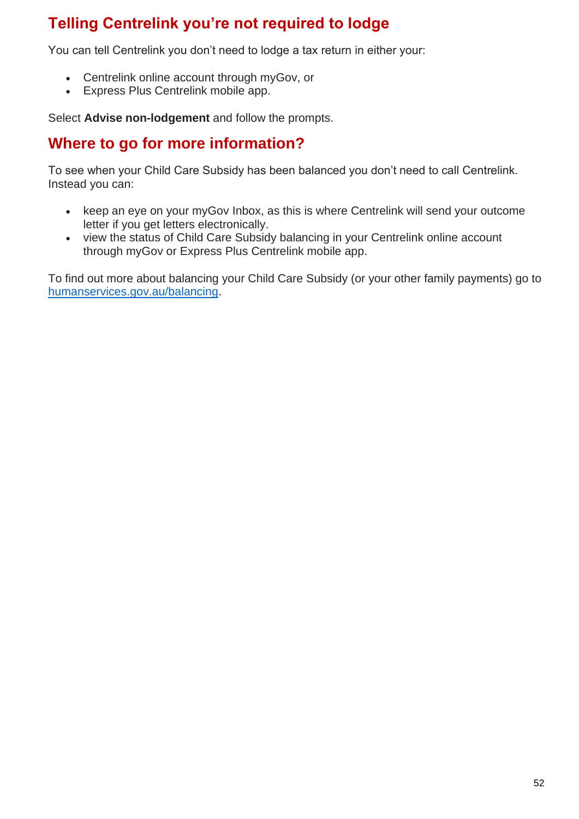### **Telling Centrelink you're not required to lodge**

You can tell Centrelink you don't need to lodge a tax return in either your:

- Centrelink online account through myGov, or
- Express Plus Centrelink mobile app.

Select **Advise non-lodgement** and follow the prompts.

### **Where to go for more information?**

To see when your Child Care Subsidy has been balanced you don't need to call Centrelink. Instead you can:

- keep an eye on your myGov Inbox, as this is where Centrelink will send your outcome letter if you get letters electronically.
- view the status of Child Care Subsidy balancing in your Centrelink online account through myGov or Express Plus Centrelink mobile app.

To find out more about balancing your Child Care Subsidy (or your other family payments) go to [humanservices.gov.au/balancing.](https://education.us17.list-manage.com/track/click?u=e11e7c8d748ec85b8de00986c&id=a45cef9b44&e=4a9199875d)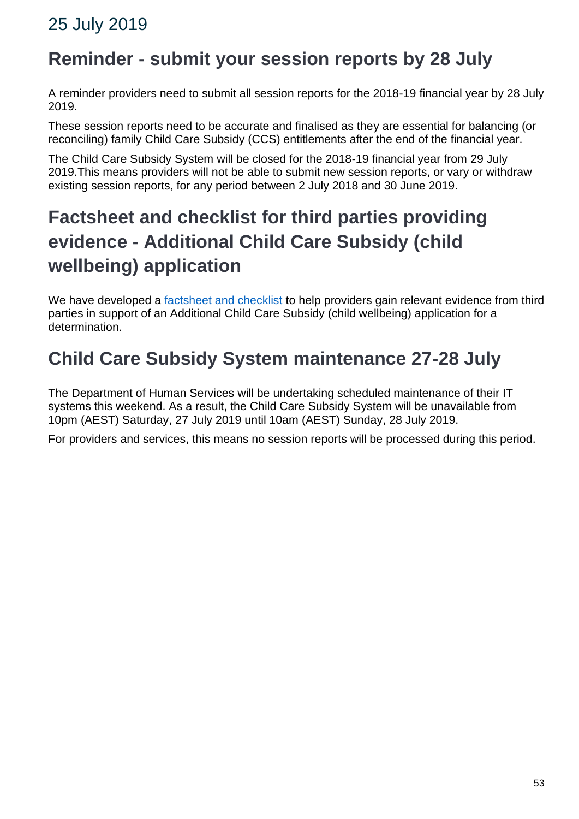### **Reminder - submit your session reports by 28 July**

A reminder providers need to submit all session reports for the 2018-19 financial year by 28 July 2019.

These session reports need to be accurate and finalised as they are essential for balancing (or reconciling) family Child Care Subsidy (CCS) entitlements after the end of the financial year.

The Child Care Subsidy System will be closed for the 2018-19 financial year from 29 July 2019.This means providers will not be able to submit new session reports, or vary or withdraw existing session reports, for any period between 2 July 2018 and 30 June 2019.

# **Factsheet and checklist for third parties providing evidence - Additional Child Care Subsidy (child wellbeing) application**

We have developed a [factsheet and checklist](https://education.us17.list-manage.com/track/click?u=e11e7c8d748ec85b8de00986c&id=de2bd9c087&e=5f4b6423be) to help providers gain relevant evidence from third parties in support of an Additional Child Care Subsidy (child wellbeing) application for a determination.

# **Child Care Subsidy System maintenance 27-28 July**

The Department of Human Services will be undertaking scheduled maintenance of their IT systems this weekend. As a result, the Child Care Subsidy System will be unavailable from 10pm (AEST) Saturday, 27 July 2019 until 10am (AEST) Sunday, 28 July 2019.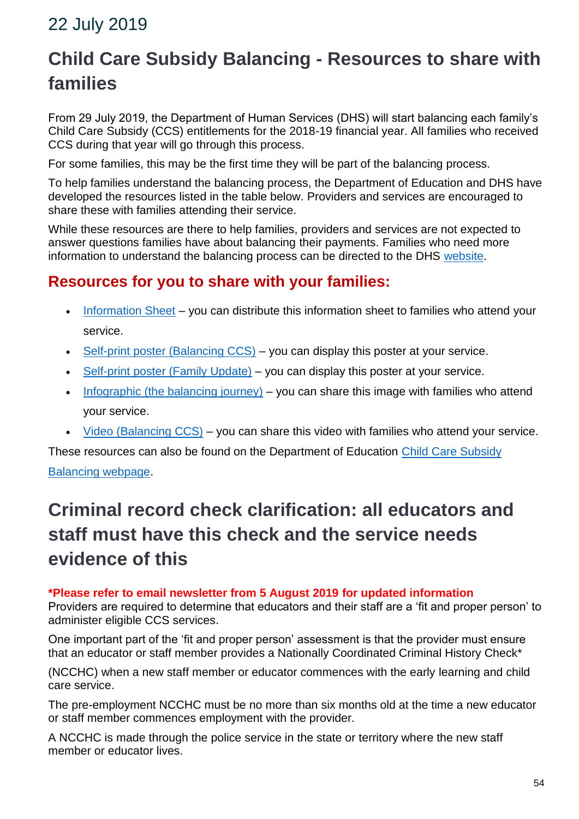### 22 July 2019

# **Child Care Subsidy Balancing - Resources to share with families**

From 29 July 2019, the Department of Human Services (DHS) will start balancing each family's Child Care Subsidy (CCS) entitlements for the 2018-19 financial year. All families who received CCS during that year will go through this process.

For some families, this may be the first time they will be part of the balancing process.

To help families understand the balancing process, the Department of Education and DHS have developed the resources listed in the table below. Providers and services are encouraged to share these with families attending their service.

While these resources are there to help families, providers and services are not expected to answer questions families have about balancing their payments. Families who need more information to understand the balancing process can be directed to the DHS [website.](https://education.us17.list-manage.com/track/click?u=e11e7c8d748ec85b8de00986c&id=f5fe2e3c90&e=5f4b6423be)

### **Resources for you to share with your families:**

- [Information Sheet](https://education.us17.list-manage.com/track/click?u=e11e7c8d748ec85b8de00986c&id=b037f6201c&e=5f4b6423be) you can distribute this information sheet to families who attend your service.
- [Self-print poster \(Balancing CCS\)](https://education.us17.list-manage.com/track/click?u=e11e7c8d748ec85b8de00986c&id=ef68c7b800&e=5f4b6423be) you can display this poster at your service.
- [Self-print poster \(Family Update\)](https://education.us17.list-manage.com/track/click?u=e11e7c8d748ec85b8de00986c&id=7b28621f6c&e=5f4b6423be) you can display this poster at your service.
- [Infographic \(the balancing journey\)](https://education.us17.list-manage.com/track/click?u=e11e7c8d748ec85b8de00986c&id=7c9e33fbbf&e=5f4b6423be) you can share this image with families who attend your service.
- [Video \(Balancing CCS\)](https://education.us17.list-manage.com/track/click?u=e11e7c8d748ec85b8de00986c&id=4c60356d09&e=5f4b6423be) you can share this video with families who attend your service.

These resources can also be found on the Department of Education Child Care Subsidy

#### [Balancing webpage.](https://education.us17.list-manage.com/track/click?u=e11e7c8d748ec85b8de00986c&id=d8a7e7b953&e=5f4b6423be)

# **Criminal record check clarification: all educators and staff must have this check and the service needs evidence of this**

#### **\*Please refer to email newsletter from 5 August 2019 for updated information**

Providers are required to determine that educators and their staff are a 'fit and proper person' to administer eligible CCS services.

One important part of the 'fit and proper person' assessment is that the provider must ensure that an educator or staff member provides a Nationally Coordinated Criminal History Check\*

(NCCHC) when a new staff member or educator commences with the early learning and child care service.

The pre-employment NCCHC must be no more than six months old at the time a new educator or staff member commences employment with the provider.

A NCCHC is made through the police service in the state or territory where the new staff member or educator lives.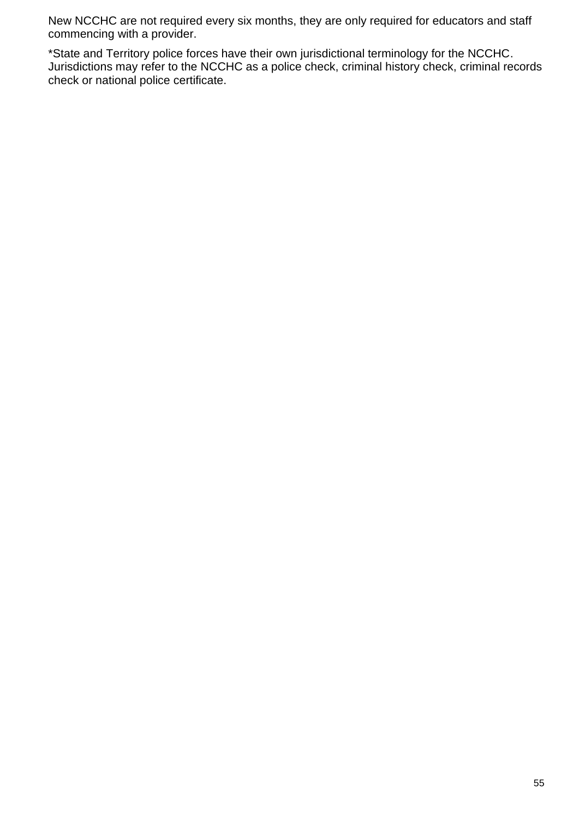New NCCHC are not required every six months, they are only required for educators and staff commencing with a provider.

\*State and Territory police forces have their own jurisdictional terminology for the NCCHC. Jurisdictions may refer to the NCCHC as a police check, criminal history check, criminal records check or national police certificate.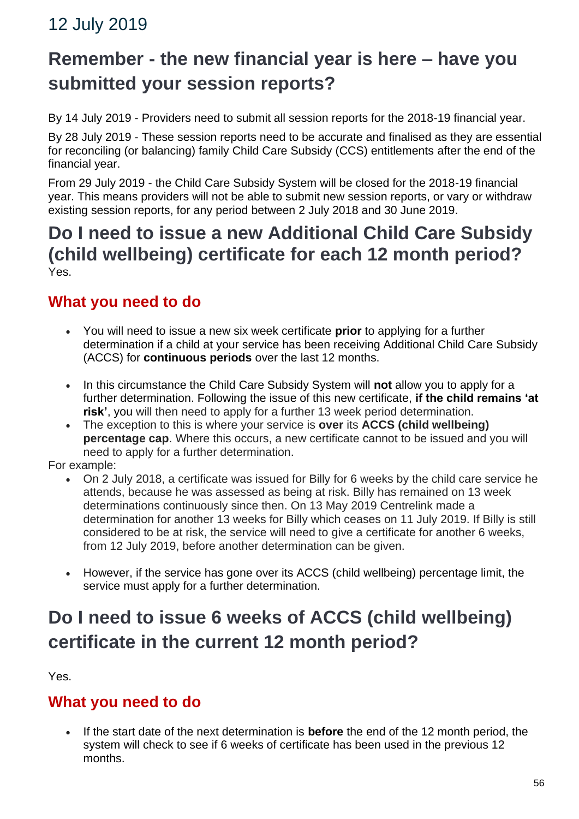### 12 July 2019

## **Remember - the new financial year is here – have you submitted your session reports?**

By 14 July 2019 - Providers need to submit all session reports for the 2018-19 financial year.

By 28 July 2019 - These session reports need to be accurate and finalised as they are essential for reconciling (or balancing) family Child Care Subsidy (CCS) entitlements after the end of the financial year.

From 29 July 2019 - the Child Care Subsidy System will be closed for the 2018-19 financial year. This means providers will not be able to submit new session reports, or vary or withdraw existing session reports, for any period between 2 July 2018 and 30 June 2019.

### **Do I need to issue a new Additional Child Care Subsidy (child wellbeing) certificate for each 12 month period?** Yes.

### **What you need to do**

- You will need to issue a new six week certificate **prior** to applying for a further determination if a child at your service has been receiving Additional Child Care Subsidy (ACCS) for **continuous periods** over the last 12 months.
- In this circumstance the Child Care Subsidy System will **not** allow you to apply for a further determination. Following the issue of this new certificate, **if the child remains 'at risk'**, you will then need to apply for a further 13 week period determination.
- The exception to this is where your service is **over** its **ACCS (child wellbeing) percentage cap**. Where this occurs, a new certificate cannot to be issued and you will need to apply for a further determination.

For example:

- On 2 July 2018, a certificate was issued for Billy for 6 weeks by the child care service he attends, because he was assessed as being at risk. Billy has remained on 13 week determinations continuously since then. On 13 May 2019 Centrelink made a determination for another 13 weeks for Billy which ceases on 11 July 2019. If Billy is still considered to be at risk, the service will need to give a certificate for another 6 weeks, from 12 July 2019, before another determination can be given.
- However, if the service has gone over its ACCS (child wellbeing) percentage limit, the service must apply for a further determination.

# **Do I need to issue 6 weeks of ACCS (child wellbeing) certificate in the current 12 month period?**

Yes.

### **What you need to do**

• If the start date of the next determination is **before** the end of the 12 month period, the system will check to see if 6 weeks of certificate has been used in the previous 12 months.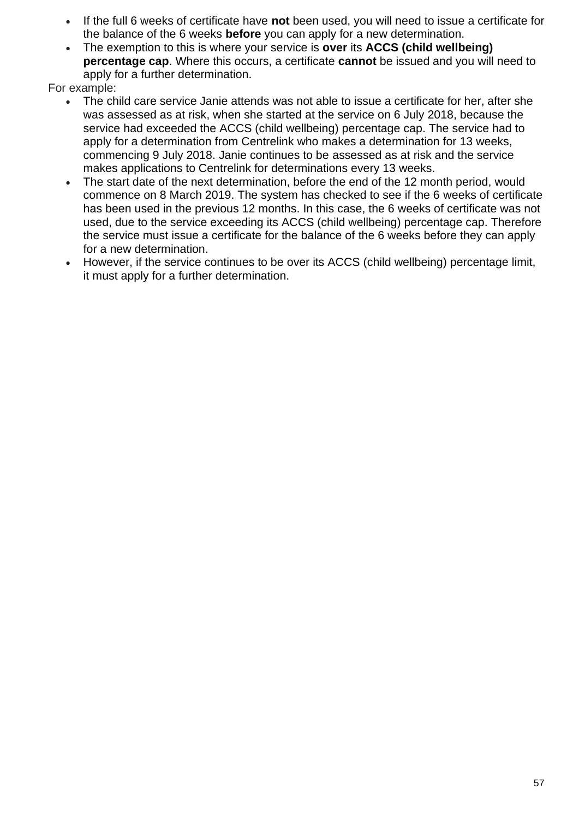- If the full 6 weeks of certificate have **not** been used, you will need to issue a certificate for the balance of the 6 weeks **before** you can apply for a new determination.
- The exemption to this is where your service is **over** its **ACCS (child wellbeing) percentage cap**. Where this occurs, a certificate **cannot** be issued and you will need to apply for a further determination.

For example:

- The child care service Janie attends was not able to issue a certificate for her, after she was assessed as at risk, when she started at the service on 6 July 2018, because the service had exceeded the ACCS (child wellbeing) percentage cap. The service had to apply for a determination from Centrelink who makes a determination for 13 weeks, commencing 9 July 2018. Janie continues to be assessed as at risk and the service makes applications to Centrelink for determinations every 13 weeks.
- The start date of the next determination, before the end of the 12 month period, would commence on 8 March 2019. The system has checked to see if the 6 weeks of certificate has been used in the previous 12 months. In this case, the 6 weeks of certificate was not used, due to the service exceeding its ACCS (child wellbeing) percentage cap. Therefore the service must issue a certificate for the balance of the 6 weeks before they can apply for a new determination.
- However, if the service continues to be over its ACCS (child wellbeing) percentage limit, it must apply for a further determination.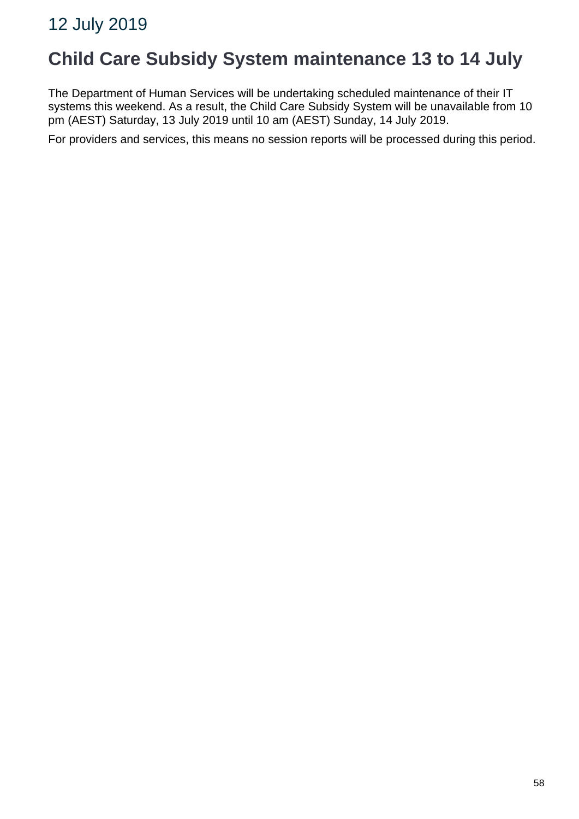### **Child Care Subsidy System maintenance 13 to 14 July**

The Department of Human Services will be undertaking scheduled maintenance of their IT systems this weekend. As a result, the Child Care Subsidy System will be unavailable from 10 pm (AEST) Saturday, 13 July 2019 until 10 am (AEST) Sunday, 14 July 2019.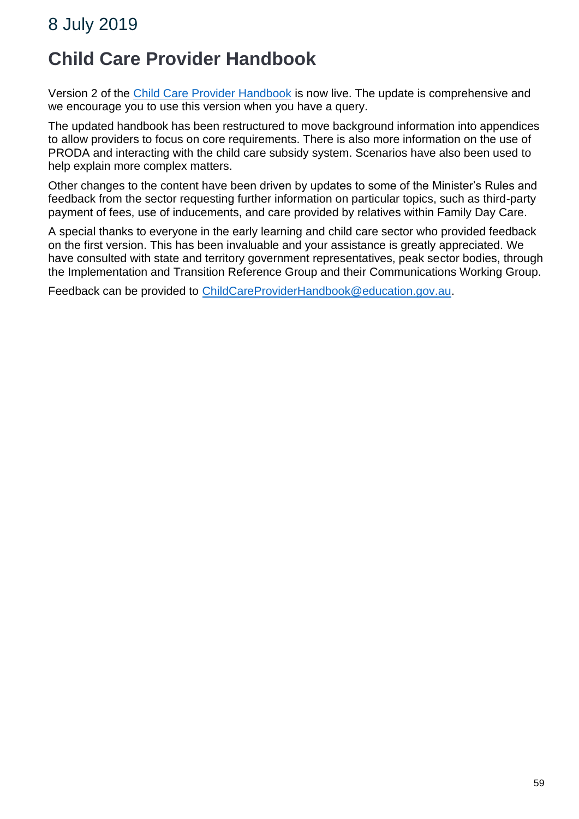## **Child Care Provider Handbook**

Version 2 of the [Child Care Provider Handbook](https://education.us17.list-manage.com/track/click?u=e11e7c8d748ec85b8de00986c&id=c1043453d0&e=45811dbe74) is now live. The update is comprehensive and we encourage you to use this version when you have a query.

The updated handbook has been restructured to move background information into appendices to allow providers to focus on core requirements. There is also more information on the use of PRODA and interacting with the child care subsidy system. Scenarios have also been used to help explain more complex matters.

Other changes to the content have been driven by updates to some of the Minister's Rules and feedback from the sector requesting further information on particular topics, such as third-party payment of fees, use of inducements, and care provided by relatives within Family Day Care.

A special thanks to everyone in the early learning and child care sector who provided feedback on the first version. This has been invaluable and your assistance is greatly appreciated. We have consulted with state and territory government representatives, peak sector bodies, through the Implementation and Transition Reference Group and their Communications Working Group.

Feedback can be provided to [ChildCareProviderHandbook@education.gov.au.](mailto:ChildCareProviderHandbook@education.gov.au)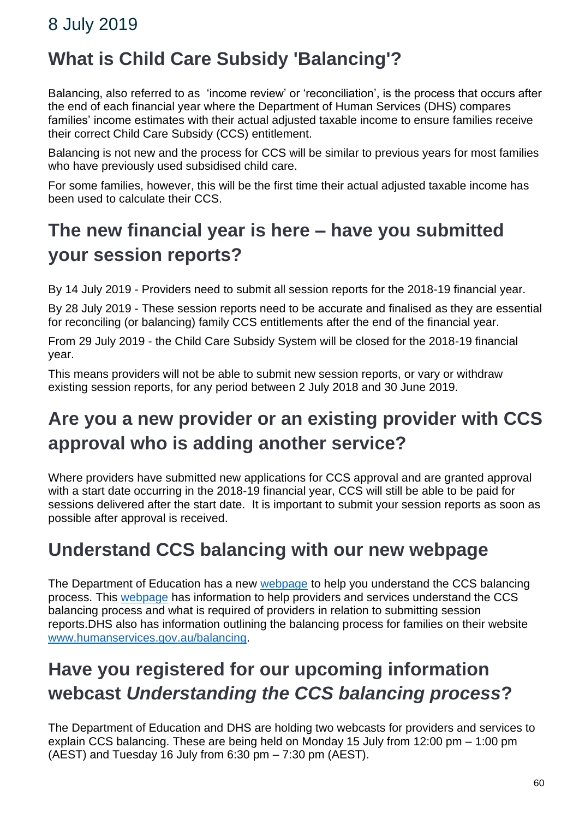# **What is Child Care Subsidy 'Balancing'?**

Balancing, also referred to as 'income review' or 'reconciliation', is the process that occurs after the end of each financial year where the Department of Human Services (DHS) compares families' income estimates with their actual adjusted taxable income to ensure families receive their correct Child Care Subsidy (CCS) entitlement.

Balancing is not new and the process for CCS will be similar to previous years for most families who have previously used subsidised child care.

For some families, however, this will be the first time their actual adjusted taxable income has been used to calculate their CCS.

## **The new financial year is here – have you submitted your session reports?**

By 14 July 2019 - Providers need to submit all session reports for the 2018-19 financial year.

By 28 July 2019 - These session reports need to be accurate and finalised as they are essential for reconciling (or balancing) family CCS entitlements after the end of the financial year.

From 29 July 2019 - the Child Care Subsidy System will be closed for the 2018-19 financial year.

This means providers will not be able to submit new session reports, or vary or withdraw existing session reports, for any period between 2 July 2018 and 30 June 2019.

# **Are you a new provider or an existing provider with CCS approval who is adding another service?**

Where providers have submitted new applications for CCS approval and are granted approval with a start date occurring in the 2018-19 financial year, CCS will still be able to be paid for sessions delivered after the start date. It is important to submit your session reports as soon as possible after approval is received.

### **Understand CCS balancing with our new webpage**

The Department of Education has a new [webpage](https://education.us17.list-manage.com/track/click?u=e11e7c8d748ec85b8de00986c&id=96f2c6e3f6&e=45811dbe74) to help you understand the CCS balancing process. This [webpage](https://education.us17.list-manage.com/track/click?u=e11e7c8d748ec85b8de00986c&id=359f70c499&e=45811dbe74) has information to help providers and services understand the CCS balancing process and what is required of providers in relation to submitting session reports.DHS also has information outlining the balancing process for families on their website [www.humanservices.gov.au/balancing.](https://education.us17.list-manage.com/track/click?u=e11e7c8d748ec85b8de00986c&id=7949649db4&e=45811dbe74)

# **Have you registered for our upcoming information webcast** *Understanding the CCS balancing process***?**

The Department of Education and DHS are holding two webcasts for providers and services to explain CCS balancing. These are being held on Monday 15 July from 12:00 pm – 1:00 pm (AEST) and Tuesday 16 July from 6:30 pm – 7:30 pm (AEST).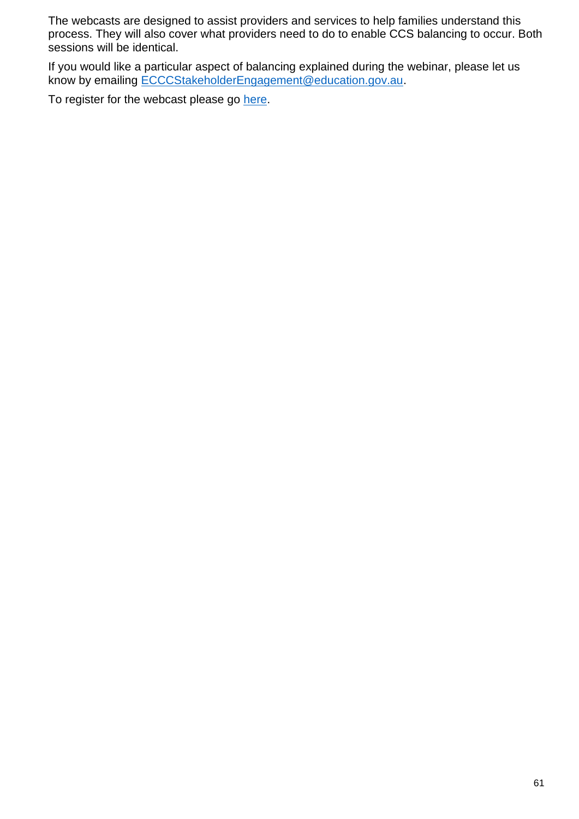The webcasts are designed to assist providers and services to help families understand this process. They will also cover what providers need to do to enable CCS balancing to occur. Both sessions will be identical.

If you would like a particular aspect of balancing explained during the webinar, please let us know by emailing [ECCCStakeholderEngagement@education.gov.au.](mailto:ECCCStakeholderEngagement@education.gov.au)

To register for the webcast please go [here.](https://education.us17.list-manage.com/track/click?u=e11e7c8d748ec85b8de00986c&id=4b222d33b2&e=45811dbe74)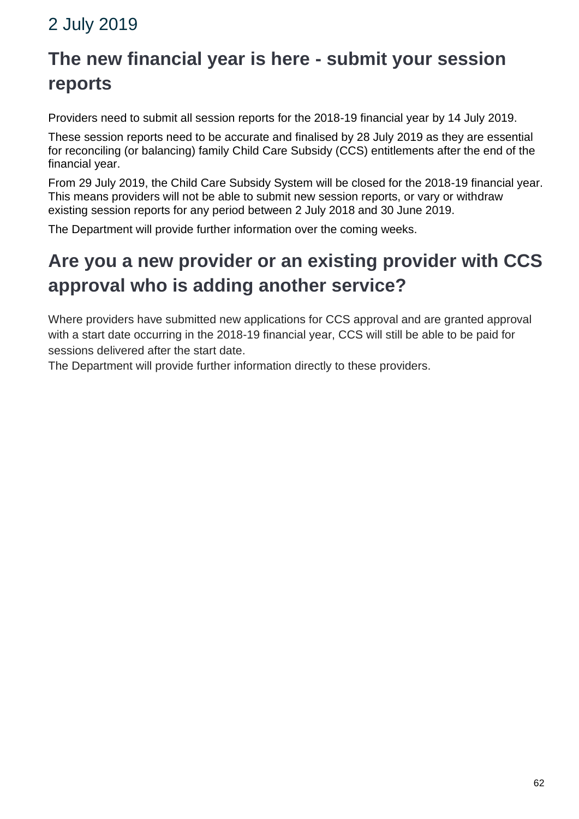### 2 July 2019

# **The new financial year is here - submit your session reports**

Providers need to submit all session reports for the 2018-19 financial year by 14 July 2019.

These session reports need to be accurate and finalised by 28 July 2019 as they are essential for reconciling (or balancing) family Child Care Subsidy (CCS) entitlements after the end of the financial year.

From 29 July 2019, the Child Care Subsidy System will be closed for the 2018-19 financial year. This means providers will not be able to submit new session reports, or vary or withdraw existing session reports for any period between 2 July 2018 and 30 June 2019.

The Department will provide further information over the coming weeks.

# **Are you a new provider or an existing provider with CCS approval who is adding another service?**

Where providers have submitted new applications for CCS approval and are granted approval with a start date occurring in the 2018-19 financial year, CCS will still be able to be paid for sessions delivered after the start date.

The Department will provide further information directly to these providers.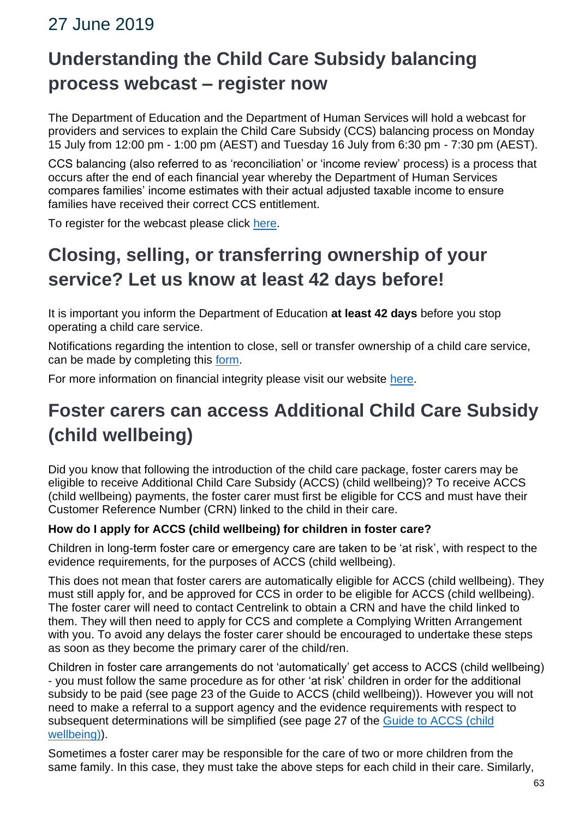### 27 June 2019

# **Understanding the Child Care Subsidy balancing process webcast – register now**

The Department of Education and the Department of Human Services will hold a webcast for providers and services to explain the Child Care Subsidy (CCS) balancing process on Monday 15 July from 12:00 pm - 1:00 pm (AEST) and Tuesday 16 July from 6:30 pm - 7:30 pm (AEST).

CCS balancing (also referred to as 'reconciliation' or 'income review' process) is a process that occurs after the end of each financial year whereby the Department of Human Services compares families' income estimates with their actual adjusted taxable income to ensure families have received their correct CCS entitlement.

To register for the webcast please click [here.](https://mailchi.mp/543bd5215c24/auqhvl6nib)

# **Closing, selling, or transferring ownership of your service? Let us know at least 42 days before!**

It is important you inform the Department of Education **at least 42 days** before you stop operating a child care service.

Notifications regarding the intention to close, sell or transfer ownership of a child care service, can be made by completing this [form.](https://docs.education.gov.au/node/51151)

For more information on financial integrity please visit our website [here.](https://www.education.gov.au/financial-integrity)

## **Foster carers can access Additional Child Care Subsidy (child wellbeing)**

Did you know that following the introduction of the child care package, foster carers may be eligible to receive Additional Child Care Subsidy (ACCS) (child wellbeing)? To receive ACCS (child wellbeing) payments, the foster carer must first be eligible for CCS and must have their Customer Reference Number (CRN) linked to the child in their care.

#### **How do I apply for ACCS (child wellbeing) for children in foster care?**

Children in long-term foster care or emergency care are taken to be 'at risk', with respect to the evidence requirements, for the purposes of ACCS (child wellbeing).

This does not mean that foster carers are automatically eligible for ACCS (child wellbeing). They must still apply for, and be approved for CCS in order to be eligible for ACCS (child wellbeing). The foster carer will need to contact Centrelink to obtain a CRN and have the child linked to them. They will then need to apply for CCS and complete a Complying Written Arrangement with you. To avoid any delays the foster carer should be encouraged to undertake these steps as soon as they become the primary carer of the child/ren.

Children in foster care arrangements do not 'automatically' get access to ACCS (child wellbeing) - you must follow the same procedure as for other 'at risk' children in order for the additional subsidy to be paid (see page 23 of the Guide to ACCS (child wellbeing)). However you will not need to make a referral to a support agency and the evidence requirements with respect to subsequent determinations will be simplified (see page 27 of the [Guide to ACCS](https://docs.education.gov.au/node/50896) (child [wellbeing\)\)](https://docs.education.gov.au/node/50896).

Sometimes a foster carer may be responsible for the care of two or more children from the same family. In this case, they must take the above steps for each child in their care. Similarly,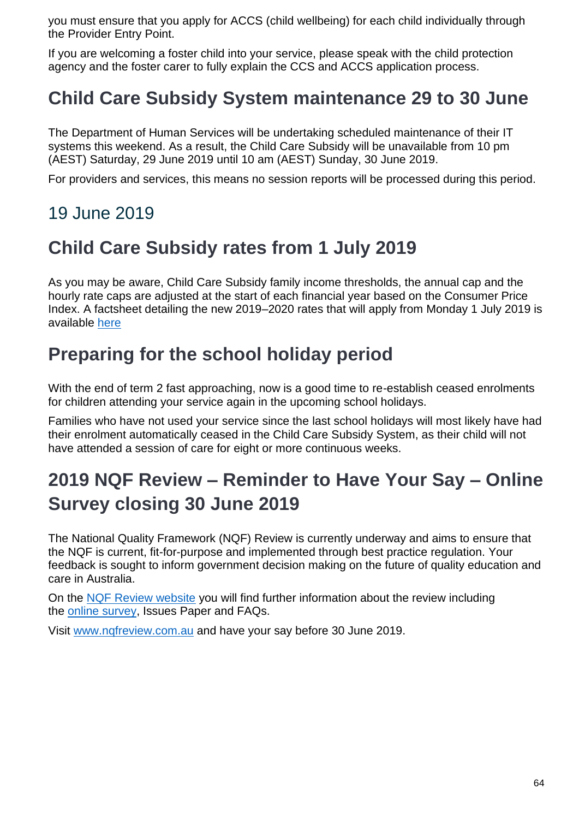you must ensure that you apply for ACCS (child wellbeing) for each child individually through the Provider Entry Point.

If you are welcoming a foster child into your service, please speak with the child protection agency and the foster carer to fully explain the CCS and ACCS application process.

## **Child Care Subsidy System maintenance 29 to 30 June**

The Department of Human Services will be undertaking scheduled maintenance of their IT systems this weekend. As a result, the Child Care Subsidy will be unavailable from 10 pm (AEST) Saturday, 29 June 2019 until 10 am (AEST) Sunday, 30 June 2019.

For providers and services, this means no session reports will be processed during this period.

## 19 June 2019

## **Child Care Subsidy rates from 1 July 2019**

As you may be aware, Child Care Subsidy family income thresholds, the annual cap and the hourly rate caps are adjusted at the start of each financial year based on the Consumer Price Index. A factsheet detailing the new 2019–2020 rates that will apply from Monday 1 July 2019 is available [here](https://docs.education.gov.au/node/52916)

## **Preparing for the school holiday period**

With the end of term 2 fast approaching, now is a good time to re-establish ceased enrolments for children attending your service again in the upcoming school holidays.

Families who have not used your service since the last school holidays will most likely have had their enrolment automatically ceased in the Child Care Subsidy System, as their child will not have attended a session of care for eight or more continuous weeks.

# **2019 NQF Review – Reminder to Have Your Say – Online Survey closing 30 June 2019**

The National Quality Framework (NQF) Review is currently underway and aims to ensure that the NQF is current, fit-for-purpose and implemented through best practice regulation. Your feedback is sought to inform government decision making on the future of quality education and care in Australia.

On the [NQF Review website](https://education.us17.list-manage.com/track/click?u=e11e7c8d748ec85b8de00986c&id=8e843cd792&e=5f4b6423be) you will find further information about the review including the [online survey,](https://www.nqfreview.com.au/take-survey-now) Issues Paper and FAQs.

Visit [www.nqfreview.com.au](https://education.us17.list-manage.com/track/click?u=e11e7c8d748ec85b8de00986c&id=8e843cd792&e=5f4b6423be) and have your say before 30 June 2019.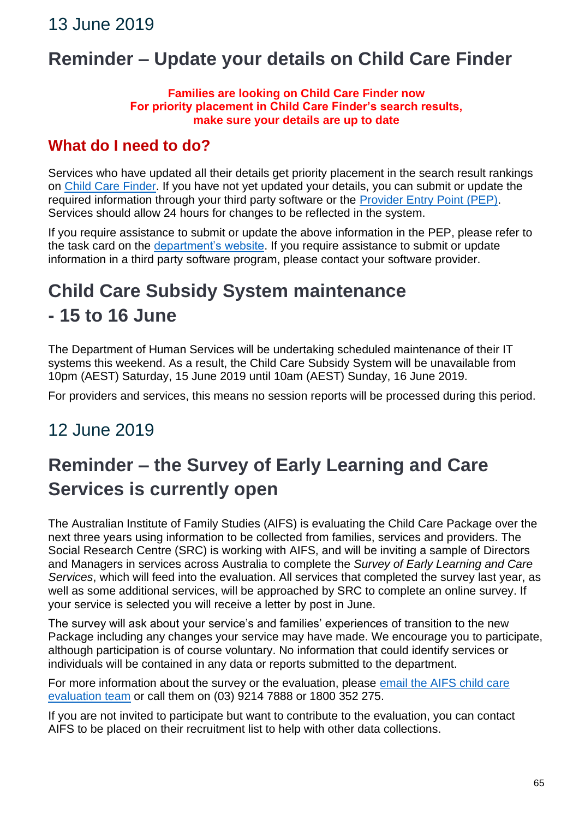## **Reminder – Update your details on Child Care Finder**

#### **Families are looking on Child Care Finder now For priority placement in Child Care Finder's search results, make sure your details are up to date**

### **What do I need to do?**

Services who have updated all their details get priority placement in the search result rankings on [Child Care Finder.](http://www.childcarefinder.gov.au/) If you have not yet updated your details, you can submit or update the required information through your third party software or the [Provider Entry Point \(PEP\).](https://businessonline.humanservices.gov.au/childcare/) Services should allow 24 hours for changes to be reflected in the system.

If you require assistance to submit or update the above information in the PEP, please refer to the task card on the [department's website.](https://docs.education.gov.au/node/51276) If you require assistance to submit or update information in a third party software program, please contact your software provider.

# **Child Care Subsidy System maintenance - 15 to 16 June**

The Department of Human Services will be undertaking scheduled maintenance of their IT systems this weekend. As a result, the Child Care Subsidy System will be unavailable from 10pm (AEST) Saturday, 15 June 2019 until 10am (AEST) Sunday, 16 June 2019.

For providers and services, this means no session reports will be processed during this period.

### 12 June 2019

# **Reminder – the Survey of Early Learning and Care Services is currently open**

The Australian Institute of Family Studies (AIFS) is evaluating the Child Care Package over the next three years using information to be collected from families, services and providers. The Social Research Centre (SRC) is working with AIFS, and will be inviting a sample of Directors and Managers in services across Australia to complete the *Survey of Early Learning and Care Services*, which will feed into the evaluation. All services that completed the survey last year, as well as some additional services, will be approached by SRC to complete an online survey. If your service is selected you will receive a letter by post in June.

The survey will ask about your service's and families' experiences of transition to the new Package including any changes your service may have made. We encourage you to participate, although participation is of course voluntary. No information that could identify services or individuals will be contained in any data or reports submitted to the department.

For more information about the survey or the evaluation, please email the AIFS child care [evaluation team](mailto:aifs-childcare-eval@aifs.gov.au) or call them on (03) 9214 7888 or 1800 352 275.

If you are not invited to participate but want to contribute to the evaluation, you can contact AIFS to be placed on their recruitment list to help with other data collections.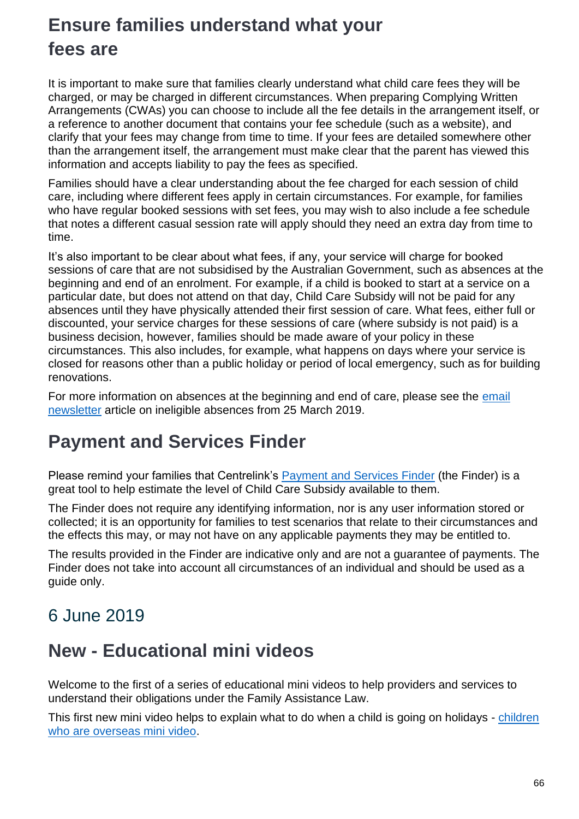# **Ensure families understand what your fees are**

It is important to make sure that families clearly understand what child care fees they will be charged, or may be charged in different circumstances. When preparing Complying Written Arrangements (CWAs) you can choose to include all the fee details in the arrangement itself, or a reference to another document that contains your fee schedule (such as a website), and clarify that your fees may change from time to time. If your fees are detailed somewhere other than the arrangement itself, the arrangement must make clear that the parent has viewed this information and accepts liability to pay the fees as specified.

Families should have a clear understanding about the fee charged for each session of child care, including where different fees apply in certain circumstances. For example, for families who have regular booked sessions with set fees, you may wish to also include a fee schedule that notes a different casual session rate will apply should they need an extra day from time to time.

It's also important to be clear about what fees, if any, your service will charge for booked sessions of care that are not subsidised by the Australian Government, such as absences at the beginning and end of an enrolment. For example, if a child is booked to start at a service on a particular date, but does not attend on that day, Child Care Subsidy will not be paid for any absences until they have physically attended their first session of care. What fees, either full or discounted, your service charges for these sessions of care (where subsidy is not paid) is a business decision, however, families should be made aware of your policy in these circumstances. This also includes, for example, what happens on days where your service is closed for reasons other than a public holiday or period of local emergency, such as for building renovations.

For more information on absences at the beginning and end of care, please see the email [newsletter](https://docs.education.gov.au/node/52846) article on ineligible absences from 25 March 2019.

### **Payment and Services Finder**

Please remind your families that Centrelink's [Payment and Services Finder](https://www.centrelink.gov.au/custsite_pfe/pymtfinderest/paymentFinderEstimatorPage.jsf?wec-appid=pymtfinderest&wec-locale=en_US#stay) (the Finder) is a great tool to help estimate the level of Child Care Subsidy available to them.

The Finder does not require any identifying information, nor is any user information stored or collected; it is an opportunity for families to test scenarios that relate to their circumstances and the effects this may, or may not have on any applicable payments they may be entitled to.

The results provided in the Finder are indicative only and are not a guarantee of payments. The Finder does not take into account all circumstances of an individual and should be used as a guide only.

### 6 June 2019

### **New - Educational mini videos**

Welcome to the first of a series of educational mini videos to help providers and services to understand their obligations under the Family Assistance Law.

This first new mini video helps to explain what to do when a child is going on holidays - [children](https://www.education.gov.au/mini-video-series)  [who are overseas mini video.](https://www.education.gov.au/mini-video-series)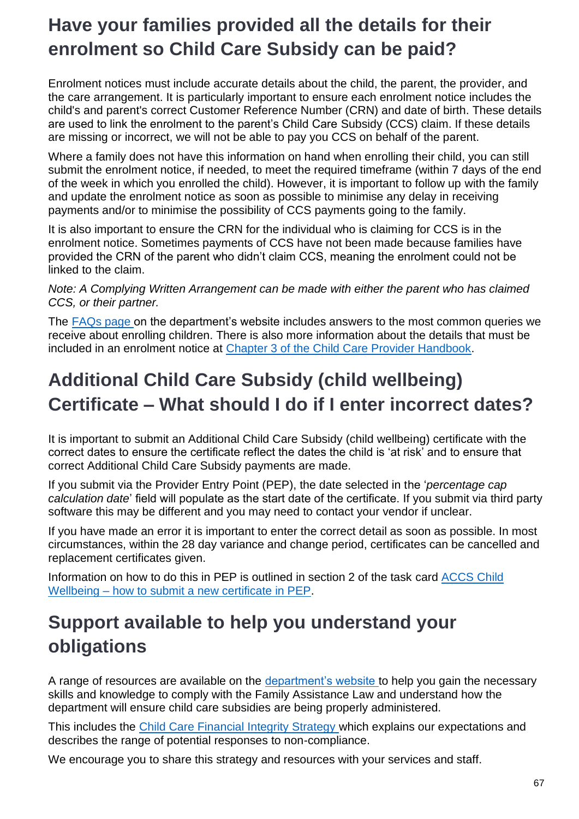## **Have your families provided all the details for their enrolment so Child Care Subsidy can be paid?**

Enrolment notices must include accurate details about the child, the parent, the provider, and the care arrangement. It is particularly important to ensure each enrolment notice includes the child's and parent's correct Customer Reference Number (CRN) and date of birth. These details are used to link the enrolment to the parent's Child Care Subsidy (CCS) claim. If these details are missing or incorrect, we will not be able to pay you CCS on behalf of the parent.

Where a family does not have this information on hand when enrolling their child, you can still submit the enrolment notice, if needed, to meet the required timeframe (within 7 days of the end of the week in which you enrolled the child). However, it is important to follow up with the family and update the enrolment notice as soon as possible to minimise any delay in receiving payments and/or to minimise the possibility of CCS payments going to the family.

It is also important to ensure the CRN for the individual who is claiming for CCS is in the enrolment notice. Sometimes payments of CCS have not been made because families have provided the CRN of the parent who didn't claim CCS, meaning the enrolment could not be linked to the claim.

*Note: A Complying Written Arrangement can be made with either the parent who has claimed CCS, or their partner.*

The [FAQs page](https://www.education.gov.au/new-child-care-package-frequently-asked-questions#Enrolling-Children) on the department's website includes answers to the most common queries we receive about enrolling children. There is also more information about the details that must be included in an enrolment notice at [Chapter 3 of the Child Care Provider Handbook.](http://www.education.gov.au/child-care-provider-handbook/3-enrolling-children)

## **Additional Child Care Subsidy (child wellbeing) Certificate – What should I do if I enter incorrect dates?**

It is important to submit an Additional Child Care Subsidy (child wellbeing) certificate with the correct dates to ensure the certificate reflect the dates the child is 'at risk' and to ensure that correct Additional Child Care Subsidy payments are made.

If you submit via the Provider Entry Point (PEP), the date selected in the '*percentage cap calculation date*' field will populate as the start date of the certificate. If you submit via third party software this may be different and you may need to contact your vendor if unclear.

If you have made an error it is important to enter the correct detail as soon as possible. In most circumstances, within the 28 day variance and change period, certificates can be cancelled and replacement certificates given.

Information on how to do this in PEP is outlined in section 2 of the task card [ACCS Child](https://docs.education.gov.au/node/50966)  Wellbeing – [how to submit a new certificate in PEP.](https://docs.education.gov.au/node/50966)

## **Support available to help you understand your obligations**

A range of resources are available on the [department's website](https://education.us17.list-manage.com/track/click?u=e11e7c8d748ec85b8de00986c&id=a2b12b841b&e=5f4b6423be) to help you gain the necessary skills and knowledge to comply with the Family Assistance Law and understand how the department will ensure child care subsidies are being properly administered.

This includes the [Child Care Financial Integrity Strategy](https://docs.education.gov.au/node/52656) [w](https://docs.education.gov.au/node/52656)hich explains our expectations and describes the range of potential responses to non-compliance.

We encourage you to share this strategy and resources with your services and staff.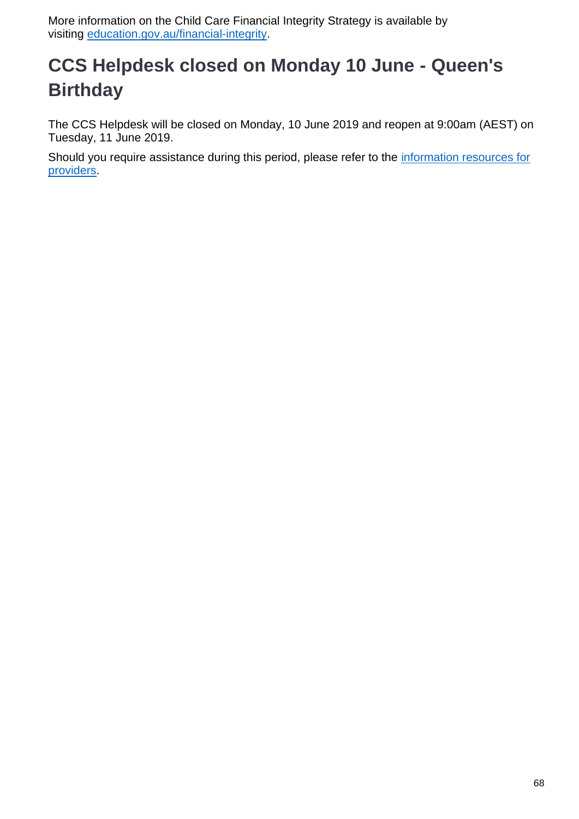More information on the Child Care Financial Integrity Strategy is available by visiting [education.gov.au/financial-integrity.](http://www.education.gov.au/financial-integrity)

# **CCS Helpdesk closed on Monday 10 June - Queen's Birthday**

The CCS Helpdesk will be closed on Monday, 10 June 2019 and reopen at 9:00am (AEST) on Tuesday, 11 June 2019.

Should you require assistance during this period, please refer to the [information resources for](http://www.education.gov.au/new-child-care-package-information-resources-providers)  [providers.](http://www.education.gov.au/new-child-care-package-information-resources-providers)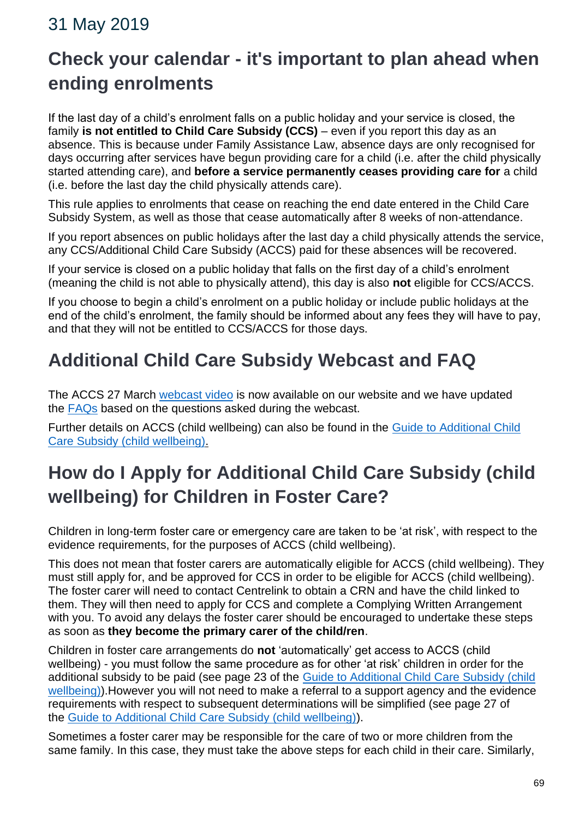### 31 May 2019

# **Check your calendar - it's important to plan ahead when ending enrolments**

If the last day of a child's enrolment falls on a public holiday and your service is closed, the family **is not entitled to Child Care Subsidy (CCS)** – even if you report this day as an absence. This is because under Family Assistance Law, absence days are only recognised for days occurring after services have begun providing care for a child (i.e. after the child physically started attending care), and **before a service permanently ceases providing care for** a child (i.e. before the last day the child physically attends care).

This rule applies to enrolments that cease on reaching the end date entered in the Child Care Subsidy System, as well as those that cease automatically after 8 weeks of non-attendance.

If you report absences on public holidays after the last day a child physically attends the service, any CCS/Additional Child Care Subsidy (ACCS) paid for these absences will be recovered.

If your service is closed on a public holiday that falls on the first day of a child's enrolment (meaning the child is not able to physically attend), this day is also **not** eligible for CCS/ACCS.

If you choose to begin a child's enrolment on a public holiday or include public holidays at the end of the child's enrolment, the family should be informed about any fees they will have to pay, and that they will not be entitled to CCS/ACCS for those days.

# **Additional Child Care Subsidy Webcast and FAQ**

The ACCS 27 March [webcast video](https://www.education.gov.au/videos/accs-child-wellbeing-webcast-information-session-video) is now available on our website and we have updated the [FAQs](https://education.us17.list-manage.com/track/click?u=e11e7c8d748ec85b8de00986c&id=a0b9ac82bb&e=5f4b6423be) based on the questions asked during the webcast.

Further details on ACCS (child wellbeing) can also be found in the [Guide to Additional Child](https://docs.education.gov.au/node/50896)  [Care Subsidy \(child wellbeing\).](https://docs.education.gov.au/node/50896)

# **How do I Apply for Additional Child Care Subsidy (child wellbeing) for Children in Foster Care?**

Children in long-term foster care or emergency care are taken to be 'at risk', with respect to the evidence requirements, for the purposes of ACCS (child wellbeing).

This does not mean that foster carers are automatically eligible for ACCS (child wellbeing). They must still apply for, and be approved for CCS in order to be eligible for ACCS (child wellbeing). The foster carer will need to contact Centrelink to obtain a CRN and have the child linked to them. They will then need to apply for CCS and complete a Complying Written Arrangement with you. To avoid any delays the foster carer should be encouraged to undertake these steps as soon as **they become the primary carer of the child/ren**.

Children in foster care arrangements do **not** 'automatically' get access to ACCS (child wellbeing) - you must follow the same procedure as for other 'at risk' children in order for the additional subsidy to be paid (see page 23 of the [Guide](https://docs.education.gov.au/node/50896) to Additional Child Care Subsidy (child [wellbeing\)\)](https://docs.education.gov.au/node/50896).However you will not need to make a referral to a support agency and the evidence requirements with respect to subsequent determinations will be simplified (see page 27 of the [Guide](https://docs.education.gov.au/node/50896) [to Additional Child Care Subsidy \(child wellbeing\)\)](https://docs.education.gov.au/node/50896).

Sometimes a foster carer may be responsible for the care of two or more children from the same family. In this case, they must take the above steps for each child in their care. Similarly,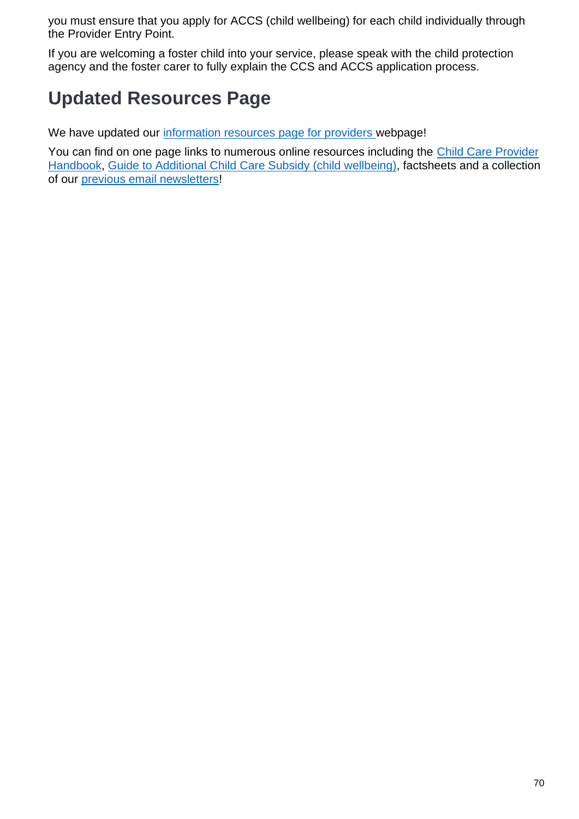you must ensure that you apply for ACCS (child wellbeing) for each child individually through the Provider Entry Point.

If you are welcoming a foster child into your service, please speak with the child protection agency and the foster carer to fully explain the CCS and ACCS application process.

# **Updated Resources Page**

We have updated our [information resources page for providers](https://education.us17.list-manage.com/track/click?u=e11e7c8d748ec85b8de00986c&id=cfe647b6ba&e=5f4b6423be) [w](https://education.us17.list-manage.com/track/click?u=e11e7c8d748ec85b8de00986c&id=cfe647b6ba&e=5f4b6423be)ebpage!

You can find on one page links to numerous online resources including the [Child Care Provider](https://education.us17.list-manage.com/track/click?u=e11e7c8d748ec85b8de00986c&id=4a74b0a214&e=5f4b6423be)  [Handbook,](https://education.us17.list-manage.com/track/click?u=e11e7c8d748ec85b8de00986c&id=4a74b0a214&e=5f4b6423be) [Guide to Additional Child Care Subsidy \(child wellbeing\),](https://docs.education.gov.au/node/50896) factsheets and a collection of our [previous email newsletters!](https://education.us17.list-manage.com/track/click?u=e11e7c8d748ec85b8de00986c&id=5c41212d9e&e=5f4b6423be)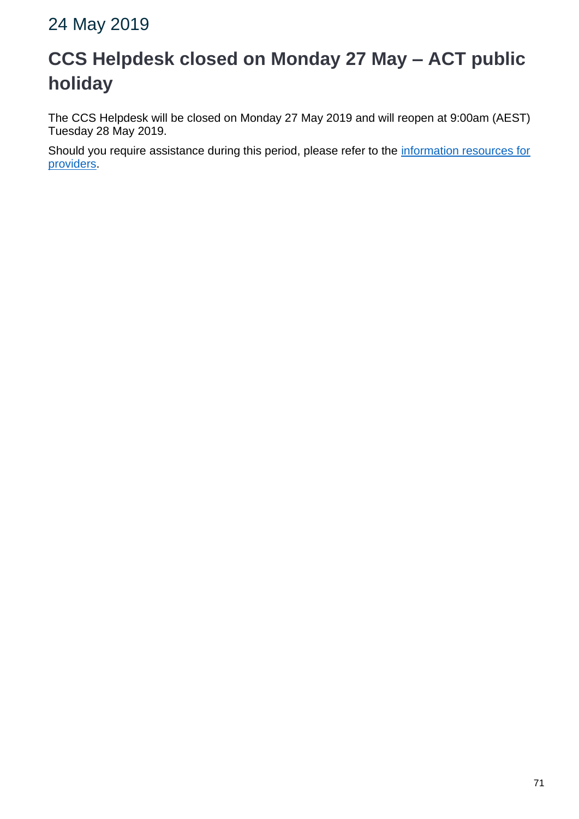### 24 May 2019

# **CCS Helpdesk closed on Monday 27 May – ACT public holiday**

The CCS Helpdesk will be closed on Monday 27 May 2019 and will reopen at 9:00am (AEST) Tuesday 28 May 2019.

Should you require assistance during this period, please refer to the information resources for [providers.](http://www.education.gov.au/new-child-care-package-information-resources-providers)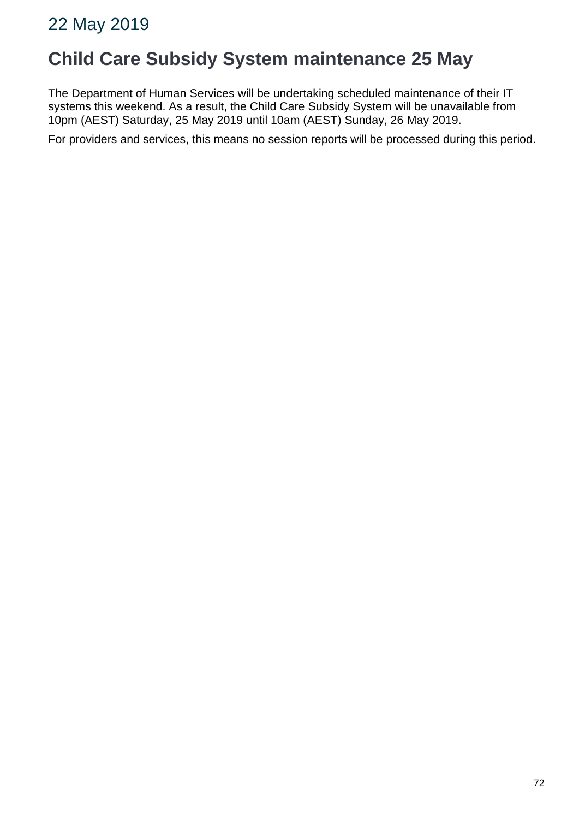### **Child Care Subsidy System maintenance 25 May**

The Department of Human Services will be undertaking scheduled maintenance of their IT systems this weekend. As a result, the Child Care Subsidy System will be unavailable from 10pm (AEST) Saturday, 25 May 2019 until 10am (AEST) Sunday, 26 May 2019.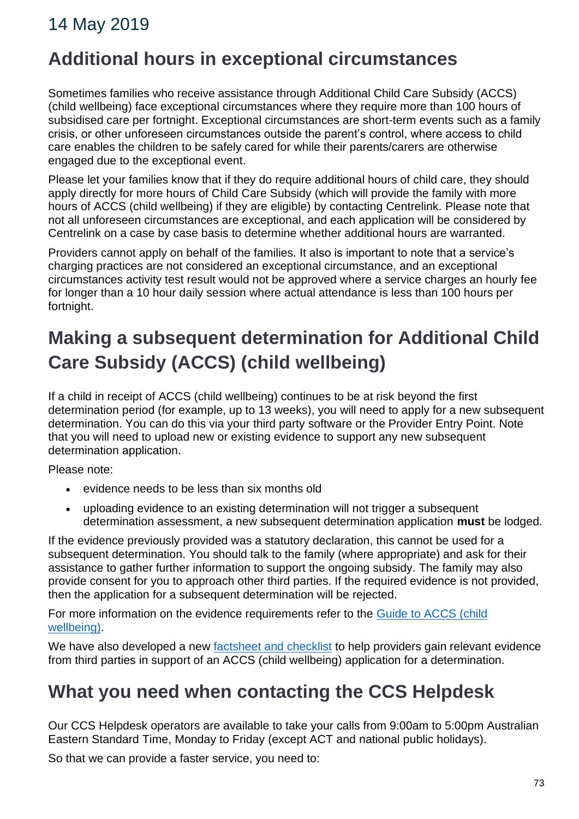## **Additional hours in exceptional circumstances**

Sometimes families who receive assistance through Additional Child Care Subsidy (ACCS) (child wellbeing) face exceptional circumstances where they require more than 100 hours of subsidised care per fortnight. Exceptional circumstances are short-term events such as a family crisis, or other unforeseen circumstances outside the parent's control, where access to child care enables the children to be safely cared for while their parents/carers are otherwise engaged due to the exceptional event.

Please let your families know that if they do require additional hours of child care, they should apply directly for more hours of Child Care Subsidy (which will provide the family with more hours of ACCS (child wellbeing) if they are eligible) by contacting Centrelink*.* Please note that not all unforeseen circumstances are exceptional, and each application will be considered by Centrelink on a case by case basis to determine whether additional hours are warranted.

Providers cannot apply on behalf of the families. It also is important to note that a service's charging practices are not considered an exceptional circumstance, and an exceptional circumstances activity test result would not be approved where a service charges an hourly fee for longer than a 10 hour daily session where actual attendance is less than 100 hours per fortnight.

# **Making a subsequent determination for Additional Child Care Subsidy (ACCS) (child wellbeing)**

If a child in receipt of ACCS (child wellbeing) continues to be at risk beyond the first determination period (for example, up to 13 weeks), you will need to apply for a new subsequent determination. You can do this via your third party software or the Provider Entry Point. Note that you will need to upload new or existing evidence to support any new subsequent determination application.

Please note:

- evidence needs to be less than six months old
- uploading evidence to an existing determination will not trigger a subsequent determination assessment, a new subsequent determination application **must** be lodged.

If the evidence previously provided was a statutory declaration, this cannot be used for a subsequent determination. You should talk to the family (where appropriate) and ask for their assistance to gather further information to support the ongoing subsidy. The family may also provide consent for you to approach other third parties. If the required evidence is not provided, then the application for a subsequent determination will be rejected.

For more information on the evidence requirements refer to the [Guide to ACCS \(child](https://education.us17.list-manage.com/track/click?u=e11e7c8d748ec85b8de00986c&id=8f8ee0dd46&e=5f4b6423be)  [wellbeing\).](https://education.us17.list-manage.com/track/click?u=e11e7c8d748ec85b8de00986c&id=8f8ee0dd46&e=5f4b6423be)

We have also developed a new [factsheet and checklist](https://education.us17.list-manage.com/track/click?u=e11e7c8d748ec85b8de00986c&id=7b2754069d&e=5f4b6423be) to help providers gain relevant evidence from third parties in support of an ACCS (child wellbeing) application for a determination.

## **What you need when contacting the CCS Helpdesk**

Our CCS Helpdesk operators are available to take your calls from 9:00am to 5:00pm Australian Eastern Standard Time, Monday to Friday (except ACT and national public holidays).

So that we can provide a faster service, you need to: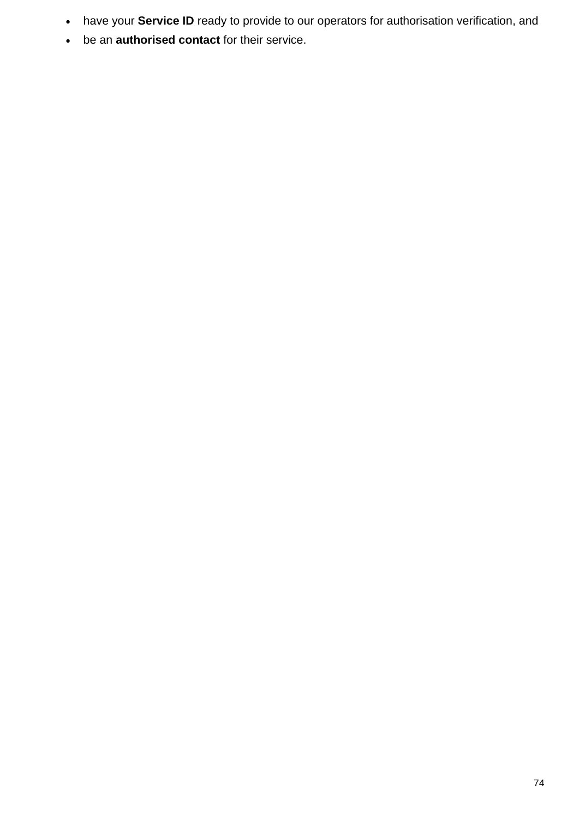- have your **Service ID** ready to provide to our operators for authorisation verification, and
- be an **authorised contact** for their service.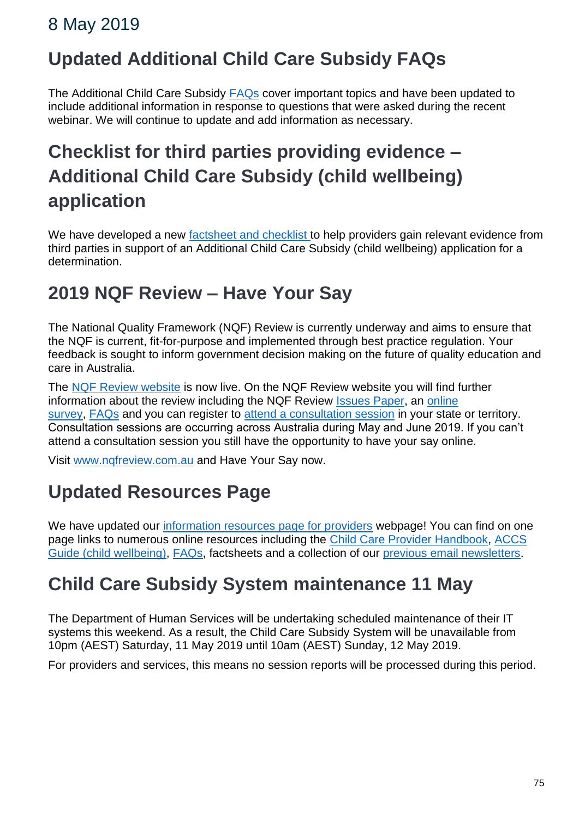### 8 May 2019

# **Updated Additional Child Care Subsidy FAQs**

The Additional Child Care Subsidy [FAQs](https://www.education.gov.au/new-child-care-package-frequently-asked-questions#Additional-Child-Care-Subsidy) cover important topics and have been updated to include additional information in response to questions that were asked during the recent webinar. We will continue to update and add information as necessary.

# **Checklist for third parties providing evidence – Additional Child Care Subsidy (child wellbeing) application**

We have developed a new [factsheet and checklist](https://docs.education.gov.au/node/52866) to help providers gain relevant evidence from third parties in support of an Additional Child Care Subsidy (child wellbeing) application for a determination.

## **2019 NQF Review – Have Your Say**

The National Quality Framework (NQF) Review is currently underway and aims to ensure that the NQF is current, fit-for-purpose and implemented through best practice regulation. Your feedback is sought to inform government decision making on the future of quality education and care in Australia.

The [NQF Review website](http://www.nqfreview.com.au/) is now live. On the NQF Review website you will find further information about the review including the NQF Review [Issues Paper,](https://www.nqfreview.com.au/44855/documents/102547) an [online](https://www.nqfreview.com.au/take-survey-now)  [survey,](https://www.nqfreview.com.au/take-survey-now) [FAQs](https://www.nqfreview.com.au/about-nqf-review/faqs) and you can register to [attend a consultation session](https://www.nqfreview.com.au/attend-a-consultation) in your state or territory. Consultation sessions are occurring across Australia during May and June 2019. If you can't attend a consultation session you still have the opportunity to have your say online.

Visit [www.nqfreview.com.au](http://www.nqfreview.com.au/) and Have Your Say now.

# **Updated Resources Page**

We have updated our [information resources page for providers](https://www.education.gov.au/new-child-care-package-information-resources-providers) webpage! You can find on one page links to numerous online resources including the [Child Care Provider Handbook,](https://www.education.gov.au/child-care-provider-handbook) [ACCS](https://www.education.gov.au/accs-child-wellbeing-guide)  [Guide \(child wellbeing\),](https://www.education.gov.au/accs-child-wellbeing-guide) [FAQs,](https://www.education.gov.au/new-child-care-package-frequently-asked-questions) factsheets and a collection of our [previous email newsletters.](https://docs.education.gov.au/node/52846)

# **Child Care Subsidy System maintenance 11 May**

The Department of Human Services will be undertaking scheduled maintenance of their IT systems this weekend. As a result, the Child Care Subsidy System will be unavailable from 10pm (AEST) Saturday, 11 May 2019 until 10am (AEST) Sunday, 12 May 2019.

For providers and services, this means no session reports will be processed during this period.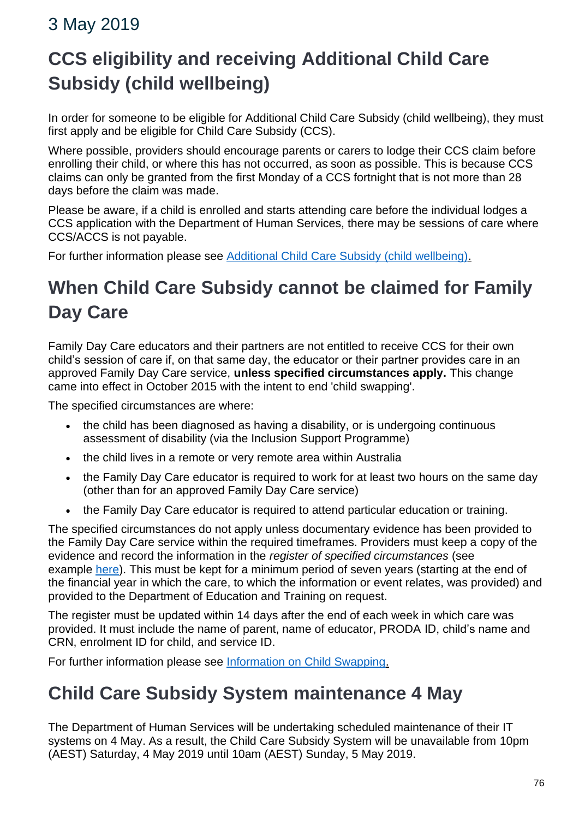## 3 May 2019

# **CCS eligibility and receiving Additional Child Care Subsidy (child wellbeing)**

In order for someone to be eligible for Additional Child Care Subsidy (child wellbeing), they must first apply and be eligible for Child Care Subsidy (CCS).

Where possible, providers should encourage parents or carers to lodge their CCS claim before enrolling their child, or where this has not occurred, as soon as possible. This is because CCS claims can only be granted from the first Monday of a CCS fortnight that is not more than 28 days before the claim was made.

Please be aware, if a child is enrolled and starts attending care before the individual lodges a CCS application with the Department of Human Services, there may be sessions of care where CCS/ACCS is not payable.

For further information please see [Additional Child Care Subsidy \(child wellbeing\).](https://docs.education.gov.au/node/50756)

# **When Child Care Subsidy cannot be claimed for Family Day Care**

Family Day Care educators and their partners are not entitled to receive CCS for their own child's session of care if, on that same day, the educator or their partner provides care in an approved Family Day Care service, **unless specified circumstances apply.** This change came into effect in October 2015 with the intent to end 'child swapping'.

The specified circumstances are where:

- the child has been diagnosed as having a disability, or is undergoing continuous assessment of disability (via the Inclusion Support Programme)
- the child lives in a remote or very remote area within Australia
- the Family Day Care educator is required to work for at least two hours on the same day (other than for an approved Family Day Care service)
- the Family Day Care educator is required to attend particular education or training.

The specified circumstances do not apply unless documentary evidence has been provided to the Family Day Care service within the required timeframes. Providers must keep a copy of the evidence and record the information in the *register of specified circumstances* (see example [here\)](https://docs.education.gov.au/node/51101). This must be kept for a minimum period of seven years (starting at the end of the financial year in which the care, to which the information or event relates, was provided) and provided to the Department of Education and Training on request.

The register must be updated within 14 days after the end of each week in which care was provided. It must include the name of parent, name of educator, PRODA ID, child's name and CRN, enrolment ID for child, and service ID.

For further information please see [Information on Child Swapping.](https://www.education.gov.au/child-swapping)

# **Child Care Subsidy System maintenance 4 May**

The Department of Human Services will be undertaking scheduled maintenance of their IT systems on 4 May. As a result, the Child Care Subsidy System will be unavailable from 10pm (AEST) Saturday, 4 May 2019 until 10am (AEST) Sunday, 5 May 2019.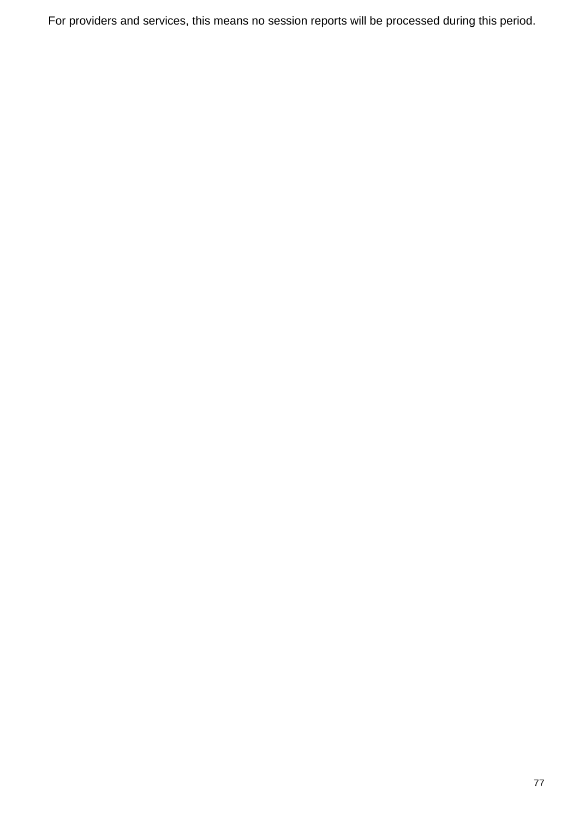For providers and services, this means no session reports will be processed during this period.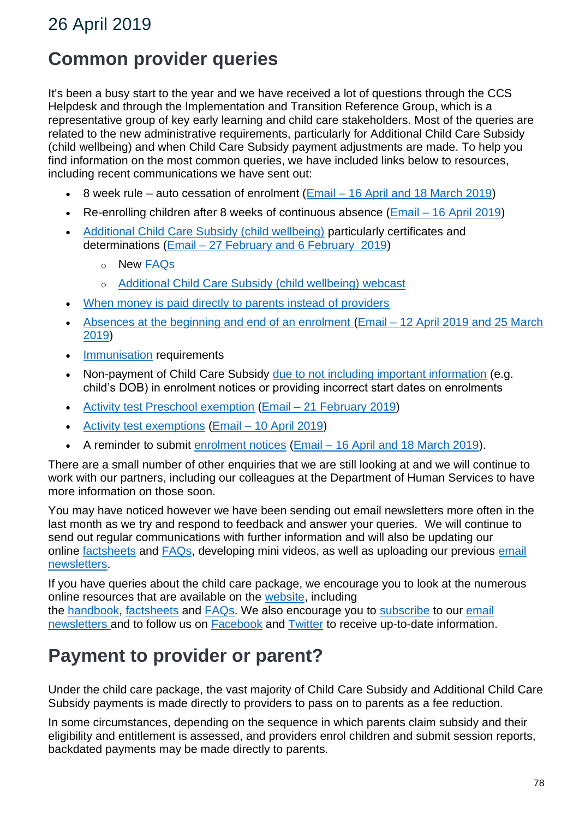# **Common provider queries**

It's been a busy start to the year and we have received a lot of questions through the CCS Helpdesk and through the Implementation and Transition Reference Group, which is a representative group of key early learning and child care stakeholders. Most of the queries are related to the new administrative requirements, particularly for Additional Child Care Subsidy (child wellbeing) and when Child Care Subsidy payment adjustments are made. To help you find information on the most common queries, we have included links below to resources, including recent communications we have sent out:

- 8 week rule auto cessation of enrolment (Email [16 April and 18 March 2019\)](https://docs.education.gov.au/node/52846)
- Re-enrolling children after 8 weeks of continuous absence (Email [16 April 2019\)](https://docs.education.gov.au/node/52846)
- [Additional Child Care Subsidy \(child wellbeing\)](https://www.education.gov.au/accs-child-wellbeing-guide) particularly certificates and determinations (Email – [27 February and 6 February 2019\)](https://docs.education.gov.au/node/52846)
	- o New [FAQs](https://www.education.gov.au/new-child-care-package-frequently-asked-questions#Additional-Child-Care-Subsidy)
	- o [Additional Child Care Subsidy \(child wellbeing\) webcast](https://docs.education.gov.au/node/52831)
- [When money is paid directly to parents instead of providers](https://docs.education.gov.au/node/52851)
- [Absences at the beginning and end of an enrolment](https://docs.education.gov.au/node/50736) (Email [12 April 2019 and 25 March](https://docs.education.gov.au/node/52846)  [2019\)](https://docs.education.gov.au/node/52846)
- [Immunisation](https://docs.education.gov.au/node/50721) requirements
- Non-payment of Child Care Subsidy [due to not including important information](https://www.education.gov.au/child-care-provider-handbook/enrolment-process) (e.g. child's DOB) in enrolment notices or providing incorrect start dates on enrolments
- [Activity test Preschool exemption](https://docs.education.gov.au/node/50936) (Email [21 February 2019\)](https://docs.education.gov.au/node/52846)
- [Activity test exemptions](https://docs.education.gov.au/node/52521) (Email [10 April 2019\)](https://docs.education.gov.au/node/52846)
- A reminder to submit [enrolment notices](https://www.education.gov.au/new-child-care-package-frequently-asked-questions#Enrolling-Children) (Email [16 April and 18 March 2019\)](https://docs.education.gov.au/node/52846).

There are a small number of other enquiries that we are still looking at and we will continue to work with our partners, including our colleagues at the Department of Human Services to have more information on those soon.

You may have noticed however we have been sending out email newsletters more often in the last month as we try and respond to feedback and answer your queries. We will continue to send out regular communications with further information and will also be updating our online [factsheets](https://www.education.gov.au/new-child-care-package-information-resources-providers) and [FAQs,](https://www.education.gov.au/new-child-care-package-frequently-asked-questions) developing mini videos, as well as uploading our previous [email](https://docs.education.gov.au/node/52846)  [newsletters.](https://docs.education.gov.au/node/52846)

If you have queries about the child care package, we encourage you to look at the numerous online resources that are available on the [website,](https://www.education.gov.au/child-care-providers) including the [handbook,](https://www.education.gov.au/child-care-provider-handbook) [factsheets](https://www.education.gov.au/new-child-care-package-information-resources-providers) and [FAQs.](https://www.education.gov.au/new-child-care-package-frequently-asked-questions) We also encourage you to [subscribe](https://education.us17.list-manage.com/subscribe?u=e11e7c8d748ec85b8de00986c&id=e6668f2d2e) to our email [newsletters](https://docs.education.gov.au/node/52846) and to follow us on [Facebook](https://www.facebook.com/AusGovEducation/) and [Twitter](https://twitter.com/Eduspokesperson) to receive up-to-date information.

## **Payment to provider or parent?**

Under the child care package, the vast majority of Child Care Subsidy and Additional Child Care Subsidy payments is made directly to providers to pass on to parents as a fee reduction.

In some circumstances, depending on the sequence in which parents claim subsidy and their eligibility and entitlement is assessed, and providers enrol children and submit session reports, backdated payments may be made directly to parents.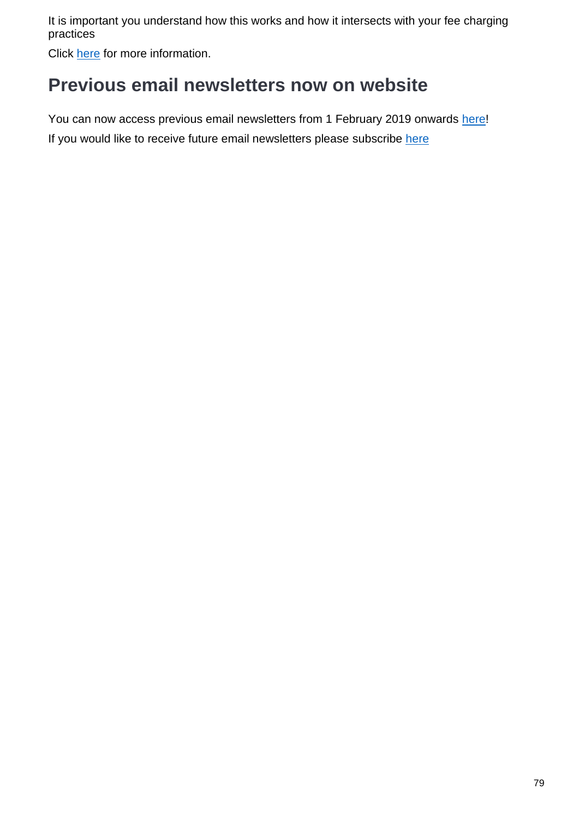It is important you understand how this works and how it intersects with your fee charging practices

Click [here](https://docs.education.gov.au/node/52851) for more information.

## **Previous email newsletters now on website**

You can now access previous email newsletters from 1 February 2019 onwards [here!](https://docs.education.gov.au/node/52846) If you would like to receive future email newsletters please subscribe [here](https://education.us17.list-manage.com/subscribe?u=e11e7c8d748ec85b8de00986c&id=e6668f2d2e)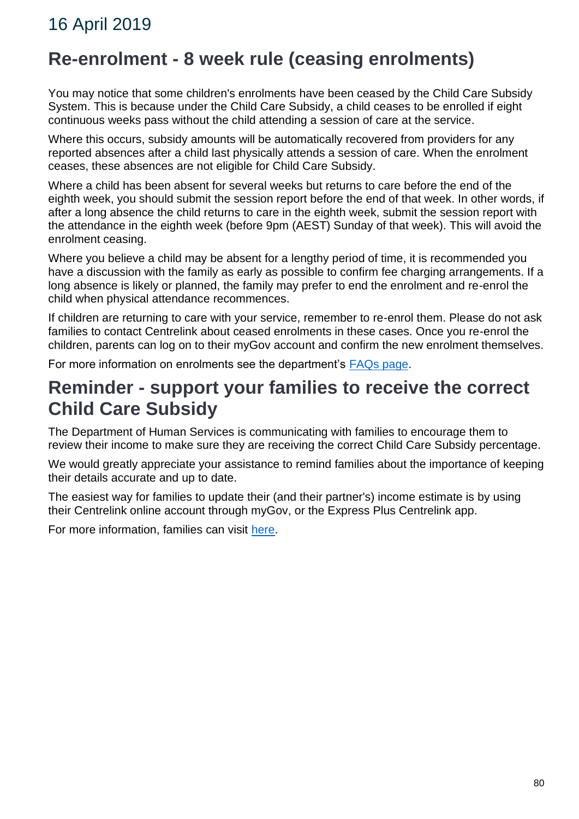## **Re-enrolment - 8 week rule (ceasing enrolments)**

You may notice that some children's enrolments have been ceased by the Child Care Subsidy System. This is because under the Child Care Subsidy, a child ceases to be enrolled if eight continuous weeks pass without the child attending a session of care at the service.

Where this occurs, subsidy amounts will be automatically recovered from providers for any reported absences after a child last physically attends a session of care. When the enrolment ceases, these absences are not eligible for Child Care Subsidy.

Where a child has been absent for several weeks but returns to care before the end of the eighth week, you should submit the session report before the end of that week. In other words, if after a long absence the child returns to care in the eighth week, submit the session report with the attendance in the eighth week (before 9pm (AEST) Sunday of that week). This will avoid the enrolment ceasing.

Where you believe a child may be absent for a lengthy period of time, it is recommended you have a discussion with the family as early as possible to confirm fee charging arrangements. If a long absence is likely or planned, the family may prefer to end the enrolment and re-enrol the child when physical attendance recommences.

If children are returning to care with your service, remember to re-enrol them. Please do not ask families to contact Centrelink about ceased enrolments in these cases. Once you re-enrol the children, parents can log on to their myGov account and confirm the new enrolment themselves.

For more information on enrolments see the department's **FAQs** page.

### **Reminder - support your families to receive the correct Child Care Subsidy**

The Department of Human Services is communicating with families to encourage them to review their income to make sure they are receiving the correct Child Care Subsidy percentage.

We would greatly appreciate your assistance to remind families about the importance of keeping their details accurate and up to date.

The easiest way for families to update their (and their partner's) income estimate is by using their Centrelink online account through myGov, or the Express Plus Centrelink app.

For more information, families can visit [here.](https://www.humanservices.gov.au/individuals/services/centrelink/child-care-subsidy/how-much-you-can-get/your-income-can-affect-it/your-family-income-estimate)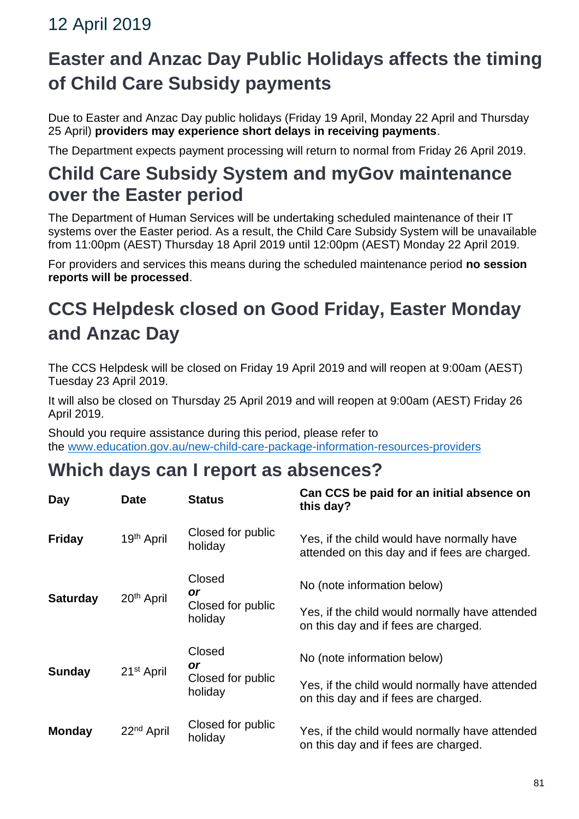# **Easter and Anzac Day Public Holidays affects the timing of Child Care Subsidy payments**

Due to Easter and Anzac Day public holidays (Friday 19 April, Monday 22 April and Thursday 25 April) **providers may experience short delays in receiving payments**.

The Department expects payment processing will return to normal from Friday 26 April 2019.

## **Child Care Subsidy System and myGov maintenance over the Easter period**

The Department of Human Services will be undertaking scheduled maintenance of their IT systems over the Easter period. As a result, the Child Care Subsidy System will be unavailable from 11:00pm (AEST) Thursday 18 April 2019 until 12:00pm (AEST) Monday 22 April 2019.

For providers and services this means during the scheduled maintenance period **no session reports will be processed**.

# **CCS Helpdesk closed on Good Friday, Easter Monday and Anzac Day**

The CCS Helpdesk will be closed on Friday 19 April 2019 and will reopen at 9:00am (AEST) Tuesday 23 April 2019.

It will also be closed on Thursday 25 April 2019 and will reopen at 9:00am (AEST) Friday 26 April 2019.

Should you require assistance during this period, please refer to the [www.education.gov.au/new-child-care-package-information-resources-providers](https://www.education.gov.au/new-child-care-package-information-resources-providers)

# **Which days can I report as absences?**

| Day             | <b>Date</b>            | <b>Status</b>                                       | Can CCS be paid for an initial absence on<br>this day?                                      |
|-----------------|------------------------|-----------------------------------------------------|---------------------------------------------------------------------------------------------|
| <b>Friday</b>   | 19 <sup>th</sup> April | Closed for public<br>holiday                        | Yes, if the child would have normally have<br>attended on this day and if fees are charged. |
| <b>Saturday</b> | 20 <sup>th</sup> April | Closed<br><b>or</b><br>Closed for public<br>holiday | No (note information below)                                                                 |
|                 |                        |                                                     | Yes, if the child would normally have attended<br>on this day and if fees are charged.      |
| <b>Sunday</b>   | 21 <sup>st</sup> April | Closed<br><b>or</b><br>Closed for public<br>holiday | No (note information below)                                                                 |
|                 |                        |                                                     | Yes, if the child would normally have attended<br>on this day and if fees are charged.      |
| <b>Monday</b>   | 22 <sup>nd</sup> April | Closed for public<br>holiday                        | Yes, if the child would normally have attended<br>on this day and if fees are charged.      |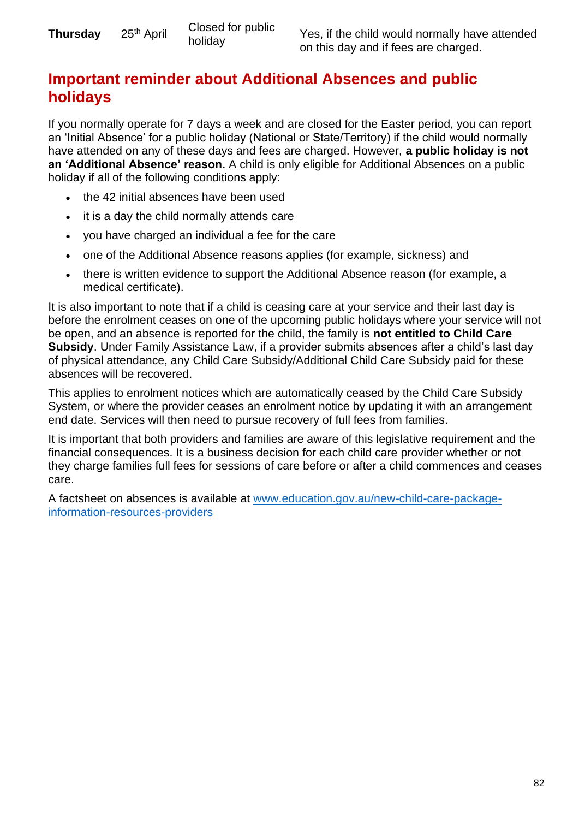### **Important reminder about Additional Absences and public holidays**

If you normally operate for 7 days a week and are closed for the Easter period, you can report an 'Initial Absence' for a public holiday (National or State/Territory) if the child would normally have attended on any of these days and fees are charged. However, **a public holiday is not an 'Additional Absence' reason.** A child is only eligible for Additional Absences on a public holiday if all of the following conditions apply:

- the 42 initial absences have been used
- it is a day the child normally attends care
- you have charged an individual a fee for the care
- one of the Additional Absence reasons applies (for example, sickness) and
- there is written evidence to support the Additional Absence reason (for example, a medical certificate).

It is also important to note that if a child is ceasing care at your service and their last day is before the enrolment ceases on one of the upcoming public holidays where your service will not be open, and an absence is reported for the child, the family is **not entitled to Child Care Subsidy**. Under Family Assistance Law, if a provider submits absences after a child's last day of physical attendance, any Child Care Subsidy/Additional Child Care Subsidy paid for these absences will be recovered.

This applies to enrolment notices which are automatically ceased by the Child Care Subsidy System, or where the provider ceases an enrolment notice by updating it with an arrangement end date. Services will then need to pursue recovery of full fees from families.

It is important that both providers and families are aware of this legislative requirement and the financial consequences. It is a business decision for each child care provider whether or not they charge families full fees for sessions of care before or after a child commences and ceases care.

A factsheet on absences is available at [www.education.gov.au/new-child-care-package](https://www.education.gov.au/new-child-care-package-information-resources-providers)[information-resources-providers](https://www.education.gov.au/new-child-care-package-information-resources-providers)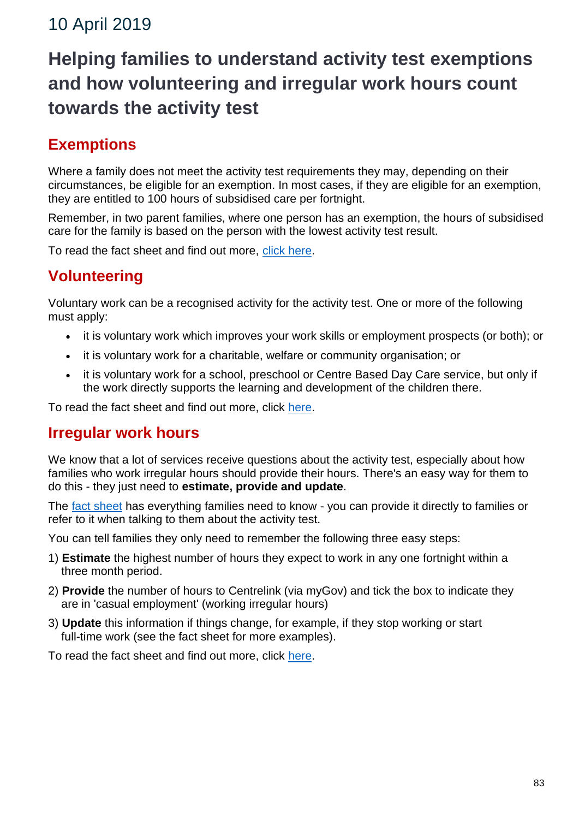# **Helping families to understand activity test exemptions and how volunteering and irregular work hours count towards the activity test**

### **Exemptions**

Where a family does not meet the activity test requirements they may, depending on their circumstances, be eligible for an exemption. In most cases, if they are eligible for an exemption, they are entitled to 100 hours of subsidised care per fortnight.

Remember, in two parent families, where one person has an exemption, the hours of subsidised care for the family is based on the person with the lowest activity test result.

To read the fact sheet and find out more, [click here.](https://education.us17.list-manage.com/track/click?u=e11e7c8d748ec85b8de00986c&id=90698c00b7&e=5f4b6423be)

### **Volunteering**

Voluntary work can be a recognised activity for the activity test. One or more of the following must apply:

- it is voluntary work which improves your work skills or employment prospects (or both); or
- it is voluntary work for a charitable, welfare or community organisation; or
- it is voluntary work for a school, preschool or Centre Based Day Care service, but only if the work directly supports the learning and development of the children there.

To read the fact sheet and find out more, click [here.](https://education.us17.list-manage.com/track/click?u=e11e7c8d748ec85b8de00986c&id=6cf85e7877&e=5f4b6423be)

#### **Irregular work hours**

We know that a lot of services receive questions about the activity test, especially about how families who work irregular hours should provide their hours. There's an easy way for them to do this - they just need to **estimate, provide and update**.

The [fact sheet](https://docs.education.gov.au/node/52396) has everything families need to know - you can provide it directly to families or refer to it when talking to them about the activity test.

You can tell families they only need to remember the following three easy steps:

- 1) **Estimate** the highest number of hours they expect to work in any one fortnight within a three month period.
- 2) **Provide** the number of hours to Centrelink (via myGov) and tick the box to indicate they are in 'casual employment' (working irregular hours)
- 3) **Update** this information if things change, for example, if they stop working or start full-time work (see the fact sheet for more examples).

To read the fact sheet and find out more, click [here.](https://docs.education.gov.au/node/52396)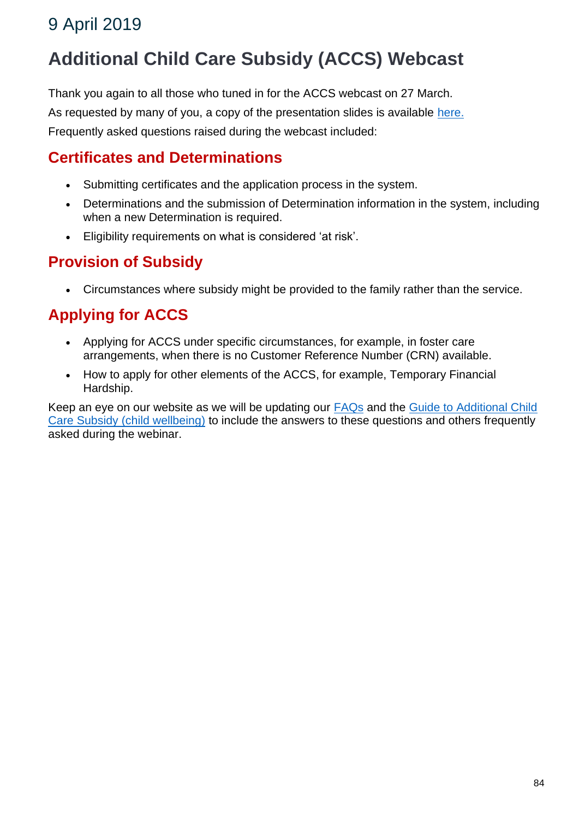# **Additional Child Care Subsidy (ACCS) Webcast**

Thank you again to all those who tuned in for the ACCS webcast on 27 March.

As requested by many of you, a copy of the presentation slides is available [here.](https://docs.education.gov.au/node/52831)

Frequently asked questions raised during the webcast included:

### **Certificates and Determinations**

- Submitting certificates and the application process in the system.
- Determinations and the submission of Determination information in the system, including when a new Determination is required.
- Eligibility requirements on what is considered 'at risk'.

#### **Provision of Subsidy**

• Circumstances where subsidy might be provided to the family rather than the service.

### **Applying for ACCS**

- Applying for ACCS under specific circumstances, for example, in foster care arrangements, when there is no Customer Reference Number (CRN) available.
- How to apply for other elements of the ACCS, for example, Temporary Financial Hardship.

Keep an eye on our website as we will be updating our **[FAQs](https://www.education.gov.au/new-child-care-package-frequently-asked-questions)** and the Guide to Additional Child [Care Subsidy \(child wellbeing\)](https://www.education.gov.au/accs-child-wellbeing-guide) to include the answers to these questions and others frequently asked during the webinar.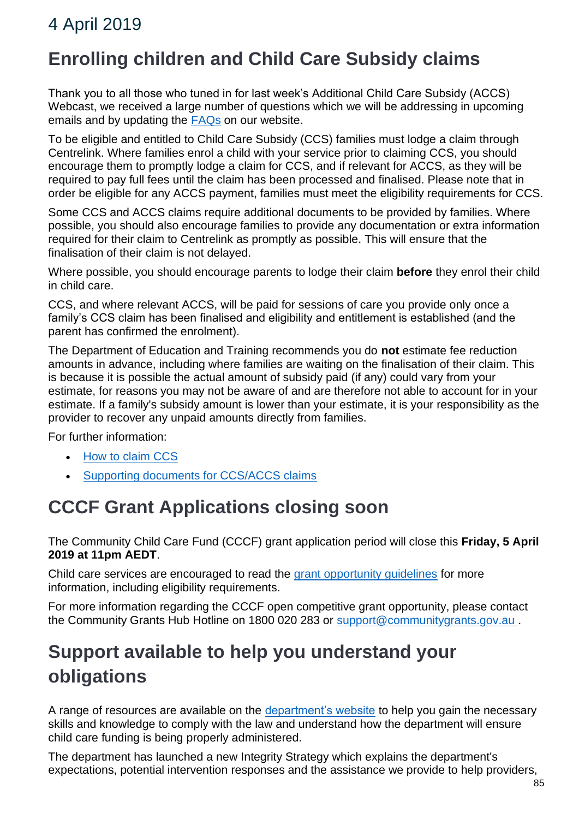## **Enrolling children and Child Care Subsidy claims**

Thank you to all those who tuned in for last week's Additional Child Care Subsidy (ACCS) Webcast, we received a large number of questions which we will be addressing in upcoming emails and by updating the [FAQs](https://www.education.gov.au/new-child-care-package-frequently-asked-questions) on our website.

To be eligible and entitled to Child Care Subsidy (CCS) families must lodge a claim through Centrelink. Where families enrol a child with your service prior to claiming CCS, you should encourage them to promptly lodge a claim for CCS, and if relevant for ACCS, as they will be required to pay full fees until the claim has been processed and finalised. Please note that in order be eligible for any ACCS payment, families must meet the eligibility requirements for CCS.

Some CCS and ACCS claims require additional documents to be provided by families. Where possible, you should also encourage families to provide any documentation or extra information required for their claim to Centrelink as promptly as possible. This will ensure that the finalisation of their claim is not delayed.

Where possible, you should encourage parents to lodge their claim **before** they enrol their child in child care.

CCS, and where relevant ACCS, will be paid for sessions of care you provide only once a family's CCS claim has been finalised and eligibility and entitlement is established (and the parent has confirmed the enrolment).

The Department of Education and Training recommends you do **not** estimate fee reduction amounts in advance, including where families are waiting on the finalisation of their claim. This is because it is possible the actual amount of subsidy paid (if any) could vary from your estimate, for reasons you may not be aware of and are therefore not able to account for in your estimate. If a family's subsidy amount is lower than your estimate, it is your responsibility as the provider to recover any unpaid amounts directly from families.

For further information:

- [How to claim CCS](https://www.humanservices.gov.au/individuals/services/centrelink/child-care-subsidy/how-claim)
- [Supporting documents for CCS/ACCS claims](https://www.humanservices.gov.au/individuals/services/centrelink/child-care-subsidy/how-claim/supporting-documents)

## **CCCF Grant Applications closing soon**

The Community Child Care Fund (CCCF) grant application period will close this **Friday, 5 April 2019 at 11pm AEDT**.

Child care services are encouraged to read the [grant opportunity guidelines](https://www.grants.gov.au/?event=public.FO.show&FOUUID=B4EE095C-A6B3-A312-D490640AD51B9444) for more information, including eligibility requirements.

For more information regarding the CCCF open competitive grant opportunity, please contact the Community Grants Hub Hotline on 1800 020 283 or [support@communitygrants.gov.au](mailto:support@communitygrants.gov.au) .

# **Support available to help you understand your obligations**

A range of resources are available on the [department's website](https://www.education.gov.au/financial-integrity) to help you gain the necessary skills and knowledge to comply with the law and understand how the department will ensure child care funding is being properly administered.

The department has launched a new Integrity Strategy which explains the department's expectations, potential intervention responses and the assistance we provide to help providers,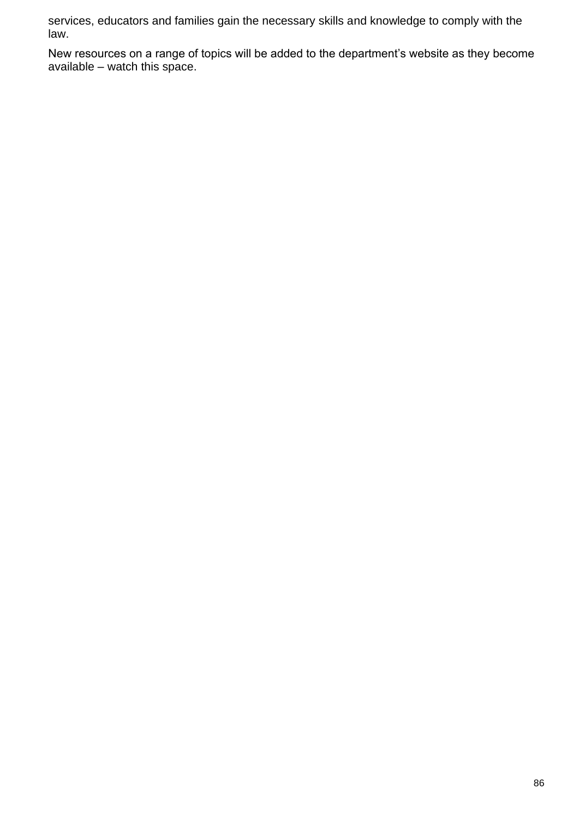services, educators and families gain the necessary skills and knowledge to comply with the law.

New resources on a range of topics will be added to the department's website as they become available – watch this space.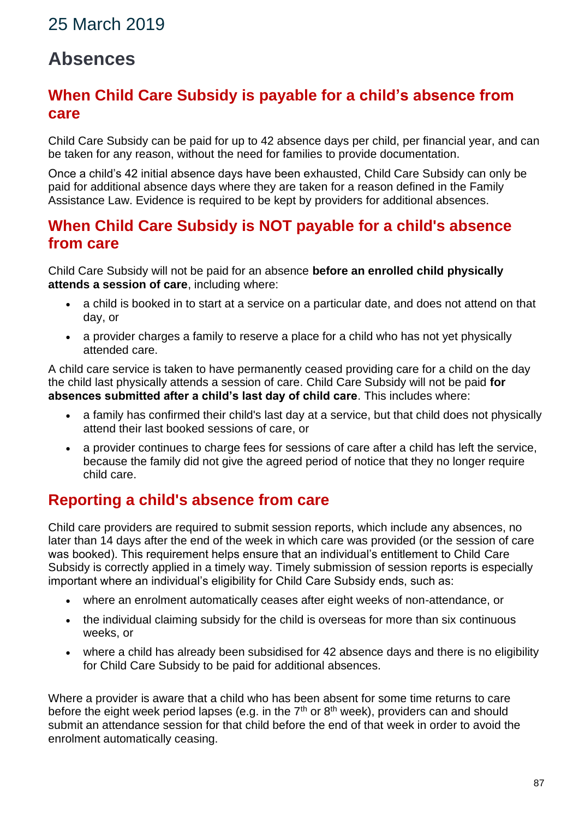## **Absences**

#### **When Child Care Subsidy is payable for a child's absence from care**

Child Care Subsidy can be paid for up to 42 absence days per child, per financial year, and can be taken for any reason, without the need for families to provide documentation.

Once a child's 42 initial absence days have been exhausted, Child Care Subsidy can only be paid for additional absence days where they are taken for a reason defined in the Family Assistance Law. Evidence is required to be kept by providers for additional absences.

#### **When Child Care Subsidy is NOT payable for a child's absence from care**

Child Care Subsidy will not be paid for an absence **before an enrolled child physically attends a session of care**, including where:

- a child is booked in to start at a service on a particular date, and does not attend on that day, or
- a provider charges a family to reserve a place for a child who has not yet physically attended care.

A child care service is taken to have permanently ceased providing care for a child on the day the child last physically attends a session of care. Child Care Subsidy will not be paid **for absences submitted after a child's last day of child care**. This includes where:

- a family has confirmed their child's last day at a service, but that child does not physically attend their last booked sessions of care, or
- a provider continues to charge fees for sessions of care after a child has left the service, because the family did not give the agreed period of notice that they no longer require child care.

### **Reporting a child's absence from care**

Child care providers are required to submit session reports, which include any absences, no later than 14 days after the end of the week in which care was provided (or the session of care was booked). This requirement helps ensure that an individual's entitlement to Child Care Subsidy is correctly applied in a timely way. Timely submission of session reports is especially important where an individual's eligibility for Child Care Subsidy ends, such as:

- where an enrolment automatically ceases after eight weeks of non-attendance, or
- the individual claiming subsidy for the child is overseas for more than six continuous weeks, or
- where a child has already been subsidised for 42 absence days and there is no eligibility for Child Care Subsidy to be paid for additional absences.

Where a provider is aware that a child who has been absent for some time returns to care before the eight week period lapses (e.g. in the  $7<sup>th</sup>$  or  $8<sup>th</sup>$  week), providers can and should submit an attendance session for that child before the end of that week in order to avoid the enrolment automatically ceasing.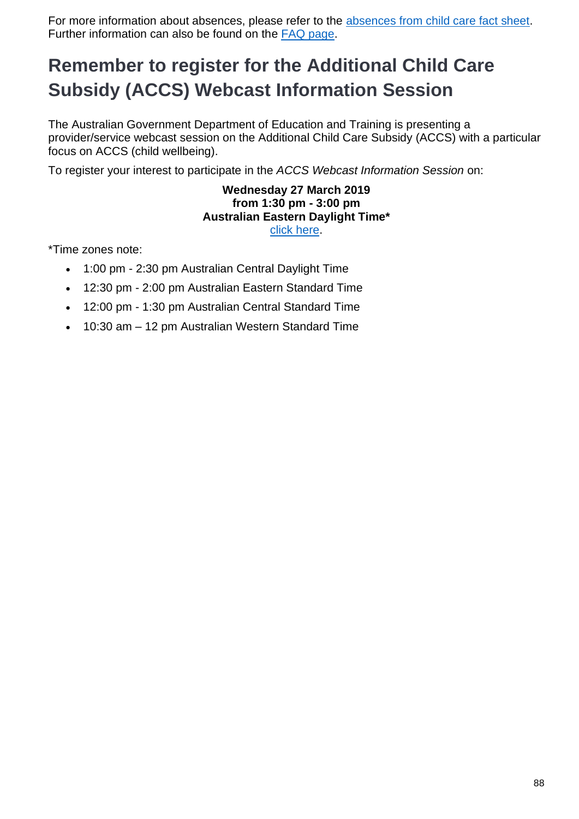For more information about absences, please refer to the [absences from child care fact sheet.](https://docs.education.gov.au/node/50736) Further information can also be found on the [FAQ page.](https://www.education.gov.au/new-child-care-package-frequently-asked-questions#Absences)

# **Remember to register for the Additional Child Care Subsidy (ACCS) Webcast Information Session**

The Australian Government Department of Education and Training is presenting a provider/service webcast session on the Additional Child Care Subsidy (ACCS) with a particular focus on ACCS (child wellbeing).

To register your interest to participate in the *ACCS Webcast Information Session* on:

#### **Wednesday 27 March 2019 from 1:30 pm - 3:00 pm Australian Eastern Daylight Time\*** [click here.](https://education.us17.list-manage.com/track/click?u=e11e7c8d748ec85b8de00986c&id=6fef71fe5a&e=e158dab88e)

\*Time zones note:

- 1:00 pm 2:30 pm Australian Central Daylight Time
- 12:30 pm 2:00 pm Australian Eastern Standard Time
- 12:00 pm 1:30 pm Australian Central Standard Time
- 10:30 am 12 pm Australian Western Standard Time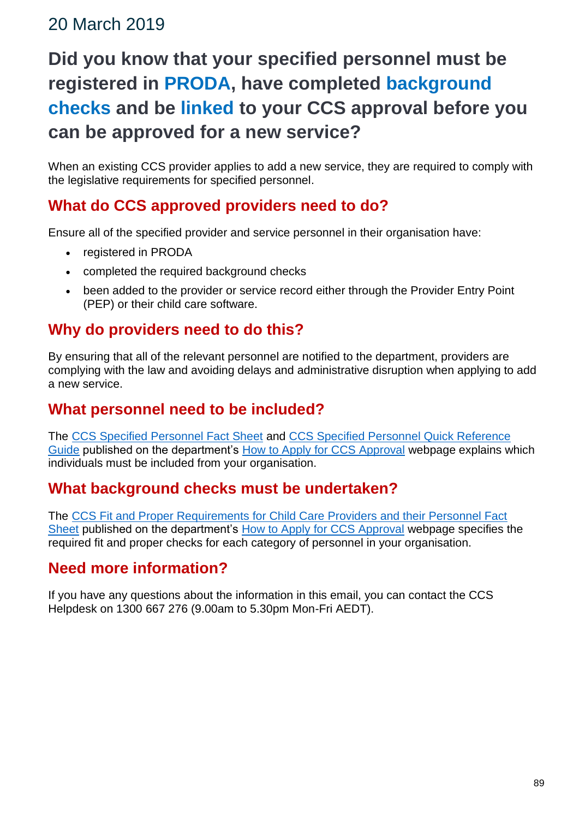# **Did you know that your specified personnel must be registered in PRODA, have completed background checks and be linked to your CCS approval before you can be approved for a new service?**

When an existing CCS provider applies to add a new service, they are required to comply with the legislative requirements for specified personnel.

### **What do CCS approved providers need to do?**

Ensure all of the specified provider and service personnel in their organisation have:

- registered in PRODA
- completed the required background checks
- been added to the provider or service record either through the Provider Entry Point (PEP) or their child care software.

#### **Why do providers need to do this?**

By ensuring that all of the relevant personnel are notified to the department, providers are complying with the law and avoiding delays and administrative disruption when applying to add a new service.

#### **What personnel need to be included?**

The [CCS Specified Personnel Fact Sheet](https://docs.education.gov.au/node/51751) and [CCS Specified Personnel Quick Reference](https://docs.education.gov.au/node/45981)  [Guide](https://docs.education.gov.au/node/45981) published on the department's [How to Apply for CCS Approval](https://www.education.gov.au/applying-child-care-subsidy-ccs-approval) webpage explains which individuals must be included from your organisation.

#### **What background checks must be undertaken?**

The [CCS Fit and Proper Requirements for Child Care Providers and their Personnel Fact](https://docs.education.gov.au/node/51766)  [Sheet](https://docs.education.gov.au/node/51766) published on the department's [How to Apply for CCS Approval](https://www.education.gov.au/applying-child-care-subsidy-ccs-approval) webpage specifies the required fit and proper checks for each category of personnel in your organisation.

### **Need more information?**

If you have any questions about the information in this email, you can contact the CCS Helpdesk on 1300 667 276 (9.00am to 5.30pm Mon-Fri AEDT).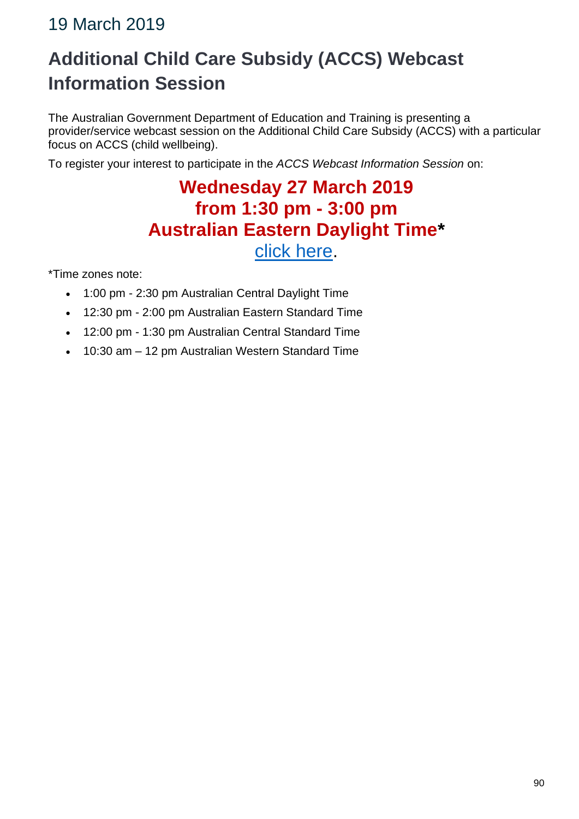# **Additional Child Care Subsidy (ACCS) Webcast Information Session**

The Australian Government Department of Education and Training is presenting a provider/service webcast session on the Additional Child Care Subsidy (ACCS) with a particular focus on ACCS (child wellbeing).

To register your interest to participate in the *ACCS Webcast Information Session* on:

## **Wednesday 27 March 2019 from 1:30 pm - 3:00 pm Australian Eastern Daylight Time\*** [click here.](https://mailchi.mp/52d0c4e35449/pq2xphs6lz)

\*Time zones note:

- 1:00 pm 2:30 pm Australian Central Daylight Time
- 12:30 pm 2:00 pm Australian Eastern Standard Time
- 12:00 pm 1:30 pm Australian Central Standard Time
- 10:30 am 12 pm Australian Western Standard Time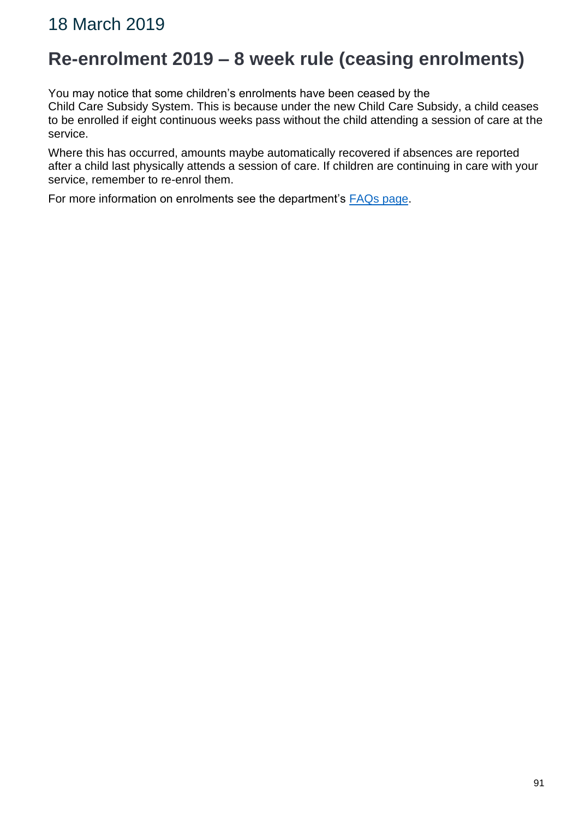## **Re-enrolment 2019 – 8 week rule (ceasing enrolments)**

You may notice that some children's enrolments have been ceased by the

Child Care Subsidy System. This is because under the new Child Care Subsidy, a child ceases to be enrolled if eight continuous weeks pass without the child attending a session of care at the service.

Where this has occurred, amounts maybe automatically recovered if absences are reported after a child last physically attends a session of care. If children are continuing in care with your service, remember to re-enrol them.

For more information on enrolments see the department's [FAQs page.](https://education.us17.list-manage.com/track/click?u=e11e7c8d748ec85b8de00986c&id=5cc7e8146b&e=5f4b6423be)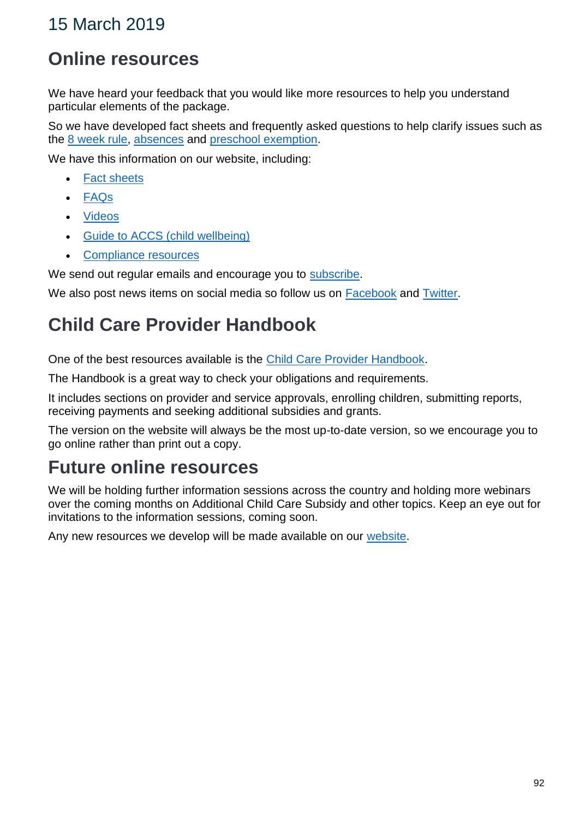## **Online resources**

We have heard your feedback that you would like more resources to help you understand particular elements of the package.

So we have developed fact sheets and frequently asked questions to help clarify issues such as the 8 [week rule,](https://www.education.gov.au/new-child-care-package-frequently-asked-questions#Enrolling-Children) [absences](https://www.education.gov.au/new-child-care-package-frequently-asked-questions#Absences) and [preschool exemption.](https://www.education.gov.au/new-child-care-package-frequently-asked-questions#Preschool-exemption)

We have this information on our website, including:

- [Fact sheets](https://www.education.gov.au/new-child-care-package-information-resources-providers#Fact-sheets)
- [FAQs](https://www.education.gov.au/new-child-care-package-frequently-asked-questions)
- [Videos](https://www.education.gov.au/new-child-care-package-information-resources-providers#Video-presentations)
- [Guide to ACCS \(child wellbeing\)](https://www.education.gov.au/accs-child-wellbeing-guide)
- [Compliance resources](http://www.education.gov.au/compliance)

We send out regular emails and encourage you to [subscribe.](https://education.us17.list-manage.com/subscribe?u=e11e7c8d748ec85b8de00986c&id=e6668f2d2e)

We also post news items on social media so follow us on [Facebook](https://education.us17.list-manage.com/track/click?u=e11e7c8d748ec85b8de00986c&id=a5b1ec8787&e=5f4b6423be) and [Twitter.](https://education.us17.list-manage.com/track/click?u=e11e7c8d748ec85b8de00986c&id=aac683b6d6&e=5f4b6423be)

# **Child Care Provider Handbook**

One of the best resources available is the [Child Care Provider Handbook.](https://www.education.gov.au/child-care-provider-handbook-0)

The Handbook is a great way to check your obligations and requirements.

It includes sections on provider and service approvals, enrolling children, submitting reports, receiving payments and seeking additional subsidies and grants.

The version on the website will always be the most up-to-date version, so we encourage you to go online rather than print out a copy.

# **Future online resources**

We will be holding further information sessions across the country and holding more webinars over the coming months on Additional Child Care Subsidy and other topics. Keep an eye out for invitations to the information sessions, coming soon.

Any new resources we develop will be made available on our [website.](https://www.education.gov.au/new-child-care-package-providers-2-july-2018)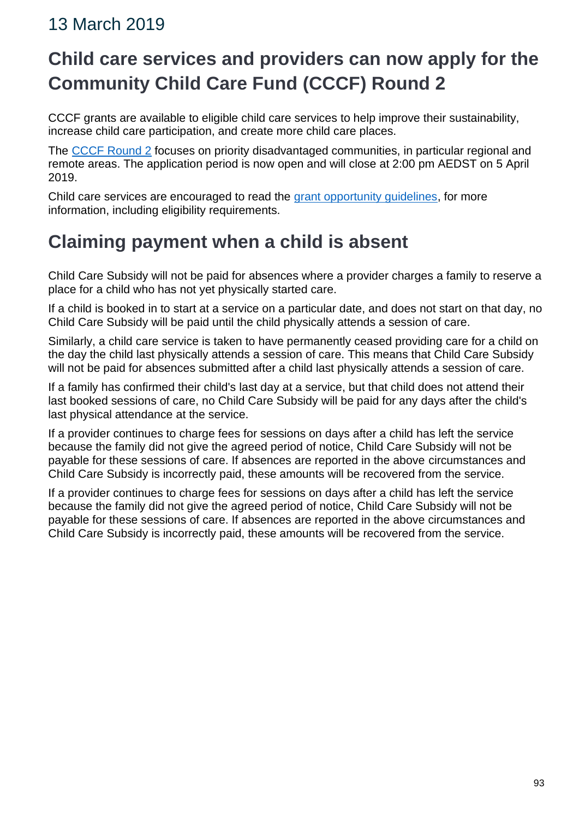# **Child care services and providers can now apply for the Community Child Care Fund (CCCF) Round 2**

CCCF grants are available to eligible child care services to help improve their sustainability, increase child care participation, and create more child care places.

The [CCCF Round 2](https://www.communitygrants.gov.au/grants/community-child-care-fund-cccf-round-2) focuses on priority disadvantaged communities, in particular regional and remote areas. The application period is now open and will close at 2:00 pm AEDST on 5 April 2019.

Child care services are encouraged to read the [grant opportunity guidelines,](https://education.us17.list-manage.com/track/click?u=e11e7c8d748ec85b8de00986c&id=47f2ea86be&e=5f4b6423be) for more information, including eligibility requirements.

# **Claiming payment when a child is absent**

Child Care Subsidy will not be paid for absences where a provider charges a family to reserve a place for a child who has not yet physically started care.

If a child is booked in to start at a service on a particular date, and does not start on that day, no Child Care Subsidy will be paid until the child physically attends a session of care.

Similarly, a child care service is taken to have permanently ceased providing care for a child on the day the child last physically attends a session of care. This means that Child Care Subsidy will not be paid for absences submitted after a child last physically attends a session of care.

If a family has confirmed their child's last day at a service, but that child does not attend their last booked sessions of care, no Child Care Subsidy will be paid for any days after the child's last physical attendance at the service.

If a provider continues to charge fees for sessions on days after a child has left the service because the family did not give the agreed period of notice, Child Care Subsidy will not be payable for these sessions of care. If absences are reported in the above circumstances and Child Care Subsidy is incorrectly paid, these amounts will be recovered from the service.

If a provider continues to charge fees for sessions on days after a child has left the service because the family did not give the agreed period of notice, Child Care Subsidy will not be payable for these sessions of care. If absences are reported in the above circumstances and Child Care Subsidy is incorrectly paid, these amounts will be recovered from the service.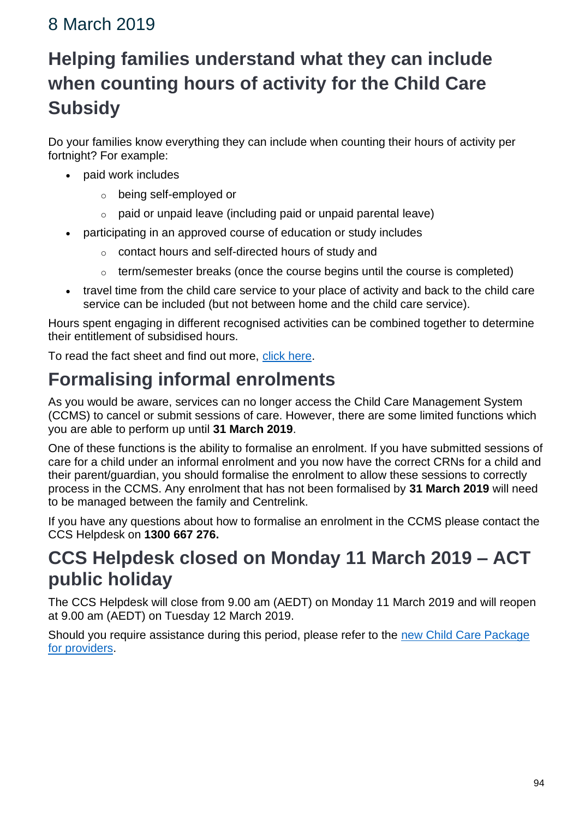# **Helping families understand what they can include when counting hours of activity for the Child Care Subsidy**

Do your families know everything they can include when counting their hours of activity per fortnight? For example:

- paid work includes
	- o being self-employed or
	- $\circ$  paid or unpaid leave (including paid or unpaid parental leave)
- participating in an approved course of education or study includes
	- o contact hours and self-directed hours of study and
	- o term/semester breaks (once the course begins until the course is completed)
- travel time from the child care service to your place of activity and back to the child care service can be included (but not between home and the child care service).

Hours spent engaging in different recognised activities can be combined together to determine their entitlement of subsidised hours.

To read the fact sheet and find out more, [click here.](https://docs.education.gov.au/node/52601)

# **Formalising informal enrolments**

As you would be aware, services can no longer access the Child Care Management System (CCMS) to cancel or submit sessions of care. However, there are some limited functions which you are able to perform up until **31 March 2019**.

One of these functions is the ability to formalise an enrolment. If you have submitted sessions of care for a child under an informal enrolment and you now have the correct CRNs for a child and their parent/guardian, you should formalise the enrolment to allow these sessions to correctly process in the CCMS. Any enrolment that has not been formalised by **31 March 2019** will need to be managed between the family and Centrelink.

If you have any questions about how to formalise an enrolment in the CCMS please contact the CCS Helpdesk on **1300 667 276.**

## **CCS Helpdesk closed on Monday 11 March 2019 – ACT public holiday**

The CCS Helpdesk will close from 9.00 am (AEDT) on Monday 11 March 2019 and will reopen at 9.00 am (AEDT) on Tuesday 12 March 2019.

Should you require assistance during this period, please refer to the [new Child Care Package](https://www.education.gov.au/new-child-care-package-providers-2-july-2018)  [for providers.](https://www.education.gov.au/new-child-care-package-providers-2-july-2018)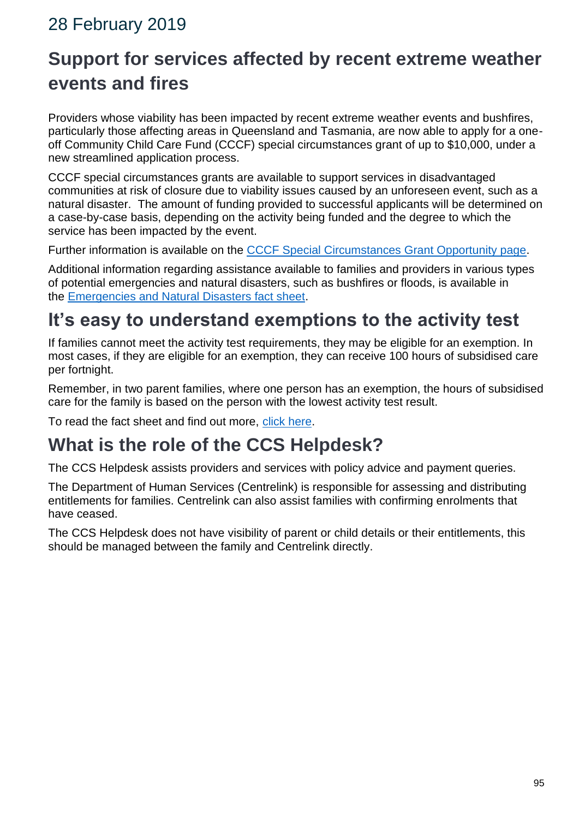## 28 February 2019

# **Support for services affected by recent extreme weather events and fires**

Providers whose viability has been impacted by recent extreme weather events and bushfires, particularly those affecting areas in Queensland and Tasmania, are now able to apply for a oneoff Community Child Care Fund (CCCF) special circumstances grant of up to \$10,000, under a new streamlined application process.

CCCF special circumstances grants are available to support services in disadvantaged communities at risk of closure due to viability issues caused by an unforeseen event, such as a natural disaster. The amount of funding provided to successful applicants will be determined on a case-by-case basis, depending on the activity being funded and the degree to which the service has been impacted by the event.

Further information is available on the [CCCF Special Circumstances Grant Opportunity page.](https://www.education.gov.au/cccfspecialcircs#_blank)

Additional information regarding assistance available to families and providers in various types of potential emergencies and natural disasters, such as bushfires or floods, is available in the [Emergencies and Natural Disasters fact sheet.](https://docs.education.gov.au/documents/emergencies-and-natural-disaster-fact-sheet)

# **It's easy to understand exemptions to the activity test**

If families cannot meet the activity test requirements, they may be eligible for an exemption. In most cases, if they are eligible for an exemption, they can receive 100 hours of subsidised care per fortnight.

Remember, in two parent families, where one person has an exemption, the hours of subsidised care for the family is based on the person with the lowest activity test result.

To read the fact sheet and find out more, [click here.](https://docs.education.gov.au/node/52521)

## **What is the role of the CCS Helpdesk?**

The CCS Helpdesk assists providers and services with policy advice and payment queries.

The Department of Human Services (Centrelink) is responsible for assessing and distributing entitlements for families. Centrelink can also assist families with confirming enrolments that have ceased.

The CCS Helpdesk does not have visibility of parent or child details or their entitlements, this should be managed between the family and Centrelink directly.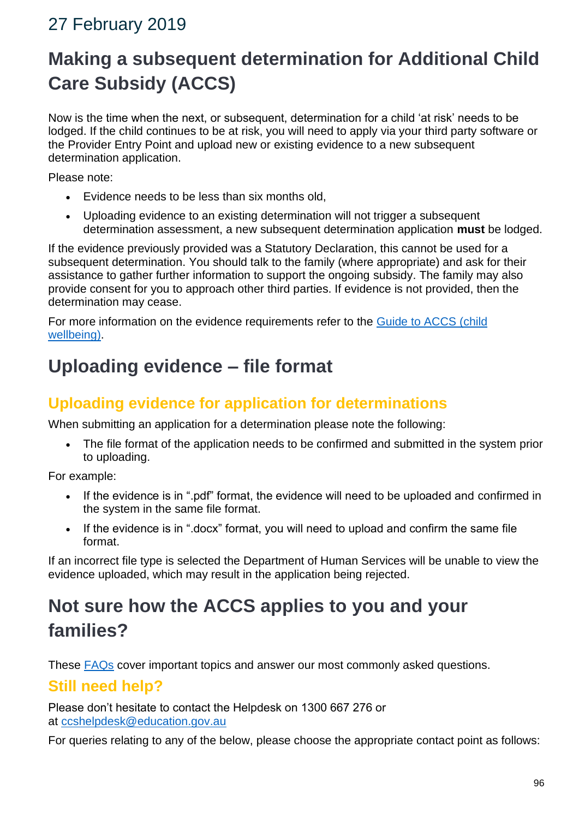# 27 February 2019

# **Making a subsequent determination for Additional Child Care Subsidy (ACCS)**

Now is the time when the next, or subsequent, determination for a child 'at risk' needs to be lodged. If the child continues to be at risk, you will need to apply via your third party software or the Provider Entry Point and upload new or existing evidence to a new subsequent determination application.

Please note:

- Evidence needs to be less than six months old,
- Uploading evidence to an existing determination will not trigger a subsequent determination assessment, a new subsequent determination application **must** be lodged.

If the evidence previously provided was a Statutory Declaration, this cannot be used for a subsequent determination. You should talk to the family (where appropriate) and ask for their assistance to gather further information to support the ongoing subsidy. The family may also provide consent for you to approach other third parties. If evidence is not provided, then the determination may cease.

For more information on the evidence requirements refer to the [Guide to ACCS \(child](https://www.education.gov.au/accs-child-wellbeing-guide)  [wellbeing\).](https://www.education.gov.au/accs-child-wellbeing-guide)

## **Uploading evidence – file format**

#### **Uploading evidence for application for determinations**

When submitting an application for a determination please note the following:

• The file format of the application needs to be confirmed and submitted in the system prior to uploading.

For example:

- If the evidence is in ".pdf" format, the evidence will need to be uploaded and confirmed in the system in the same file format.
- If the evidence is in ".docx" format, you will need to upload and confirm the same file format.

If an incorrect file type is selected the Department of Human Services will be unable to view the evidence uploaded, which may result in the application being rejected.

# **Not sure how the ACCS applies to you and your families?**

These [FAQs](https://www.education.gov.au/new-child-care-package-frequently-asked-questions#Additional-Child-Care-Subsidy) cover important topics and answer our most commonly asked questions.

#### **Still need help?**

Please don't hesitate to contact the Helpdesk on 1300 667 276 or at [ccshelpdesk@education.gov.au](mailto:ccshelpdesk@education.gov.au) 

For queries relating to any of the below, please choose the appropriate contact point as follows: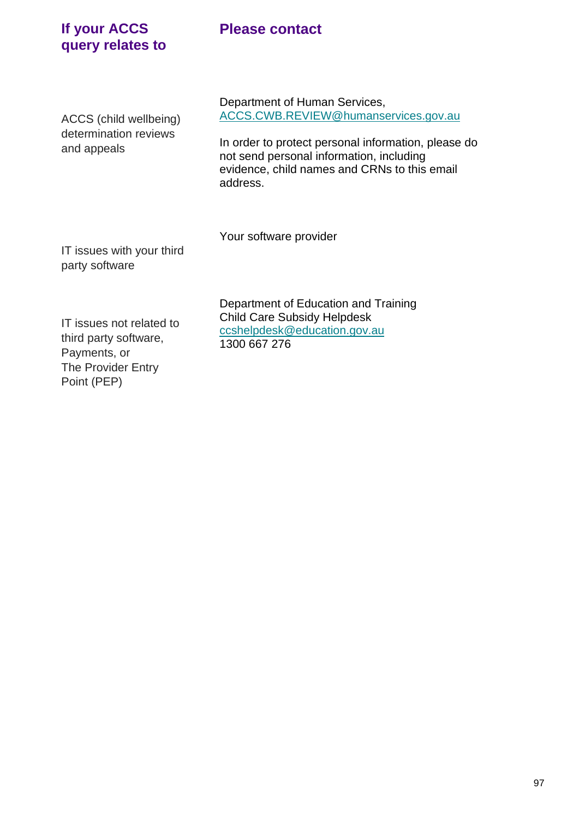#### **Please contact**

#### **If your ACCS query relates to**

ACCS (child wellbeing) determination reviews and appeals

Department of Human Services, [ACCS.CWB.REVIEW@humanservices.gov.au](mailto:ACCS.CWB.REVIEW@humanservices.gov.au)

In order to protect personal information, please do not send personal information, including evidence, child names and CRNs to this email address.

Your software provider

IT issues with your third party software

> Department of Education and Training Child Care Subsidy Helpdesk [ccshelpdesk@education.gov.au](mailto:ccshelpdesk@education.gov.au) 1300 667 276

IT issues not related to third party software, Payments, or The Provider Entry Point (PEP)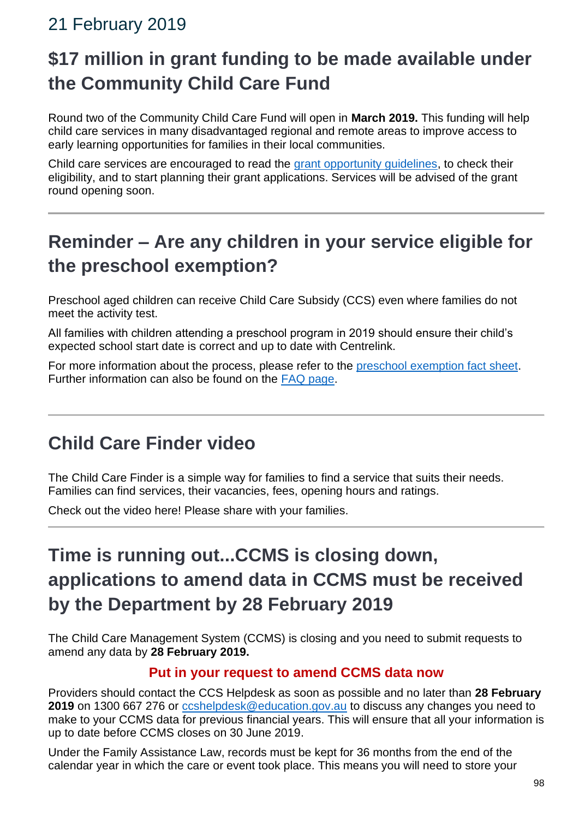## 21 February 2019

# **\$17 million in grant funding to be made available under the Community Child Care Fund**

Round two of the Community Child Care Fund will open in **March 2019.** This funding will help child care services in many disadvantaged regional and remote areas to improve access to early learning opportunities for families in their local communities.

Child care services are encouraged to read the [grant opportunity guidelines,](https://www.grants.gov.au/?event=public.FO.show&FOUUID=B4EE095C-A6B3-A312-D490640AD51B9444) to check their eligibility, and to start planning their grant applications. Services will be advised of the grant round opening soon.

# **Reminder – Are any children in your service eligible for the preschool exemption?**

Preschool aged children can receive Child Care Subsidy (CCS) even where families do not meet the activity test.

All families with children attending a preschool program in 2019 should ensure their child's expected school start date is correct and up to date with Centrelink.

For more information about the process, please refer to the [preschool exemption fact sheet.](https://education.us17.list-manage.com/track/click?u=e11e7c8d748ec85b8de00986c&id=84348251cd&e=2928f91a05) Further information can also be found on the [FAQ page.](https://education.us17.list-manage.com/track/click?u=e11e7c8d748ec85b8de00986c&id=5d8d9be69a&e=2928f91a05)

# **Child Care Finder video**

The Child Care Finder is a simple way for families to find a service that suits their needs. Families can find services, their vacancies, fees, opening hours and ratings.

Check out the video here! Please share with your families.

# **Time is running out...CCMS is closing down, applications to amend data in CCMS must be received by the Department by 28 February 2019**

The Child Care Management System (CCMS) is closing and you need to submit requests to amend any data by **28 February 2019.**

#### **Put in your request to amend CCMS data now**

Providers should contact the CCS Helpdesk as soon as possible and no later than **28 February 2019** on 1300 667 276 or [ccshelpdesk@education.gov.au](mailto:ccshelpdesk@education.gov.au) to discuss any changes you need to make to your CCMS data for previous financial years. This will ensure that all your information is up to date before CCMS closes on 30 June 2019.

Under the Family Assistance Law, records must be kept for 36 months from the end of the calendar year in which the care or event took place. This means you will need to store your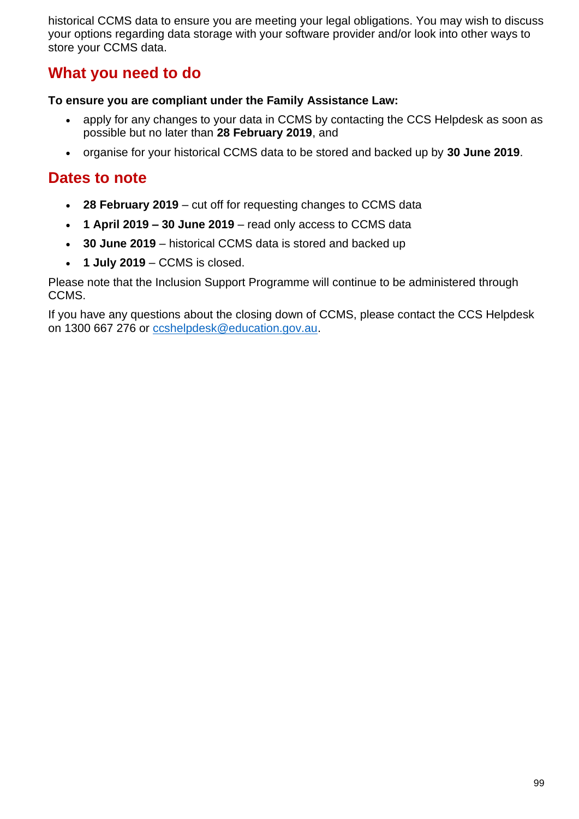historical CCMS data to ensure you are meeting your legal obligations. You may wish to discuss your options regarding data storage with your software provider and/or look into other ways to store your CCMS data.

#### **What you need to do**

#### **To ensure you are compliant under the Family Assistance Law:**

- apply for any changes to your data in CCMS by contacting the CCS Helpdesk as soon as possible but no later than **28 February 2019**, and
- organise for your historical CCMS data to be stored and backed up by **30 June 2019**.

#### **Dates to note**

- **28 February 2019** cut off for requesting changes to CCMS data
- **1 April 2019 – 30 June 2019** read only access to CCMS data
- **30 June 2019** historical CCMS data is stored and backed up
- **1 July 2019** CCMS is closed.

Please note that the Inclusion Support Programme will continue to be administered through CCMS.

If you have any questions about the closing down of CCMS, please contact the CCS Helpdesk on 1300 667 276 or [ccshelpdesk@education.gov.au.](mailto:ccshelpdesk@education.gov.au)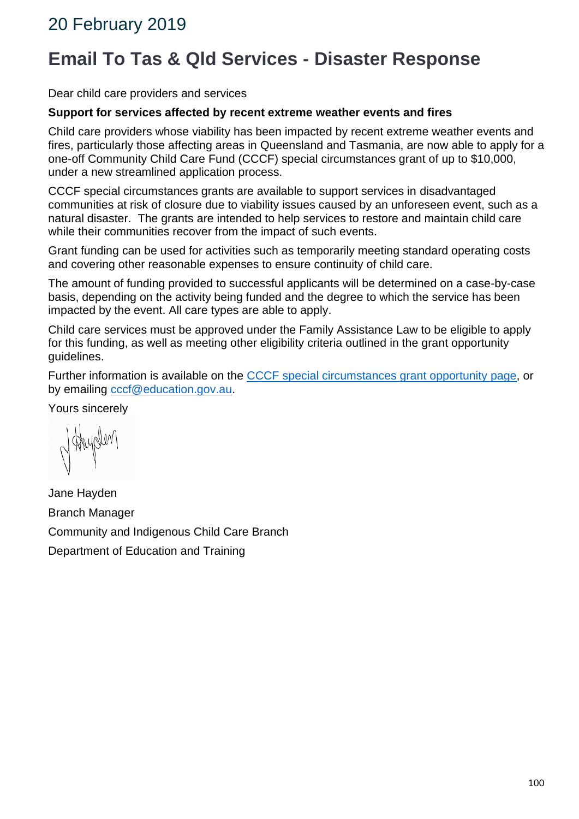# **Email To Tas & Qld Services - Disaster Response**

Dear child care providers and services

#### **Support for services affected by recent extreme weather events and fires**

Child care providers whose viability has been impacted by recent extreme weather events and fires, particularly those affecting areas in Queensland and Tasmania, are now able to apply for a one-off Community Child Care Fund (CCCF) special circumstances grant of up to \$10,000, under a new streamlined application process.

CCCF special circumstances grants are available to support services in disadvantaged communities at risk of closure due to viability issues caused by an unforeseen event, such as a natural disaster. The grants are intended to help services to restore and maintain child care while their communities recover from the impact of such events.

Grant funding can be used for activities such as temporarily meeting standard operating costs and covering other reasonable expenses to ensure continuity of child care.

The amount of funding provided to successful applicants will be determined on a case-by-case basis, depending on the activity being funded and the degree to which the service has been impacted by the event. All care types are able to apply.

Child care services must be approved under the Family Assistance Law to be eligible to apply for this funding, as well as meeting other eligibility criteria outlined in the grant opportunity guidelines.

Further information is available on the [CCCF special circumstances grant opportunity page,](https://www.education.gov.au/cccfspecialcircs#_blank) or by emailing [cccf@education.gov.au.](mailto:cccf@education.gov.au)

Yours sincerely

Jane Hayden Branch Manager Community and Indigenous Child Care Branch Department of Education and Training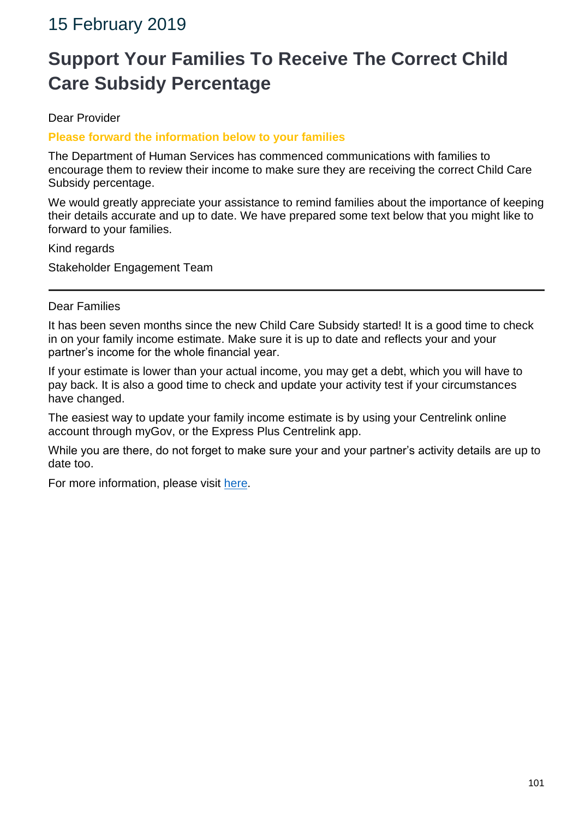## 15 February 2019

# **Support Your Families To Receive The Correct Child Care Subsidy Percentage**

Dear Provider

#### **Please forward the information below to your families**

The Department of Human Services has commenced communications with families to encourage them to review their income to make sure they are receiving the correct Child Care Subsidy percentage.

We would greatly appreciate your assistance to remind families about the importance of keeping their details accurate and up to date. We have prepared some text below that you might like to forward to your families.

Kind regards

Stakeholder Engagement Team

#### Dear Families

It has been seven months since the new Child Care Subsidy started! It is a good time to check in on your family income estimate. Make sure it is up to date and reflects your and your partner's income for the whole financial year.

If your estimate is lower than your actual income, you may get a debt, which you will have to pay back. It is also a good time to check and update your activity test if your circumstances have changed.

The easiest way to update your family income estimate is by using your Centrelink online account through myGov, or the Express Plus Centrelink app.

While you are there, do not forget to make sure your and your partner's activity details are up to date too.

For more information, please visit [here.](https://www.humanservices.gov.au/individuals/news/new-year-great-time-review-your-child-care-subsidy)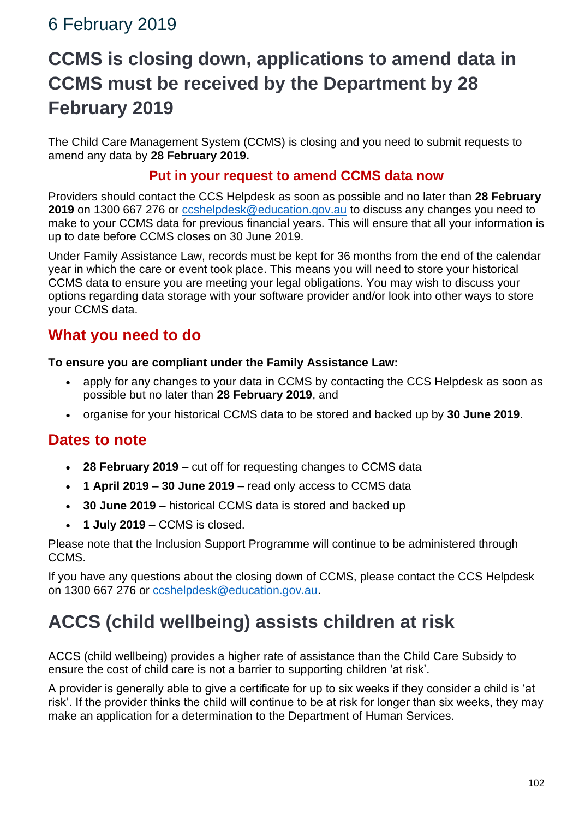## 6 February 2019

# **CCMS is closing down, applications to amend data in CCMS must be received by the Department by 28 February 2019**

The Child Care Management System (CCMS) is closing and you need to submit requests to amend any data by **28 February 2019.**

#### **Put in your request to amend CCMS data now**

Providers should contact the CCS Helpdesk as soon as possible and no later than **28 February 2019** on 1300 667 276 or [ccshelpdesk@education.gov.au](mailto:ccshelpdesk@education.gov.au) to discuss any changes you need to make to your CCMS data for previous financial years. This will ensure that all your information is up to date before CCMS closes on 30 June 2019.

Under Family Assistance Law, records must be kept for 36 months from the end of the calendar year in which the care or event took place. This means you will need to store your historical CCMS data to ensure you are meeting your legal obligations. You may wish to discuss your options regarding data storage with your software provider and/or look into other ways to store your CCMS data.

#### **What you need to do**

#### **To ensure you are compliant under the Family Assistance Law:**

- apply for any changes to your data in CCMS by contacting the CCS Helpdesk as soon as possible but no later than **28 February 2019**, and
- organise for your historical CCMS data to be stored and backed up by **30 June 2019**.

#### **Dates to note**

- **28 February 2019** cut off for requesting changes to CCMS data
- **1 April 2019 – 30 June 2019** read only access to CCMS data
- **30 June 2019** historical CCMS data is stored and backed up
- **1 July 2019** CCMS is closed.

Please note that the Inclusion Support Programme will continue to be administered through CCMS.

If you have any questions about the closing down of CCMS, please contact the CCS Helpdesk on 1300 667 276 or [ccshelpdesk@education.gov.au.](mailto:ccshelpdesk@education.gov.au)

# **ACCS (child wellbeing) assists children at risk**

ACCS (child wellbeing) provides a higher rate of assistance than the Child Care Subsidy to ensure the cost of child care is not a barrier to supporting children 'at risk'.

A provider is generally able to give a certificate for up to six weeks if they consider a child is 'at risk'. If the provider thinks the child will continue to be at risk for longer than six weeks, they may make an application for a determination to the Department of Human Services.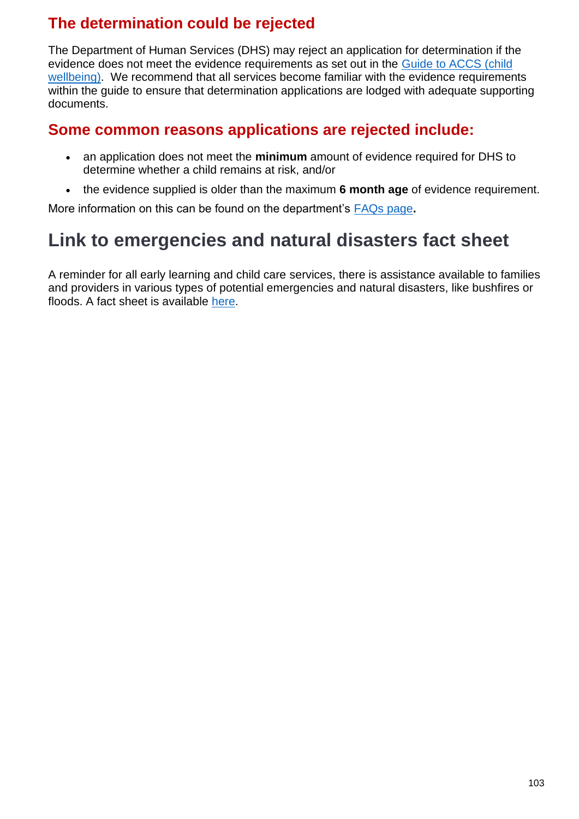### **The determination could be rejected**

The Department of Human Services (DHS) may reject an application for determination if the evidence does not meet the evidence requirements as set out in the [Guide to ACCS \(child](https://education.us17.list-manage.com/track/click?u=e11e7c8d748ec85b8de00986c&id=1a5bd25fda&e=5f4b6423be)  [wellbeing\).](https://education.us17.list-manage.com/track/click?u=e11e7c8d748ec85b8de00986c&id=1a5bd25fda&e=5f4b6423be) We recommend that all services become familiar with the evidence requirements within the guide to ensure that determination applications are lodged with adequate supporting documents.

#### **Some common reasons applications are rejected include:**

- an application does not meet the **minimum** amount of evidence required for DHS to determine whether a child remains at risk, and/or
- the evidence supplied is older than the maximum **6 month age** of evidence requirement.

More information on this can be found on the department's [FAQs page](https://education.us17.list-manage.com/track/click?u=e11e7c8d748ec85b8de00986c&id=6fc3a2732d&e=5f4b6423be)**.**

# **Link to emergencies and natural disasters fact sheet**

A reminder for all early learning and child care services, there is assistance available to families and providers in various types of potential emergencies and natural disasters, like bushfires or floods. A fact sheet is available [here.](https://education.us17.list-manage.com/track/click?u=e11e7c8d748ec85b8de00986c&id=9bf15cf747&e=5f4b6423be)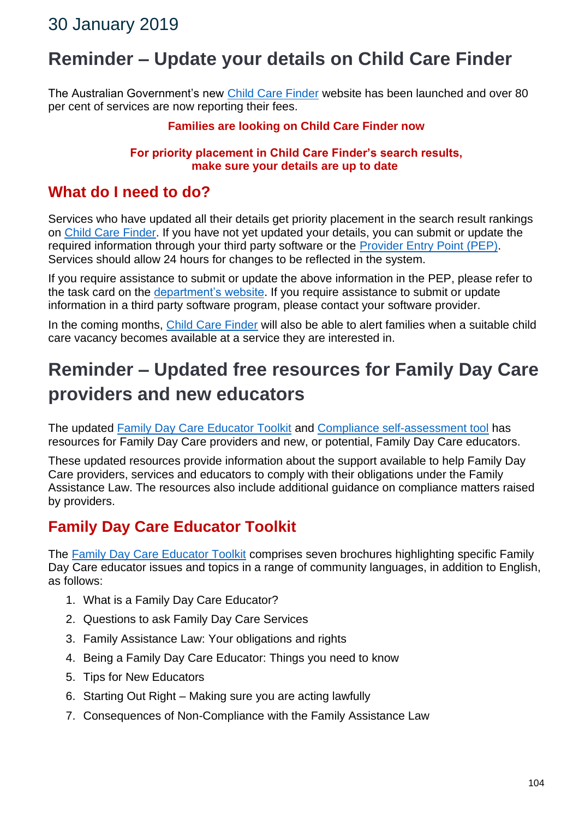## **Reminder – Update your details on Child Care Finder**

The Australian Government's new [Child Care Finder](http://www.childcarefinder.gov.au/) website has been launched and over 80 per cent of services are now reporting their fees.

#### **Families are looking on Child Care Finder now**

#### **For priority placement in Child Care Finder's search results, make sure your details are up to date**

#### **What do I need to do?**

Services who have updated all their details get priority placement in the search result rankings on [Child Care Finder.](http://www.childcarefinder.gov.au/) If you have not yet updated your details, you can submit or update the required information through your third party software or the [Provider Entry Point \(PEP\).](https://businessonline.humanservices.gov.au/childcare/) Services should allow 24 hours for changes to be reflected in the system.

If you require assistance to submit or update the above information in the PEP, please refer to the task card on the [department's website.](https://docs.education.gov.au/node/51276) If you require assistance to submit or update information in a third party software program, please contact your software provider.

In the coming months, [Child Care Finder](http://www.childcarefinder.gov.au/) will also be able to alert families when a suitable child care vacancy becomes available at a service they are interested in.

# **Reminder – Updated free resources for Family Day Care providers and new educators**

The updated [Family Day Care Educator Toolkit](http://www.fdcsupport.org.au/for-educators/) and [Compliance self-assessment tool](http://survey.fdcsupport.org.au/) has resources for Family Day Care providers and new, or potential, Family Day Care educators.

These updated resources provide information about the support available to help Family Day Care providers, services and educators to comply with their obligations under the Family Assistance Law. The resources also include additional guidance on compliance matters raised by providers.

#### **Family Day Care Educator Toolkit**

The [Family Day Care Educator Toolkit](http://www.fdcsupport.org.au/for-educators/) comprises seven brochures highlighting specific Family Day Care educator issues and topics in a range of community languages, in addition to English, as follows:

- 1. What is a Family Day Care Educator?
- 2. Questions to ask Family Day Care Services
- 3. Family Assistance Law: Your obligations and rights
- 4. Being a Family Day Care Educator: Things you need to know
- 5. Tips for New Educators
- 6. Starting Out Right Making sure you are acting lawfully
- 7. Consequences of Non-Compliance with the Family Assistance Law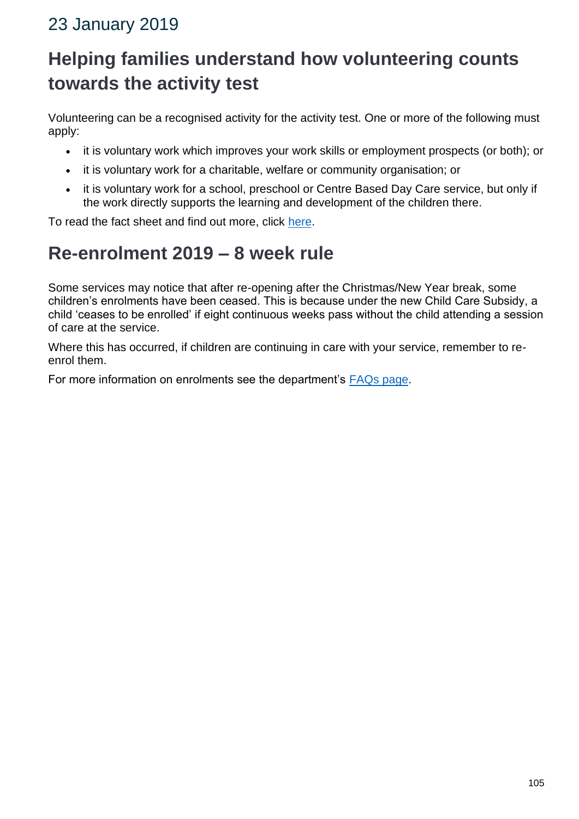# 23 January 2019

# **Helping families understand how volunteering counts towards the activity test**

Volunteering can be a recognised activity for the activity test. One or more of the following must apply:

- it is voluntary work which improves your work skills or employment prospects (or both); or
- it is voluntary work for a charitable, welfare or community organisation; or
- it is voluntary work for a school, preschool or Centre Based Day Care service, but only if the work directly supports the learning and development of the children there.

To read the fact sheet and find out more, click [here.](https://docs.education.gov.au/node/52356)

# **Re-enrolment 2019 – 8 week rule**

Some services may notice that after re-opening after the Christmas/New Year break, some children's enrolments have been ceased. This is because under the new Child Care Subsidy, a child 'ceases to be enrolled' if eight continuous weeks pass without the child attending a session of care at the service.

Where this has occurred, if children are continuing in care with your service, remember to reenrol them.

For more information on enrolments see the department's [FAQs page.](https://education.us17.list-manage.com/track/click?u=e11e7c8d748ec85b8de00986c&id=5cc7e8146b&e=5f4b6423be)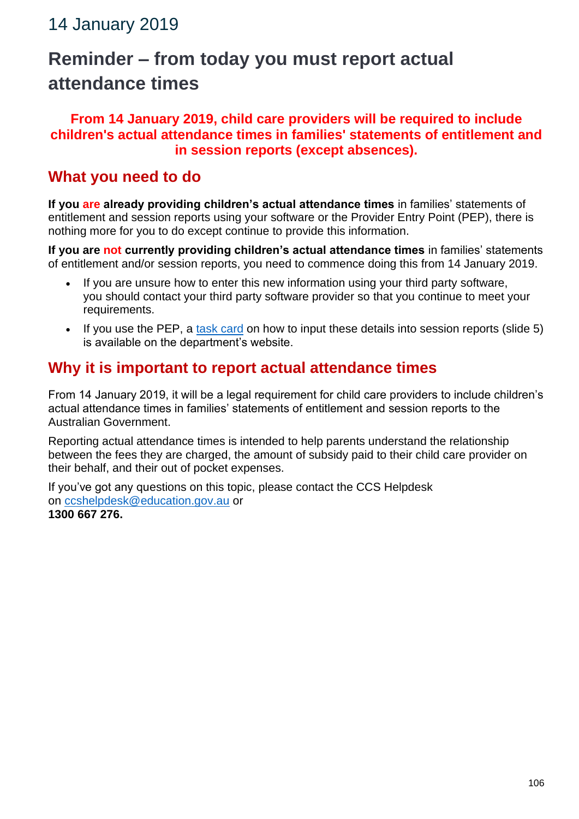# **Reminder – from today you must report actual attendance times**

#### **From 14 January 2019, child care providers will be required to include children's actual attendance times in families' statements of entitlement and in session reports (except absences).**

#### **What you need to do**

**If you are already providing children's actual attendance times** in families' statements of entitlement and session reports using your software or the Provider Entry Point (PEP), there is nothing more for you to do except continue to provide this information.

**If you are not currently providing children's actual attendance times** in families' statements of entitlement and/or session reports, you need to commence doing this from 14 January 2019.

- If you are unsure how to enter this new information using your third party software, you should contact your third party software provider so that you continue to meet your requirements.
- If you use the PEP, a [task card](https://docs.education.gov.au/node/50951) on how to input these details into session reports (slide 5) is available on the department's website.

#### **Why it is important to report actual attendance times**

From 14 January 2019, it will be a legal requirement for child care providers to include children's actual attendance times in families' statements of entitlement and session reports to the Australian Government.

Reporting actual attendance times is intended to help parents understand the relationship between the fees they are charged, the amount of subsidy paid to their child care provider on their behalf, and their out of pocket expenses.

If you've got any questions on this topic, please contact the CCS Helpdesk on [ccshelpdesk@education.gov.au](mailto:ccshelpdesk@education.gov.au) or **1300 667 276.**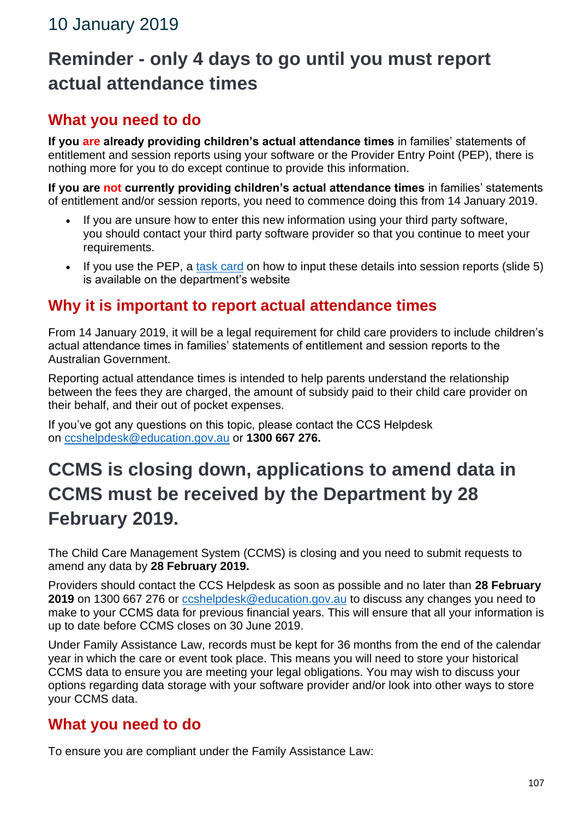# **Reminder - only 4 days to go until you must report actual attendance times**

### **What you need to do**

**If you are already providing children's actual attendance times** in families' statements of entitlement and session reports using your software or the Provider Entry Point (PEP), there is nothing more for you to do except continue to provide this information.

**If you are not currently providing children's actual attendance times** in families' statements of entitlement and/or session reports, you need to commence doing this from 14 January 2019.

- If you are unsure how to enter this new information using your third party software, you should contact your third party software provider so that you continue to meet your requirements.
- If you use the PEP, a [task card](https://docs.education.gov.au/node/50951) on how to input these details into session reports (slide 5) is available on the department's website

#### **Why it is important to report actual attendance times**

From 14 January 2019, it will be a legal requirement for child care providers to include children's actual attendance times in families' statements of entitlement and session reports to the Australian Government.

Reporting actual attendance times is intended to help parents understand the relationship between the fees they are charged, the amount of subsidy paid to their child care provider on their behalf, and their out of pocket expenses.

If you've got any questions on this topic, please contact the CCS Helpdesk on [ccshelpdesk@education.gov.au](mailto:ccshelpdesk@education.gov.au) or **1300 667 276.**

# **CCMS is closing down, applications to amend data in CCMS must be received by the Department by 28 February 2019.**

The Child Care Management System (CCMS) is closing and you need to submit requests to amend any data by **28 February 2019.**

Providers should contact the CCS Helpdesk as soon as possible and no later than **28 February 2019** on 1300 667 276 or [ccshelpdesk@education.gov.au](mailto:ccshelpdesk@education.gov.au) to discuss any changes you need to make to your CCMS data for previous financial years. This will ensure that all your information is up to date before CCMS closes on 30 June 2019.

Under Family Assistance Law, records must be kept for 36 months from the end of the calendar year in which the care or event took place. This means you will need to store your historical CCMS data to ensure you are meeting your legal obligations. You may wish to discuss your options regarding data storage with your software provider and/or look into other ways to store your CCMS data.

#### **What you need to do**

To ensure you are compliant under the Family Assistance Law: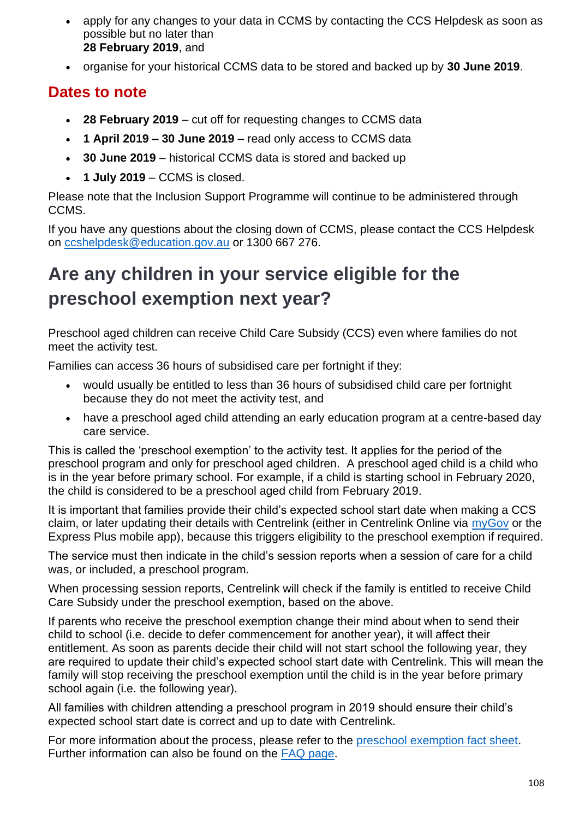- apply for any changes to your data in CCMS by contacting the CCS Helpdesk as soon as possible but no later than **28 February 2019**, and
- organise for your historical CCMS data to be stored and backed up by **30 June 2019**.

#### **Dates to note**

- **28 February 2019** cut off for requesting changes to CCMS data
- **1 April 2019 – 30 June 2019** read only access to CCMS data
- **30 June 2019** historical CCMS data is stored and backed up
- **1 July 2019** CCMS is closed.

Please note that the Inclusion Support Programme will continue to be administered through CCMS.

If you have any questions about the closing down of CCMS, please contact the CCS Helpdesk on [ccshelpdesk@education.gov.au](mailto:ccshelpdesk@education.gov.au) or 1300 667 276.

# **Are any children in your service eligible for the preschool exemption next year?**

Preschool aged children can receive Child Care Subsidy (CCS) even where families do not meet the activity test.

Families can access 36 hours of subsidised care per fortnight if they:

- would usually be entitled to less than 36 hours of subsidised child care per fortnight because they do not meet the activity test, and
- have a preschool aged child attending an early education program at a centre-based day care service.

This is called the 'preschool exemption' to the activity test. It applies for the period of the preschool program and only for preschool aged children. A preschool aged child is a child who is in the year before primary school. For example, if a child is starting school in February 2020, the child is considered to be a preschool aged child from February 2019.

It is important that families provide their child's expected school start date when making a CCS claim, or later updating their details with Centrelink (either in Centrelink Online via [myGov](http://www.my.gov.au/) or the Express Plus mobile app), because this triggers eligibility to the preschool exemption if required.

The service must then indicate in the child's session reports when a session of care for a child was, or included, a preschool program.

When processing session reports, Centrelink will check if the family is entitled to receive Child Care Subsidy under the preschool exemption, based on the above.

If parents who receive the preschool exemption change their mind about when to send their child to school (i.e. decide to defer commencement for another year), it will affect their entitlement. As soon as parents decide their child will not start school the following year, they are required to update their child's expected school start date with Centrelink. This will mean the family will stop receiving the preschool exemption until the child is in the year before primary school again (i.e. the following year).

All families with children attending a preschool program in 2019 should ensure their child's expected school start date is correct and up to date with Centrelink.

For more information about the process, please refer to the [preschool exemption fact sheet.](https://docs.education.gov.au/node/50936) Further information can also be found on the [FAQ page.](https://www.education.gov.au/new-child-care-package-frequently-asked-questions#Preschool-exemption)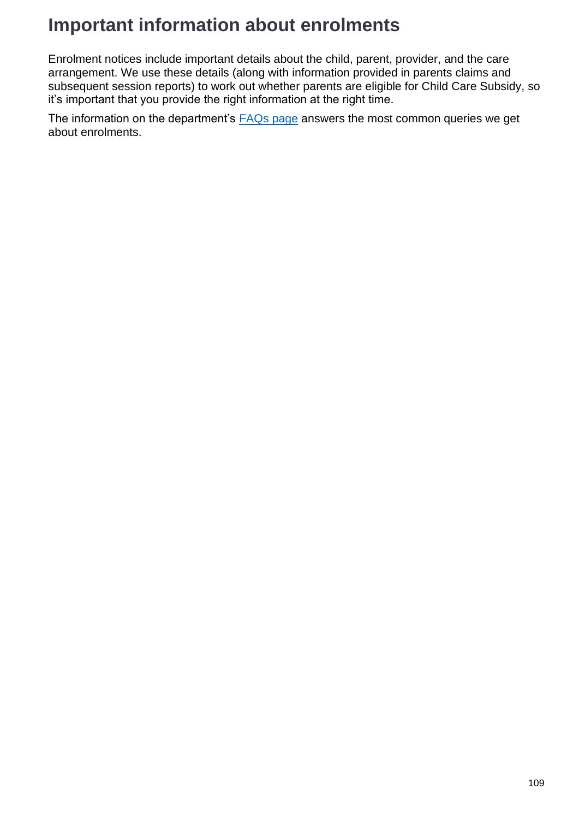## **Important information about enrolments**

Enrolment notices include important details about the child, parent, provider, and the care arrangement. We use these details (along with information provided in parents claims and subsequent session reports) to work out whether parents are eligible for Child Care Subsidy, so it's important that you provide the right information at the right time.

The information on the department's **[FAQs page](https://www.education.gov.au/new-child-care-package-frequently-asked-questions#Enrolling-Children)** answers the most common queries we get about enrolments.